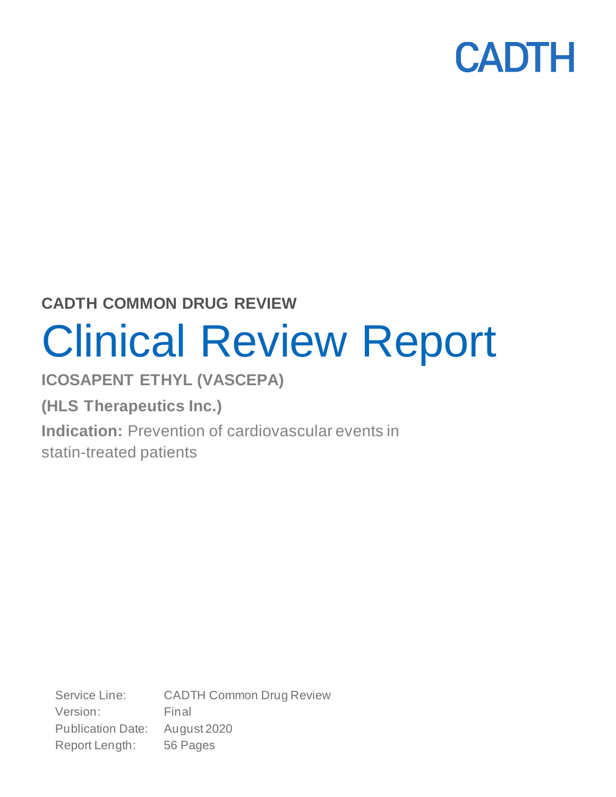

**CADTH COMMON DRUG REVIEW**

# Clinical Review Report

**ICOSAPENT ETHYL (VASCEPA)**

**(HLS Therapeutics Inc.)**

**Indication:** Prevention of cardiovascular events in

statin-treated patients

Service Line: CADTH Common Drug Review Version: Final Publication Date: August 2020 Report Length: 56 Pages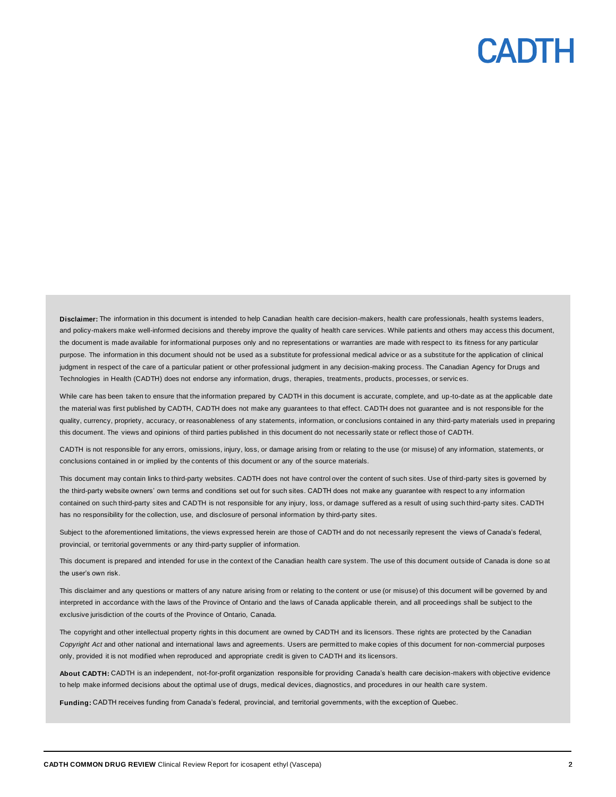**Disclaimer:** The information in this document is intended to help Canadian health care decision-makers, health care professionals, health systems leaders, **Disclaimer:** The information in this document is intended to help Canadian health care decision-makers, health care professionals, health systems leaders,<br>and policy-makers make well-informed decisions and thereby improve the document is made available for informational purposes only and no representations or warranties are made with respect to its fitness for any particular purpose. The information in this document should not be used as a substitute for professional medical advice or as a substitute for the application of clinical judgment in respect of the care of a particular patient or other professional judgment in any decision-making process. The Canadian Agency for Drugs and Technologies in Health (CADTH) does not endorse any information, drugs, therapies, treatments, products, processes , or services.

While care has been taken to ensure that the information prepared by CADTH in this document is accurate, complete, and up-to-date as at the applicable date the material was first published by CADTH, CADTH does not make any guarantees to that effect. CADTH does not guarantee and is not responsible for the quality, currency, propriety, accuracy, or reasonableness of any statements, information, or conclusions contained in any third-party materials used in preparing this document. The views and opinions of third parties published in this document do not necessarily state or reflect those of CADTH. ient is made available for informational purposes only and no representations or warranties are made with respect to is fitness for any particular<br>The information in this document should not be used as a substitute for pro

CADTH is not responsible for any errors, omissions, injury, loss, or damage arising from or relating to the use (or misuse) of any information, statements, or conclusions contained in or implied by the contents of this document or any of the source materials.

This document may contain links to third-party websites. CADTH does not have control over the content of such sites. Use of third-party sites is governed by the third-party website owners' own terms and conditions set out for such sites. CADTH does not make any guarantee with respect to any information contained on such third-party sites and CADTH is not responsible for any injury, loss, or damage suffered as a result of using such third-party sites. CADTH has no responsibility for the collection, use, and disclosure of personal information by third-party sites.

Subject to the aforementioned limitations, the views expressed herein are those of CADTH and do not necessarily represent the views of Canada's federal, provincial, or territorial governments or any third-party supplier of information.

This document is prepared and intended for use in the context of the Canadian health care system. The use of this document outside of Canada is done so at the user's own risk.

This disclaimer and any questions or matters of any nature arising from or relating to the content or use (or misuse) of this document will be governed by and interpreted in accordance with the laws of the Province of Ontario and the laws of Canada applicable therein, and all proceedings shall be subject to the exclusive jurisdiction of the courts of the Province of Ontario, Canada.

The copyright and other intellectual property rights in this document are owned by CADTH and its licensors. These rights are protected by the Canadian *Copyright Act* and other national and international laws and agreements. Users are permitted to make copies of this document for non-commercial purposes<br>only, provided it is not modified when reproduced and appropriate cr only, provided it is not modified when reproduced and appropriate credit is given to CADTH and its licensors.

**About CADTH:** CADTH is an independent, not-for-profit organization responsible for providing Canada's health care decision-makers with objective evidence to help make informed decisions about the optimal use of drugs, medical devices, diagnostics, and procedures in our health care system.

**Funding:** CADTH receives funding from Canada's federal, provincial, and territorial governments, with the exception of Quebec.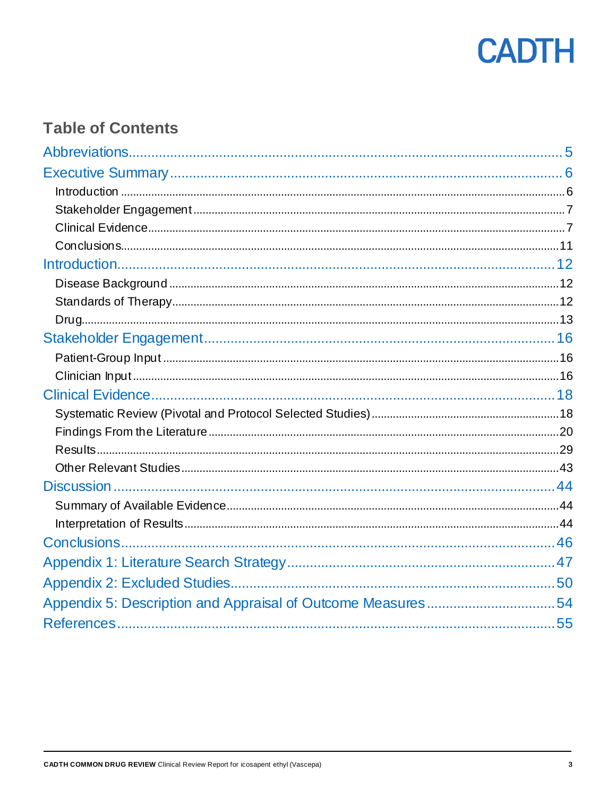

### **Table of Contents**

| Appendix 5: Description and Appraisal of Outcome Measures54 |  |
|-------------------------------------------------------------|--|
|                                                             |  |
|                                                             |  |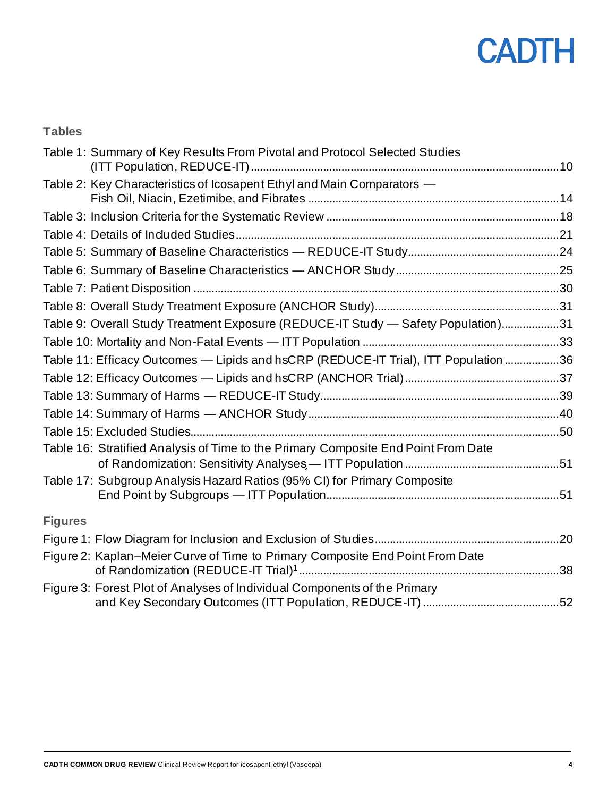#### **Tables**

| Table 1: Summary of Key Results From Pivotal and Protocol Selected Studies          |  |
|-------------------------------------------------------------------------------------|--|
| Table 2: Key Characteristics of Icosapent Ethyl and Main Comparators -              |  |
|                                                                                     |  |
|                                                                                     |  |
|                                                                                     |  |
|                                                                                     |  |
|                                                                                     |  |
|                                                                                     |  |
| Table 9: Overall Study Treatment Exposure (REDUCE-IT Study - Safety Population)31   |  |
|                                                                                     |  |
| Table 11: Efficacy Outcomes - Lipids and hsCRP (REDUCE-IT Trial), ITT Population 36 |  |
|                                                                                     |  |
|                                                                                     |  |
|                                                                                     |  |
|                                                                                     |  |
| Table 16: Stratified Analysis of Time to the Primary Composite End Point From Date  |  |
| Table 17: Subgroup Analysis Hazard Ratios (95% CI) for Primary Composite            |  |
| <b>Figures</b>                                                                      |  |
|                                                                                     |  |
| Figure 2: Kaplan-Meier Curve of Time to Primary Composite End Point From Date       |  |
| Figure 3: Forest Plot of Analyses of Individual Components of the Primary           |  |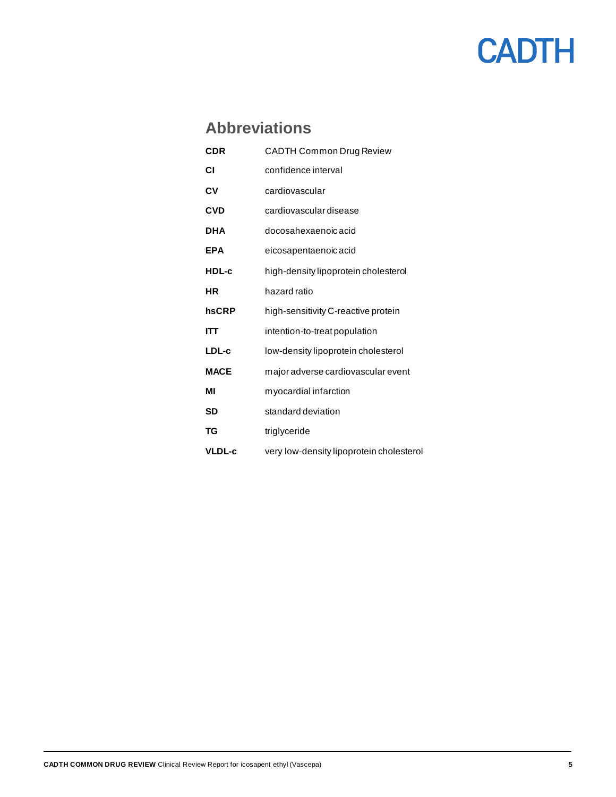### **Abbreviations**

<span id="page-4-0"></span>

| <b>CDR</b>    | <b>CADTH Common Drug Review</b>          |
|---------------|------------------------------------------|
| СI            | confidence interval                      |
| CV            | cardiovascular                           |
| <b>CVD</b>    | cardiovascular disease                   |
| DHA           | docosahexaenoic acid                     |
| <b>EPA</b>    | eicosapentaenoic acid                    |
| HDL-c         | high-density lipoprotein cholesterol     |
| ΗR            | hazard ratio                             |
| hsCRP         | high-sensitivity C-reactive protein      |
| IΠ            | intention-to-treat population            |
| LDL-c         | low-density lipoprotein cholesterol      |
| <b>MACE</b>   | major adverse cardiovascular event       |
| ΜI            | myocardial infarction                    |
| SD            | standard deviation                       |
| TG            | triglyceride                             |
| <b>VLDL-c</b> | very low-density lipoprotein cholesterol |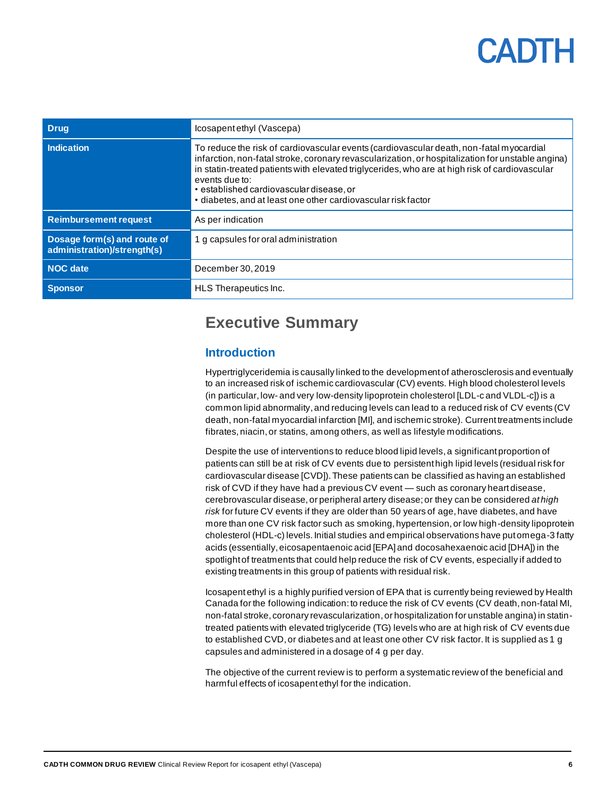| <b>Drug</b>                                                | Icosapentethyl (Vascepa)                                                                                                                                                                                                                                                                                                                                                                                                      |
|------------------------------------------------------------|-------------------------------------------------------------------------------------------------------------------------------------------------------------------------------------------------------------------------------------------------------------------------------------------------------------------------------------------------------------------------------------------------------------------------------|
| <b>Indication</b>                                          | To reduce the risk of cardiovascular events (cardiovascular death, non-fatal myocardial<br>infarction, non-fatal stroke, coronary revascularization, or hospitalization for unstable angina)<br>in statin-treated patients with elevated triglycerides, who are at high risk of cardiovascular<br>events due to:<br>• established cardiovascular disease, or<br>• diabetes, and at least one other cardiovascular risk factor |
| <b>Reimbursement request</b>                               | As per indication                                                                                                                                                                                                                                                                                                                                                                                                             |
| Dosage form(s) and route of<br>administration)/strength(s) | 1 g capsules for oral administration                                                                                                                                                                                                                                                                                                                                                                                          |
| <b>NOC</b> date                                            | December 30, 2019                                                                                                                                                                                                                                                                                                                                                                                                             |
| <b>Sponsor</b>                                             | HLS Therapeutics Inc.                                                                                                                                                                                                                                                                                                                                                                                                         |

### <span id="page-5-0"></span>**Executive Summary**

#### <span id="page-5-1"></span>**Introduction**

Hypertriglyceridemia is causally linked to the development of atherosclerosis and eventually to an increased risk of ischemic cardiovascular (CV) events. High blood cholesterol levels (in particular, low- and very low-density lipoprotein cholesterol [LDL-c and VLDL-c]) is a common lipid abnormality, and reducing levels can lead to a reduced risk of CV events (CV death, non-fatal myocardial infarction [MI], and ischemic stroke). Current treatments include fibrates, niacin, or statins, among others, as well as lifestyle modifications.

Despite the use of interventions to reduce blood lipid levels, a significant proportion of patients can still be at risk of CV events due to persistent high lipid levels (residual risk for cardiovascular disease [CVD]). These patients can be classified as having an established risk of CVD if they have had a previous CV event — such as coronary heart disease, cerebrovascular disease, or peripheral artery disease; or they can be considered *athigh risk* for future CV events if they are older than 50 years of age, have diabetes, and have more than one CV risk factor such as smoking, hypertension, or low high-density lipoprotein cholesterol (HDL-c) levels. Initial studies and empirical observations have put omega-3 fatty acids (essentially, eicosapentaenoic acid [EPA] and docosahexaenoic acid [DHA]) in the spotlight of treatments that could help reduce the risk of CV events, especially if added to existing treatments in this group of patients with residual risk.

Icosapent ethyl is a highly purified version of EPA that is currently being reviewed by Health Canada for the following indication: to reduce the risk of CV events (CV death, non-fatal MI, non-fatal stroke, coronary revascularization, or hospitalization for unstable angina) in statintreated patients with elevated triglyceride (TG) levels who are at high risk of CV events due to established CVD,or diabetes and at least one other CV risk factor. It is supplied as 1 g capsules and administered in a dosage of 4 g per day.

The objective of the current review is to perform a systematic review of the beneficial and harmful effects of icosapent ethyl for the indication.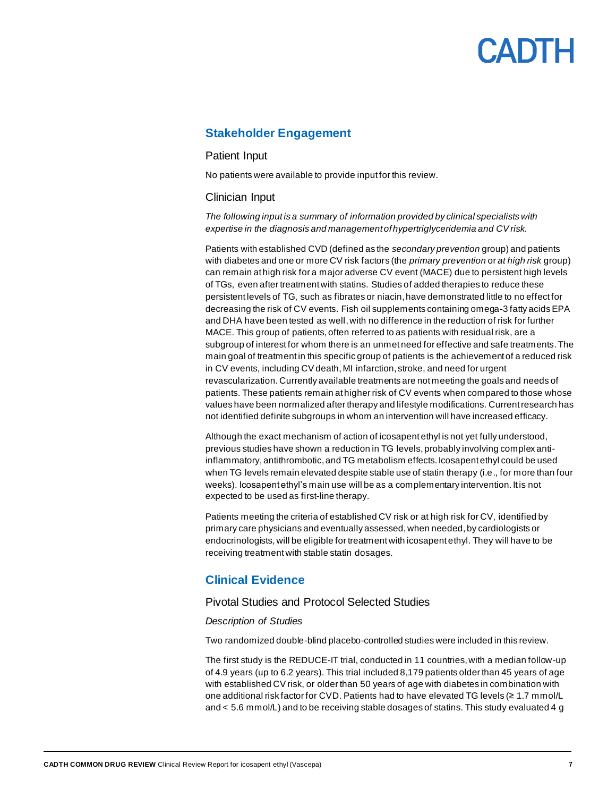#### <span id="page-6-0"></span>**Stakeholder Engagement**

#### Patient Input

No patients were available to provide inputfor this review.

#### Clinician Input

*The following input is a summary of information provided by clinical specialists with expertise in the diagnosis and management of hypertriglyceridemia and CV risk.*

Patients with established CVD (defined as the *secondary prevention* group) and patients with diabetes and one or more CV risk factors (the *primary prevention* or *at high risk* group) can remain at high risk for a major adverse CV event (MACE) due to persistent high levels of TGs, even after treatment with statins. Studies of added therapies to reduce these persistent levels of TG, such as fibrates or niacin, have demonstrated little to no effect for decreasing the risk of CV events. Fish oil supplements containing omega-3 fatty acids EPA and DHA have been tested as well, with no difference in the reduction of risk for further MACE. This group of patients, often referred to as patients with residual risk, are a subgroup of interest for whom there is an unmet need for effective and safe treatments. The main goal of treatment in this specific group of patients is the achievement of a reduced risk in CV events, including CV death, MI infarction, stroke, and need for urgent revascularization. Currently available treatments are not meeting the goals and needs of patients. These patients remain at higher risk of CV events when compared to those whose values have been normalized after therapy and lifestyle modifications. Current research has not identified definite subgroups in whom an intervention will have increased efficacy.

Although the exact mechanism of action of icosapent ethyl is not yet fully understood, previous studies have shown a reduction in TG levels, probably involving complex antiinflammatory, antithrombotic, and TG metabolism effects. Icosapent ethyl could be used when TG levels remain elevated despite stable use of statin therapy (i.e., for more than four weeks). Icosapent ethyl's main use will be as a complementary intervention. It is not expected to be used as first-line therapy.

Patients meeting the criteria of established CV risk or at high risk for CV, identified by primary care physicians and eventually assessed, when needed, by cardiologists or endocrinologists, will be eligible for treatment with icosapent ethyl. They will have to be receiving treatment with stable statin dosages.

#### <span id="page-6-1"></span>**Clinical Evidence**

#### Pivotal Studies and Protocol Selected Studies

#### *Description of Studies*

Two randomized double-blind placebo-controlled studies were included in this review.

The first study is the REDUCE-IT trial, conducted in 11 countries, with a median follow-up of 4.9 years (up to 6.2 years). This trial included 8,179 patients older than 45 years of age with established CV risk, or older than 50 years of age with diabetes in combination with one additional risk factor for CVD. Patients had to have elevated TG levels (≥ 1.7 mmol/L and < 5.6 mmol/L) and to be receiving stable dosages of statins. This study evaluated 4 g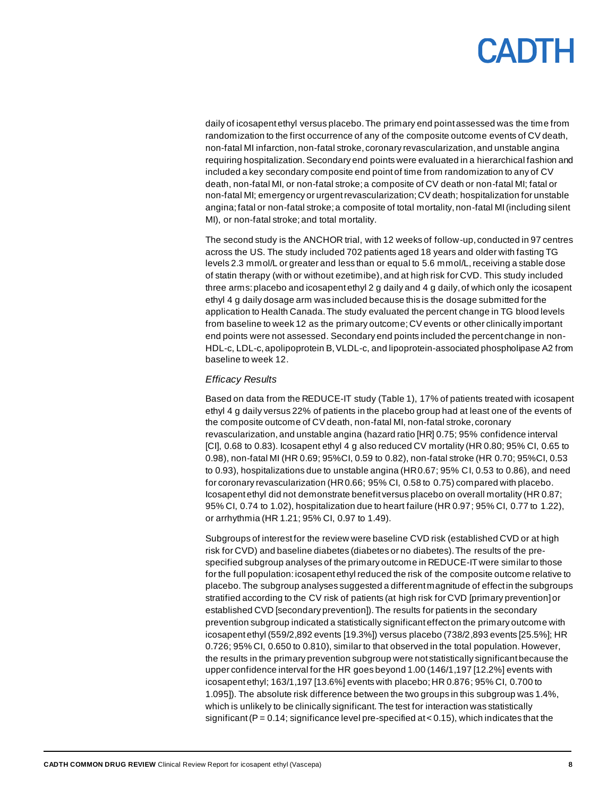daily of icosapent ethyl versus placebo. The primary end pointassessed was the time from randomization to the first occurrence of any of the composite outcome events of CV death, non-fatal MI infarction, non-fatal stroke, coronary revascularization, and unstable angina requiring hospitalization. Secondary end points were evaluated in a hierarchical fashion and included a key secondary composite end point of time from randomization to any of CV death, non-fatal MI, or non-fatal stroke; a composite of CV death or non-fatal MI; fatal or non-fatal MI; emergency or urgent revascularization; CV death; hospitalization for unstable angina; fatal or non-fatal stroke; a composite of total mortality, non-fatal MI (including silent MI), or non-fatal stroke; and total mortality.

The second study is the ANCHOR trial, with 12 weeks of follow-up, conducted in 97 centres across the US. The study included 702 patients aged 18 years and older with fasting TG levels 2.3 mmol/L or greater and less than or equal to 5.6 mmol/L, receiving a stable dose of statin therapy (with or without ezetimibe),and at high risk for CVD. This study included three arms: placebo and icosapent ethyl 2 g daily and 4 g daily, of which only the icosapent ethyl 4 g daily dosage arm was included because this is the dosage submitted for the application to Health Canada. The study evaluated the percent change in TG blood levels from baseline to week 12 as the primary outcome;CV events or other clinically important end points were not assessed. Secondary end points included the percent change in non-HDL-c, LDL-c, apolipoprotein B, VLDL-c, and lipoprotein-associated phospholipase A2 from baseline to week 12.

#### *Efficacy Results*

Based on data from the REDUCE-IT study [\(Table 1\)](#page-9-0), 17% of patients treated with icosapent ethyl 4 g daily versus 22% of patients in the placebo group had at least one of the events of the composite outcome of CV death, non-fatal MI, non-fatal stroke, coronary revascularization, and unstable angina (hazard ratio [HR] 0.75; 95% confidence interval [CI], 0.68 to 0.83). Icosapent ethyl 4 g also reduced CV mortality (HR 0.80; 95% CI, 0.65 to 0.98), non-fatal MI (HR 0.69; 95%CI, 0.59 to 0.82), non-fatal stroke (HR 0.70; 95%CI, 0.53 to 0.93), hospitalizations due to unstable angina (HR 0.67; 95% CI, 0.53 to 0.86), and need for coronary revascularization (HR 0.66; 95% CI, 0.58 to 0.75) compared with placebo. Icosapent ethyl did not demonstrate benefit versus placebo on overall mortality (HR 0.87; 95% CI, 0.74 to 1.02), hospitalization due to heart failure (HR 0.97; 95% CI, 0.77 to 1.22), or arrhythmia (HR 1.21; 95% CI, 0.97 to 1.49).

Subgroups of interest for the review were baseline CVD risk (established CVD or at high risk for CVD) and baseline diabetes (diabetes or no diabetes). The results of the prespecified subgroup analyses of the primary outcome in REDUCE-IT were similar to those for the full population: icosapent ethyl reduced the risk of the composite outcome relative to placebo. The subgroup analyses suggested a different magnitude of effect in the subgroups stratified according to the CV risk of patients (at high risk for CVD [primary prevention] or established CVD [secondary prevention]). The results for patients in the secondary prevention subgroup indicated a statistically significant effect on the primary outcome with icosapent ethyl (559/2,892 events [19.3%]) versus placebo (738/2,893 events [25.5%]; HR 0.726; 95% CI, 0.650 to 0.810), similar to that observed in the total population. However, the results in the primary prevention subgroup were not statistically significant because the upper confidence interval for the HR goes beyond 1.00 (146/1,197 [12.2%] events with icosapent ethyl; 163/1,197 [13.6%] events with placebo; HR 0.876; 95% CI, 0.700 to 1.095]). The absolute risk difference between the two groups in this subgroup was 1.4%, which is unlikely to be clinically significant. The test for interaction was statistically significant ( $P = 0.14$ ; significance level pre-specified at < 0.15), which indicates that the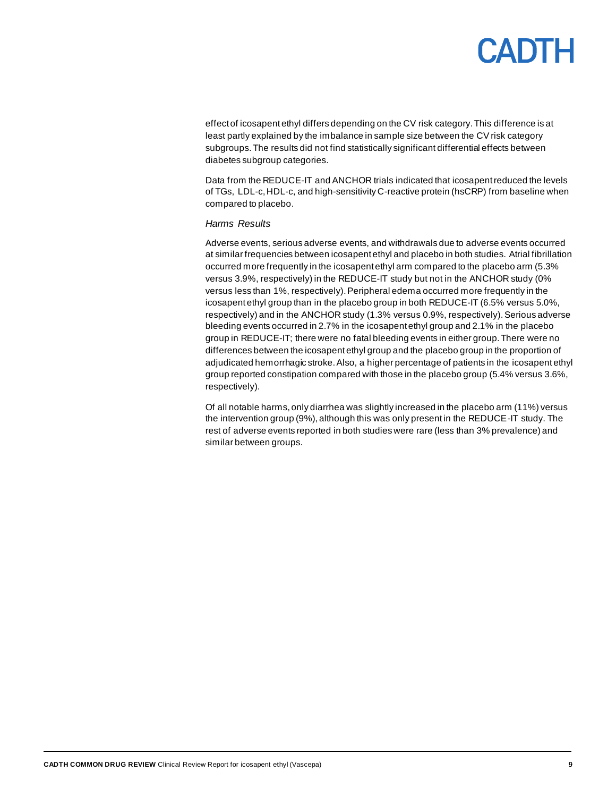effect of icosapent ethyl differs depending on the CV risk category. This difference is at least partly explained by the imbalance in sample size between the CV risk category subgroups. The results did not find statistically significant differential effects between diabetes subgroup categories.

Data from the REDUCE-IT and ANCHOR trials indicated that icosapent reduced the levels of TGs, LDL-c, HDL-c, and high-sensitivity C-reactive protein (hsCRP) from baseline when compared to placebo.

#### *Harms Results*

Adverse events, serious adverse events, and withdrawals due to adverse events occurred at similar frequencies between icosapent ethyl and placebo in both studies. Atrial fibrillation occurred more frequently in the icosapent ethyl arm compared to the placebo arm (5.3% versus 3.9%, respectively) in the REDUCE-IT study but not in the ANCHOR study (0% versus less than 1%, respectively). Peripheral edema occurred more frequently in the icosapent ethyl group than in the placebo group in both REDUCE-IT (6.5% versus 5.0%, respectively) and in the ANCHOR study (1.3% versus 0.9%, respectively). Serious adverse bleeding events occurred in 2.7% in the icosapent ethyl group and 2.1% in the placebo group in REDUCE-IT; there were no fatal bleeding events in either group. There were no differences between the icosapent ethyl group and the placebo group in the proportion of adjudicated hemorrhagic stroke. Also, a higher percentage of patients in the icosapent ethyl group reported constipation compared with those in the placebo group (5.4% versus 3.6%, respectively).

Of all notable harms, only diarrhea was slightly increased in the placebo arm (11%) versus the intervention group (9%), although this was only present in the REDUCE-IT study. The rest of adverse events reported in both studies were rare (less than 3% prevalence) and similar between groups.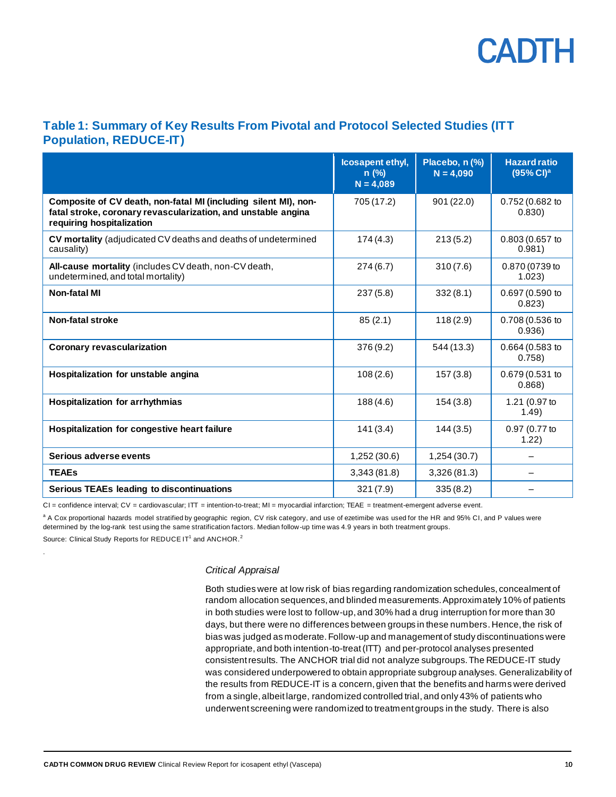

#### <span id="page-9-0"></span>**Table 1: Summary of Key Results From Pivotal and Protocol Selected Studies (ITT Population, REDUCE-IT)**

|                                                                                                                                                               | Icosapent ethyl,<br>$n$ (%)<br>$N = 4,089$ | Placebo, n (%)<br>$N = 4,090$ | <b>Hazard ratio</b><br>(95% Cl) <sup>a</sup> |
|---------------------------------------------------------------------------------------------------------------------------------------------------------------|--------------------------------------------|-------------------------------|----------------------------------------------|
| Composite of CV death, non-fatal MI (including silent MI), non-<br>fatal stroke, coronary revascularization, and unstable angina<br>requiring hospitalization | 705 (17.2)                                 | 901 (22.0)                    | 0.752 (0.682 to<br>0.830)                    |
| CV mortality (adjudicated CV deaths and deaths of undetermined<br>causality)                                                                                  | 174(4.3)                                   | 213(5.2)                      | 0.803 (0.657 to<br>0.981)                    |
| All-cause mortality (includes CV death, non-CV death,<br>undetermined, and total mortality)                                                                   | 274 (6.7)                                  | 310(7.6)                      | 0.870 (0739 to<br>1.023)                     |
| Non-fatal MI                                                                                                                                                  | 237(5.8)                                   | 332(8.1)                      | 0.697 (0.590 to<br>0.823)                    |
| Non-fatal stroke                                                                                                                                              | 85(2.1)                                    | 118(2.9)                      | 0.708 (0.536 to<br>0.936)                    |
| <b>Coronary revascularization</b>                                                                                                                             | 376 (9.2)                                  | 544 (13.3)                    | 0.664 (0.583 to<br>0.758                     |
| Hospitalization for unstable angina                                                                                                                           | 108(2.6)                                   | 157(3.8)                      | 0.679 (0.531 to<br>0.868                     |
| <b>Hospitalization for arrhythmias</b>                                                                                                                        | 188(4.6)                                   | 154(3.8)                      | 1.21 (0.97 to<br>1.49)                       |
| Hospitalization for congestive heart failure                                                                                                                  | 141(3.4)                                   | 144(3.5)                      | 0.97 (0.77 to<br>1.22)                       |
| Serious adverse events                                                                                                                                        | 1,252 (30.6)                               | 1,254 (30.7)                  |                                              |
| <b>TEAEs</b>                                                                                                                                                  | 3,343(81.8)                                | 3,326(81.3)                   |                                              |
| <b>Serious TEAEs leading to discontinuations</b>                                                                                                              | 321(7.9)                                   | 335(8.2)                      |                                              |

CI = confidence interval; CV = cardiovascular; ITT = intention-to-treat; MI = myocardial infarction; TEAE = treatment-emergent adverse event.

a A Cox proportional hazards model stratified by geographic region, CV risk category, and use of ezetimibe was used for the HR and 95% CI, and P values were determined by the log-rank test using the same stratification factors. Median follow-up time was 4.9 years in both treatment groups.

Source: Clinical Study Reports for REDUCE IT<sup>1</sup> and ANCHOR.<sup>2</sup>

.

#### *Critical Appraisal*

Both studies were at low risk of bias regarding randomization schedules, concealment of random allocation sequences, and blinded measurements. Approximately 10% of patients in both studies were lost to follow-up, and 30% had a drug interruption for more than 30 days, but there were no differences between groups in these numbers. Hence, the risk of bias was judged as moderate. Follow-up and management of study discontinuations were appropriate, and both intention-to-treat (ITT) and per-protocol analyses presented consistent results. The ANCHOR trial did not analyze subgroups. The REDUCE-IT study was considered underpowered to obtain appropriate subgroup analyses. Generalizability of the results from REDUCE-IT is a concern,given that the benefits and harms were derived from a single, albeit large, randomized controlled trial, and only 43% of patients who underwent screening were randomized to treatment groups in the study. There is also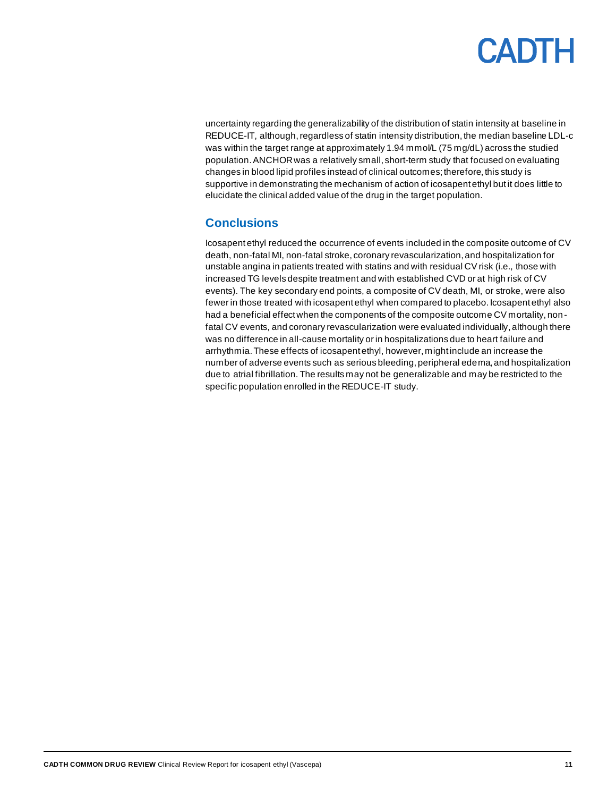uncertainty regarding the generalizability of the distribution of statin intensity at baseline in REDUCE-IT, although, regardless of statin intensity distribution, the median baseline LDL-c was within the target range at approximately 1.94 mmol/L (75 mg/dL) across the studied population. ANCHOR was a relatively small, short-term study that focused on evaluating changes in blood lipid profiles instead of clinical outcomes; therefore, this study is supportive in demonstrating the mechanism of action of icosapent ethyl but it does little to elucidate the clinical added value of the drug in the target population.

#### <span id="page-10-0"></span>**Conclusions**

Icosapent ethyl reduced the occurrence of events included in the composite outcome of CV death, non-fatal MI, non-fatal stroke, coronary revascularization, and hospitalization for unstable angina in patients treated with statins and with residual CV risk (i.e., those with increased TG levels despite treatment and with established CVD or at high risk of CV events). The key secondary end points, a composite of CV death, MI, or stroke, were also fewer in those treated with icosapent ethyl when compared to placebo. Icosapent ethyl also had a beneficial effect when the components of the composite outcome CV mortality, nonfatal CV events, and coronary revascularization were evaluated individually, although there was no difference in all-cause mortality or in hospitalizations due to heart failure and arrhythmia. These effects of icosapent ethyl, however, might include an increase the number of adverse events such as serious bleeding, peripheral edema, and hospitalization due to atrial fibrillation. The results may not be generalizable and may be restricted to the specific population enrolled in the REDUCE-IT study.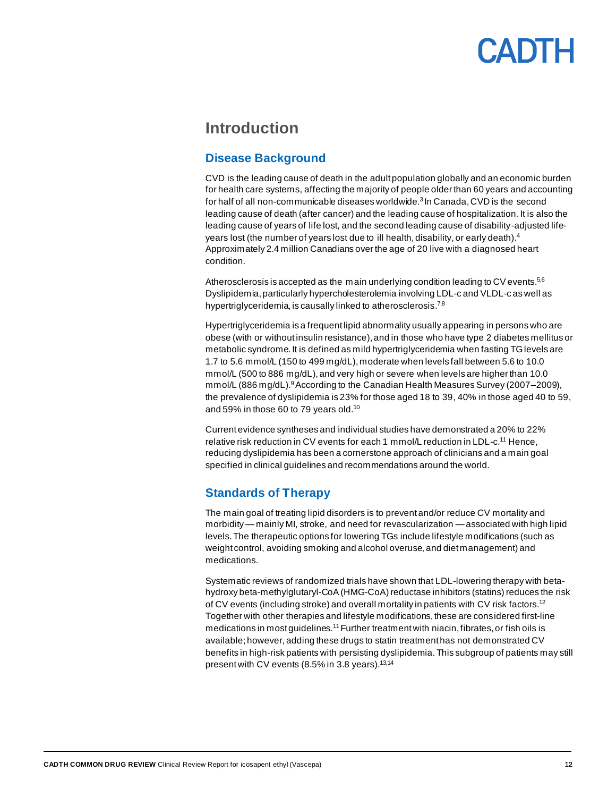### <span id="page-11-0"></span>**Introduction**

#### <span id="page-11-1"></span>**Disease Background**

CVD is the leading cause of death in the adult population globally and an economic burden for health care systems, affecting the majority of people older than 60 years and accounting for half of all non-communicable diseases worldwide.<sup>3</sup> In Canada, CVD is the second leading cause of death (after cancer) and the leading cause of hospitalization. It is also the leading cause of years of life lost, and the second leading cause of disability-adjusted lifeyears lost (the number of years lost due to ill health, disability, or early death). 4 Approximately 2.4 million Canadians over the age of 20 live with a diagnosed heart condition.

Atherosclerosis is accepted as the main underlying condition leading to CV events.<sup>5,6</sup> Dyslipidemia, particularly hypercholesterolemia involving LDL-c and VLDL-c as well as hypertriglyceridemia, is causally linked to atherosclerosis.<sup>7,8</sup>

Hypertriglyceridemia is a frequent lipid abnormality usually appearing in persons who are obese (with or without insulin resistance),and in those who have type 2 diabetes mellitus or metabolic syndrome. It is defined as mild hypertriglyceridemia when fasting TGlevels are 1.7 to 5.6 mmol/L (150 to 499 mg/dL), moderate when levels fall between 5.6 to 10.0 mmol/L (500 to 886 mg/dL), and very high or severe when levels are higher than 10.0 mmol/L (886 mg/dL). <sup>9</sup>According to the Canadian Health Measures Survey (2007–2009), the prevalence of dyslipidemia is 23% for those aged 18 to 39, 40% in those aged 40 to 59, and 59% in those 60 to 79 years old.<sup>10</sup>

Current evidence syntheses and individual studies have demonstrated a 20% to 22% relative risk reduction in CV events for each 1 mmol/L reduction in LDL-c.<sup>11</sup> Hence, reducing dyslipidemia has been a cornerstone approach of clinicians and a main goal specified in clinical guidelines and recommendations around the world.

#### <span id="page-11-2"></span>**Standards of Therapy**

The main goal of treating lipid disorders is to prevent and/or reduce CV mortality and morbidity —mainly MI, stroke, and need for revascularization —associated with high lipid levels. The therapeutic options for lowering TGs include lifestyle modifications (such as weight control, avoiding smoking and alcohol overuse, and diet management) and medications.

Systematic reviews of randomized trials have shown that LDL-lowering therapy with betahydroxy beta-methylglutaryl-CoA (HMG-CoA) reductase inhibitors (statins) reduces the risk of CV events (including stroke) and overall mortality in patients with CV risk factors.<sup>12</sup> Together with other therapies and lifestyle modifications, these are considered first-line medications in most guidelines.<sup>11</sup> Further treatment with niacin, fibrates, or fish oils is available; however, adding these drugs to statin treatment has not demonstrated CV benefits in high-risk patients with persisting dyslipidemia. This subgroup of patients may still present with CV events (8.5% in 3.8 years).<sup>13,14</sup>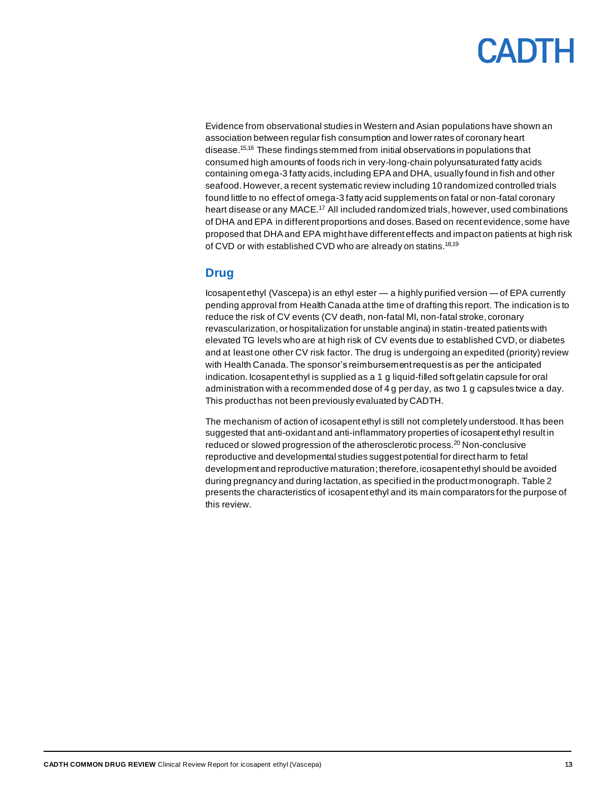Evidence from observational studies in Western and Asian populations have shown an association between regular fish consumption and lower rates of coronary heart disease.15,16 These findings stemmed from initial observations in populations that consumed high amounts of foods rich in very-long-chain polyunsaturated fatty acids containing omega-3 fatty acids, including EPA and DHA, usually found in fish and other seafood. However, a recent systematic review including 10 randomized controlled trials found little to no effect of omega-3 fatty acid supplements on fatal or non-fatal coronary heart disease or any MACE.<sup>17</sup> All included randomized trials, however, used combinations of DHA and EPA in different proportions and doses. Based on recent evidence, some have proposed that DHA and EPA might have different effects and impact on patients at high risk of CVD or with established CVD who are already on statins.<sup>18,19</sup>

#### <span id="page-12-0"></span>**Drug**

Icosapent ethyl (Vascepa) is an ethyl ester — a highly purified version —of EPA currently pending approval from Health Canada at the time of drafting this report. The indication is to reduce the risk of CV events (CV death, non-fatal MI, non-fatal stroke, coronary revascularization,or hospitalization for unstable angina) in statin-treated patients with elevated TG levels who are at high risk of CV events due to established CVD,or diabetes and at least one other CV risk factor. The drug is undergoing an expedited (priority) review with Health Canada. The sponsor's reimbursement request is as per the anticipated indication. Icosapent ethyl is supplied as a 1 g liquid-filled soft gelatin capsule for oral administration with a recommended dose of 4 g per day, as two 1 g capsules twice a day. This product has not been previously evaluated by CADTH.

The mechanism of action of icosapent ethyl is still not completely understood. It has been suggested that anti-oxidant and anti-inflammatory properties of icosapent ethyl result in reduced or slowed progression of the atherosclerotic process.<sup>20</sup> Non-conclusive reproductive and developmental studies suggest potential for direct harm to fetal development and reproductive maturation; therefore, icosapent ethyl should be avoided during pregnancy and during lactation, as specified in the product monograph. [Table 2](#page-13-0) presents the characteristics of icosapent ethyl and its main comparators for the purpose of this review.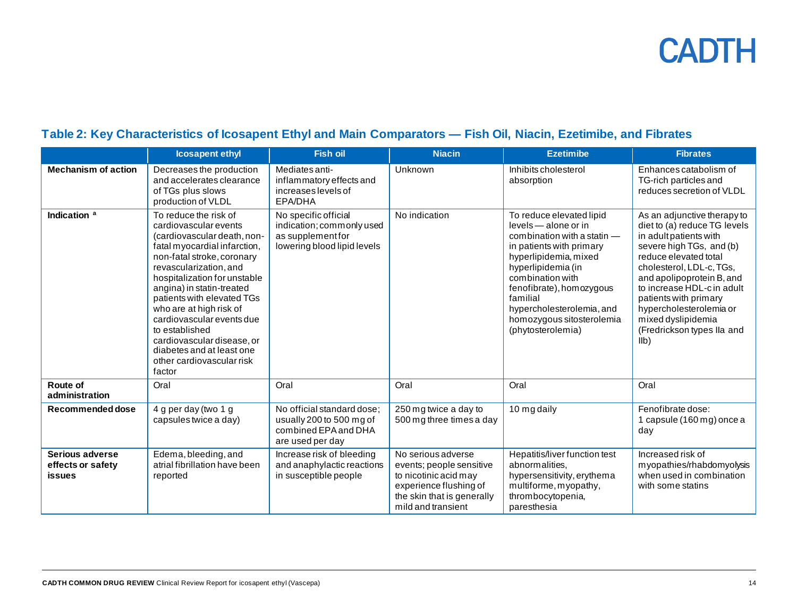### **Table 2: Key Characteristics of Icosapent Ethyl and Main Comparators — Fish Oil, Niacin, Ezetimibe, and Fibrates**

<span id="page-13-0"></span>

|                                                       | <b>Icosapent ethyl</b>                                                                                                                                                                                                                                                                                                                                                                                                                       | <b>Fish oil</b>                                                                                       | <b>Niacin</b>                                                                                                                                         | <b>Ezetimibe</b>                                                                                                                                                                                                                                                                                      | <b>Fibrates</b>                                                                                                                                                                                                                                                                                                                                             |
|-------------------------------------------------------|----------------------------------------------------------------------------------------------------------------------------------------------------------------------------------------------------------------------------------------------------------------------------------------------------------------------------------------------------------------------------------------------------------------------------------------------|-------------------------------------------------------------------------------------------------------|-------------------------------------------------------------------------------------------------------------------------------------------------------|-------------------------------------------------------------------------------------------------------------------------------------------------------------------------------------------------------------------------------------------------------------------------------------------------------|-------------------------------------------------------------------------------------------------------------------------------------------------------------------------------------------------------------------------------------------------------------------------------------------------------------------------------------------------------------|
| <b>Mechanism of action</b>                            | Decreases the production<br>and accelerates clearance<br>of TGs plus slows<br>production of VLDL                                                                                                                                                                                                                                                                                                                                             | Mediates anti-<br>inflammatory effects and<br>increases levels of<br>EPA/DHA                          | Unknown                                                                                                                                               | Inhibits cholesterol<br>absorption                                                                                                                                                                                                                                                                    | Enhances catabolism of<br>TG-rich particles and<br>reduces secretion of VLDL                                                                                                                                                                                                                                                                                |
| Indication <sup>a</sup>                               | To reduce the risk of<br>cardiovascular events<br>(cardiovascular death, non-<br>fatal myocardial infarction,<br>non-fatal stroke, coronary<br>revascularization, and<br>hospitalization for unstable<br>angina) in statin-treated<br>patients with elevated TGs<br>who are at high risk of<br>cardiovascular events due<br>to established<br>cardiovascular disease, or<br>diabetes and at least one<br>other cardiovascular risk<br>factor | No specific official<br>indication; commonly used<br>as supplement for<br>lowering blood lipid levels | No indication                                                                                                                                         | To reduce elevated lipid<br>levels - alone or in<br>combination with a statin -<br>in patients with primary<br>hyperlipidemia, mixed<br>hyperlipidemia (in<br>combination with<br>fenofibrate), homozygous<br>familial<br>hypercholesterolemia, and<br>homozygous sitosterolemia<br>(phytosterolemia) | As an adjunctive therapy to<br>diet to (a) reduce TG levels<br>in adult patients with<br>severe high TGs, and (b)<br>reduce elevated total<br>cholesterol, LDL-c, TGs,<br>and apolipoprotein B, and<br>to increase HDL-c in adult<br>patients with primary<br>hypercholesterolemia or<br>mixed dyslipidemia<br>(Fredrickson types Ila and<br>I <sub>1</sub> |
| Route of<br>administration                            | Oral                                                                                                                                                                                                                                                                                                                                                                                                                                         | Oral                                                                                                  | Oral                                                                                                                                                  | Oral                                                                                                                                                                                                                                                                                                  | Oral                                                                                                                                                                                                                                                                                                                                                        |
| Recommended dose                                      | 4 g per day (two 1 g<br>capsules twice a day)                                                                                                                                                                                                                                                                                                                                                                                                | No official standard dose;<br>usually 200 to 500 mg of<br>combined EPA and DHA<br>are used per day    | 250 mg twice a day to<br>500 mg three times a day                                                                                                     | 10 mg daily                                                                                                                                                                                                                                                                                           | Fenofibrate dose:<br>1 capsule (160 mg) once a<br>day                                                                                                                                                                                                                                                                                                       |
| Serious adverse<br>effects or safety<br><b>issues</b> | Edema, bleeding, and<br>atrial fibrillation have been<br>reported                                                                                                                                                                                                                                                                                                                                                                            | Increase risk of bleeding<br>and anaphylactic reactions<br>in susceptible people                      | No serious adverse<br>events; people sensitive<br>to nicotinic acid may<br>experience flushing of<br>the skin that is generally<br>mild and transient | Hepatitis/liver function test<br>abnormalities,<br>hypersensitivity, erythema<br>multiforme, myopathy,<br>thrombocytopenia,<br>paresthesia                                                                                                                                                            | Increased risk of<br>myopathies/rhabdomyolysis<br>when used in combination<br>with some statins                                                                                                                                                                                                                                                             |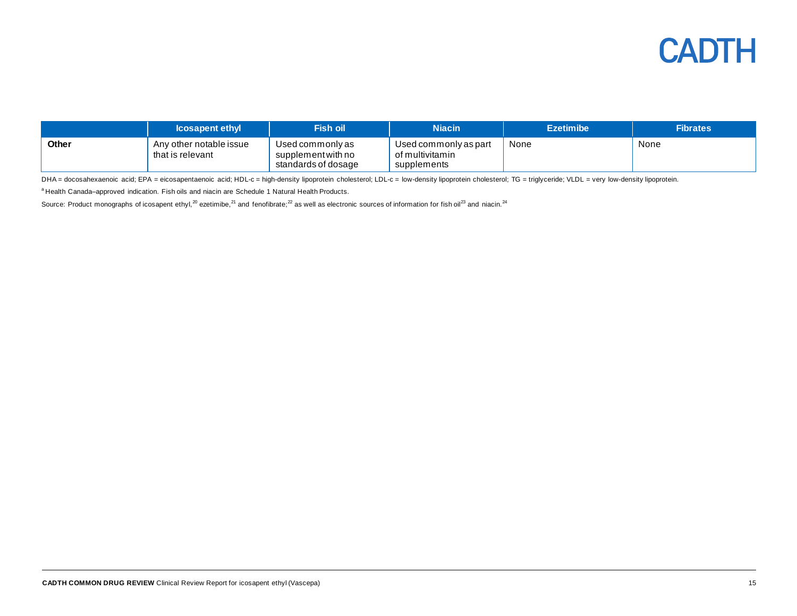

|              | <b>Icosapent ethyl</b>                      | Fish oil <sup>l</sup>                                         | <b>Niacin</b>                                           | <b>Ezetimibe</b> | <b>Fibrates</b> |
|--------------|---------------------------------------------|---------------------------------------------------------------|---------------------------------------------------------|------------------|-----------------|
| <b>Other</b> | Any other notable issue<br>that is relevant | Used commonly as<br>supplement with no<br>standards of dosage | Used commonly as part<br>of multivitamin<br>supplements | None             | None            |

DHA = docosahexaenoic acid; EPA = eicosapentaenoic acid; HDL-c = high-density lipoprotein cholesterol; LDL-c = low-density lipoprotein cholesterol; TG = triglyceride; VLDL = very low-density lipoprotein.

a Health Canada–approved indication. Fish oils and niacin are Schedule 1 Natural Health Products.

Source: Product monographs of icosapent ethyl,<sup>20</sup> ezetimibe,<sup>21</sup> and fenofibrate;<sup>22</sup> as well as electronic sources of information for fish oil<sup>23</sup> and niacin.<sup>24</sup>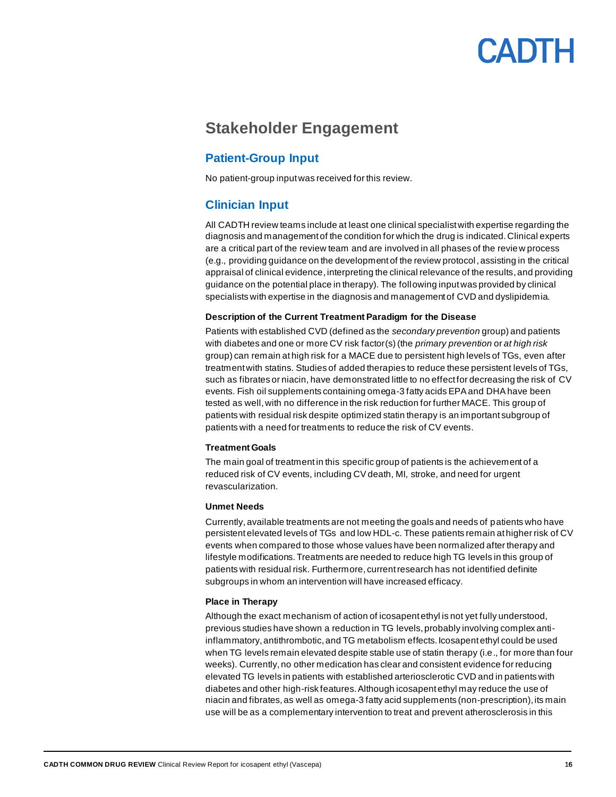### <span id="page-15-0"></span>**Stakeholder Engagement**

#### <span id="page-15-1"></span>**Patient-Group Input**

No patient-group input was received for this review.

#### <span id="page-15-2"></span>**Clinician Input**

All CADTH review teams include at least one clinical specialist with expertise regarding the diagnosis and management of the condition for which the drug is indicated. Clinical experts are a critical part of the review team and are involved in all phases of the review process (e.g., providing guidance on the development of the review protocol, assisting in the critical appraisal of clinical evidence, interpreting the clinical relevance of the results, and providing guidance on the potential place in therapy). The following input was provided by clinical specialists with expertise in the diagnosis and management of CVD and dyslipidemia.

#### **Description of the Current Treatment Paradigm for the Disease**

Patients with established CVD (defined as the *secondary prevention* group) and patients with diabetes and one or more CV risk factor(s) (the *primary prevention* or *at high risk* group) can remain at high risk for a MACE due to persistent high levels of TGs, even after treatment with statins. Studies of added therapies to reduce these persistent levels of TGs, such as fibrates or niacin, have demonstrated little to no effect for decreasing the risk of CV events. Fish oil supplements containing omega-3 fatty acids EPA and DHA have been tested as well, with no difference in the risk reduction for further MACE. This group of patients with residual risk despite optimized statin therapy is an important subgroup of patients with a need for treatments to reduce the risk of CV events.

#### **Treatment Goals**

The main goal of treatment in this specific group of patients is the achievement of a reduced risk of CV events, including CV death, MI, stroke, and need for urgent revascularization.

#### **Unmet Needs**

Currently,available treatments are not meeting the goals and needs of patients who have persistent elevated levels of TGs and low HDL-c. These patients remain at higher risk of CV events when compared to those whose values have been normalized after therapy and lifestyle modifications. Treatments are needed to reduce high TG levels in this group of patients with residual risk. Furthermore, current research has not identified definite subgroups in whom an intervention will have increased efficacy.

#### **Place in Therapy**

Although the exact mechanism of action of icosapent ethyl is not yet fully understood, previous studies have shown a reduction in TG levels, probably involving complex antiinflammatory, antithrombotic, and TG metabolism effects. Icosapent ethyl could be used when TG levels remain elevated despite stable use of statin therapy (i.e., for more than four weeks). Currently, no other medication has clear and consistent evidence for reducing elevated TG levels in patients with established arteriosclerotic CVD and in patients with diabetes and other high-risk features. Although icosapent ethyl may reduce the use of niacin and fibrates, as well as omega-3 fatty acid supplements (non-prescription), its main use will be as a complementary intervention to treat and prevent atherosclerosis in this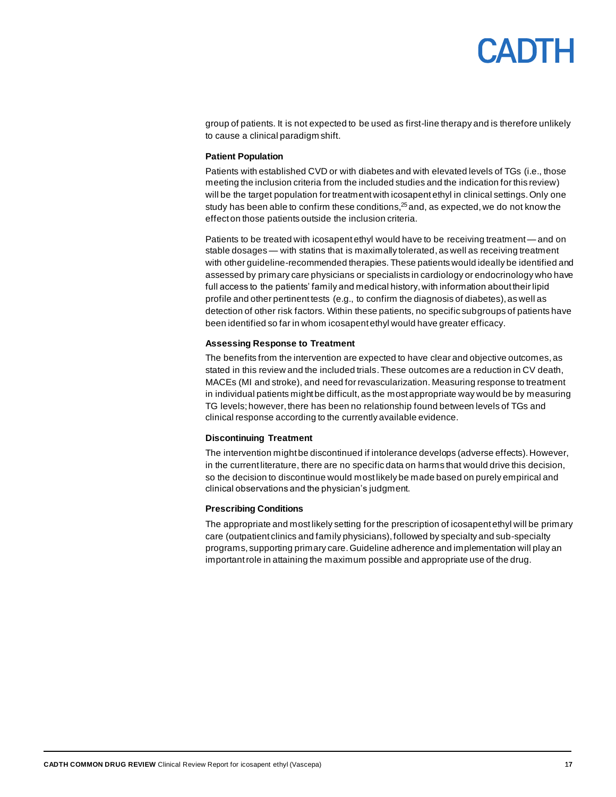# CANTH

group of patients. It is not expected to be used as first-line therapy and is therefore unlikely to cause a clinical paradigm shift.

#### **Patient Population**

Patients with established CVD or with diabetes and with elevated levels of TGs (i.e., those meeting the inclusion criteria from the included studies and the indication for this review) will be the target population for treatment with icosapent ethyl in clinical settings. Only one study has been able to confirm these conditions,<sup>25</sup> and, as expected, we do not know the effect on those patients outside the inclusion criteria.

Patients to be treated with icosapent ethyl would have to be receiving treatment— and on stable dosages— with statins that is maximally tolerated, as well as receiving treatment with other guideline-recommended therapies. These patients would ideally be identified and assessed by primary care physicians or specialists in cardiology or endocrinology who have full access to the patients' family and medical history, with information about their lipid profile and other pertinent tests (e.g., to confirm the diagnosis of diabetes), as well as detection of other risk factors. Within these patients, no specific subgroups of patients have been identified so far in whom icosapent ethyl would have greater efficacy.

#### **Assessing Response to Treatment**

The benefits from the intervention are expected to have clear and objective outcomes, as stated in this review and the included trials. These outcomes are a reduction in CV death, MACEs (MI and stroke), and need for revascularization. Measuring response to treatment in individual patients might be difficult, as the most appropriate way would be by measuring TG levels;however, there has been no relationship found between levels of TGs and clinical response according to the currently available evidence.

#### **Discontinuing Treatment**

The intervention might be discontinued if intolerance develops (adverse effects). However, in the current literature, there are no specific data on harms that would drive this decision, so the decision to discontinue would most likely be made based on purely empirical and clinical observations and the physician's judgment.

#### **Prescribing Conditions**

The appropriate and most likely setting for the prescription of icosapent ethyl will be primary care (outpatient clinics and family physicians), followed by specialty and sub-specialty programs, supporting primary care. Guideline adherence and implementation will play an important role in attaining the maximum possible and appropriate use of the drug.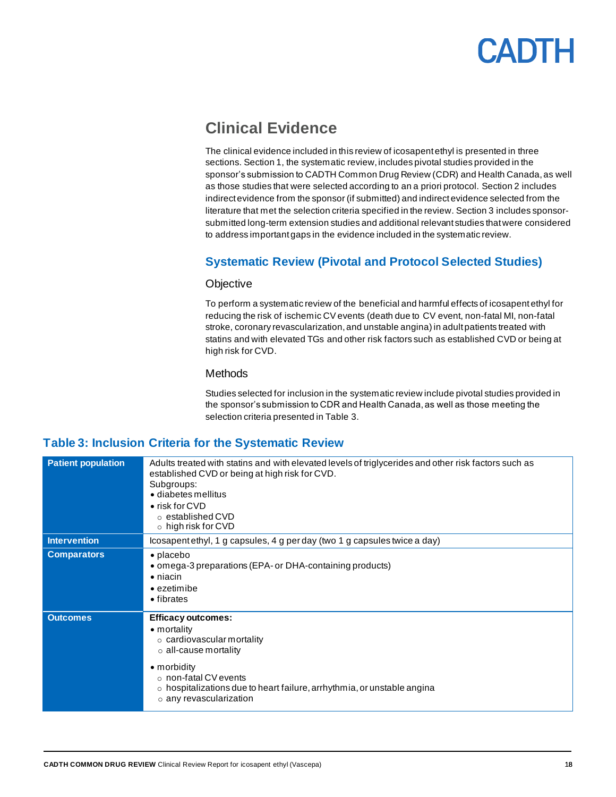

### <span id="page-17-0"></span>**Clinical Evidence**

The clinical evidence included in this review of icosapent ethyl is presented in three sections. Section 1, the systematic review, includes pivotal studies provided in the sponsor's submission to CADTH Common Drug Review (CDR) and Health Canada, as well as those studies that were selected according to an a priori protocol. Section 2 includes indirect evidence from the sponsor (if submitted) and indirect evidence selected from the literature that met the selection criteria specified in the review. Section 3 includes sponsorsubmitted long-term extension studies and additional relevant studies that were considered to address important gaps in the evidence included in the systematic review.

#### <span id="page-17-1"></span>**Systematic Review (Pivotal and Protocol Selected Studies)**

#### **Objective**

To perform a systematic review of the beneficial and harmful effects of icosapent ethyl for reducing the risk of ischemic CVevents (death due to CV event, non-fatal MI, non-fatal stroke, coronary revascularization, and unstable angina) in adult patients treated with statins and with elevated TGs and other risk factors such as established CVD or being at high risk for CVD.

#### **Methods**

Studies selected for inclusion in the systematic review include pivotal studies provided in the sponsor's submission to CDR and Health Canada, as well as those meeting the selection criteria presented in [Table 3.](#page-17-2)

#### <span id="page-17-2"></span>**Table 3: Inclusion Criteria for the Systematic Review**

| <b>Patient population</b> | Adults treated with statins and with elevated levels of triglycerides and other risk factors such as<br>established CVD or being at high risk for CVD.<br>Subgroups:<br>· diabetes mellitus<br>• risk for CVD<br>$\circ$ established CVD<br>$\circ$ high risk for CVD       |
|---------------------------|-----------------------------------------------------------------------------------------------------------------------------------------------------------------------------------------------------------------------------------------------------------------------------|
| <b>Intervention</b>       | Icosapentethyl, 1 g capsules, 4 g per day (two 1 g capsules twice a day)                                                                                                                                                                                                    |
| <b>Comparators</b>        | • placebo<br>• omega-3 preparations (EPA- or DHA-containing products)<br>$\bullet$ niacin<br>$\bullet$ ezetimibe<br>• fibrates                                                                                                                                              |
| <b>Outcomes</b>           | <b>Efficacy outcomes:</b><br>• mortality<br>$\circ$ cardiovascular mortality<br>$\circ$ all-cause mortality<br>• morbidity<br>$\circ$ non-fatal CV events<br>$\circ$ hospitalizations due to heart failure, arrhythmia, or unstable angina<br>$\circ$ any revascularization |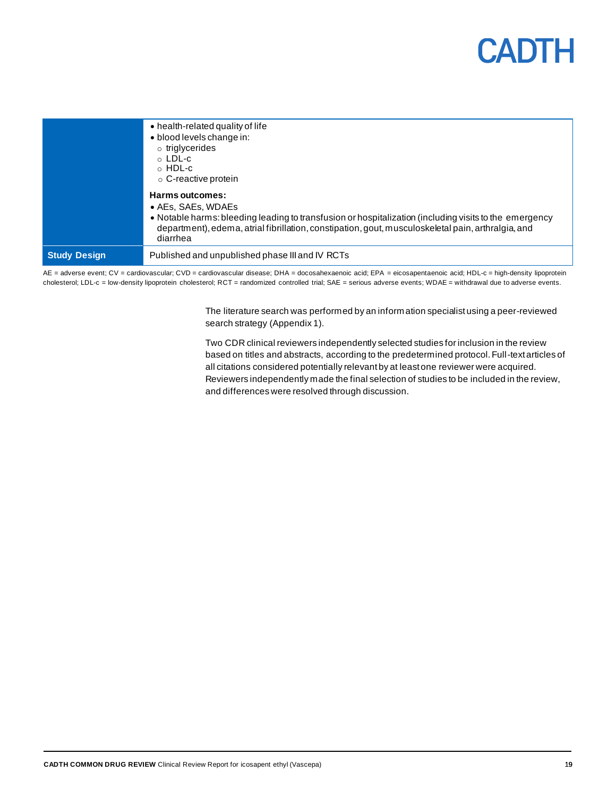

|                     | • health-related quality of life<br>• blood levels change in:<br>$\circ$ triglycerides<br>$\circ$ LDL-c<br>$\circ$ HDL-c<br>$\circ$ C-reactive protein<br>Harms outcomes:<br>$\bullet$ AEs, SAEs, WDAEs<br>• Notable harms: bleeding leading to transfusion or hospitalization (including visits to the emergency<br>department), edema, atrial fibrillation, constipation, gout, musculoskeletal pain, arthralgia, and<br>diarrhea |
|---------------------|-------------------------------------------------------------------------------------------------------------------------------------------------------------------------------------------------------------------------------------------------------------------------------------------------------------------------------------------------------------------------------------------------------------------------------------|
| <b>Study Design</b> | Published and unpublished phase III and IV RCTs                                                                                                                                                                                                                                                                                                                                                                                     |

AE = adverse event; CV = cardiovascular; CVD = cardiovascular disease; DHA = docosahexaenoic acid; EPA = eicosapentaenoic acid; HDL-c = high-density lipoprotein cholesterol; LDL-c = low-density lipoprotein cholesterol; RCT = randomized controlled trial; SAE = serious adverse events; WDAE = withdrawal due to adverse events.

> The literature search was performed by an information specialist using a peer-reviewed search strategy [\(Appendix 1\)](#page-46-0).

Two CDR clinical reviewers independently selected studies for inclusion in the review based on titles and abstracts, according to the predetermined protocol. Full-text articles of all citations considered potentially relevant by at least one reviewer were acquired. Reviewers independently made the final selection of studies to be included in the review, and differences were resolved through discussion.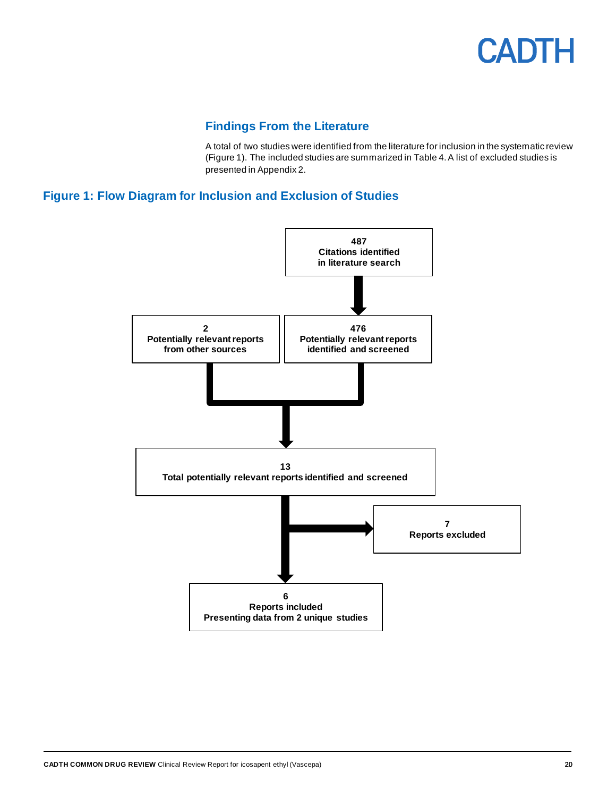

#### **Findings From the Literature**

A total of two studies were identified from the literature for inclusion in the systematic review [\(Figure 1\)](#page-19-1). The included studies are summarized i[n Table 4.](#page-20-0) A list of excluded studies is presented i[n Appendix 2.](#page-49-0)

#### <span id="page-19-1"></span><span id="page-19-0"></span>**Figure 1: Flow Diagram for Inclusion and Exclusion of Studies**

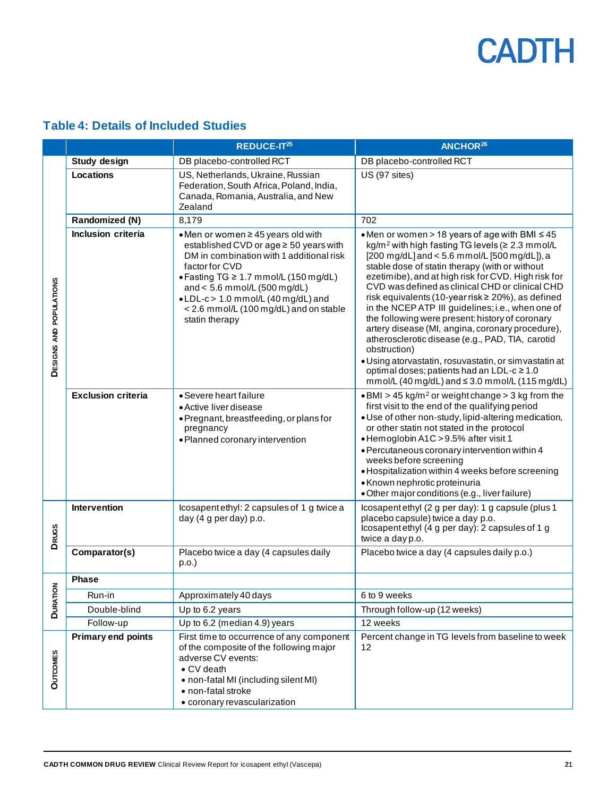<span id="page-20-0"></span>

| <b>Table 4: Details of Included Studies</b> |  |  |  |
|---------------------------------------------|--|--|--|
|                                             |  |  |  |

|                         |                           | REDUCE-IT <sup>25</sup>                                                                                                                                                                                                                                                                                                   | ANCHOR <sup>26</sup>                                                                                                                                                                                                                                                                                                                                                                                                                                                                                                                                                                                                                                                                                                                                                                |  |
|-------------------------|---------------------------|---------------------------------------------------------------------------------------------------------------------------------------------------------------------------------------------------------------------------------------------------------------------------------------------------------------------------|-------------------------------------------------------------------------------------------------------------------------------------------------------------------------------------------------------------------------------------------------------------------------------------------------------------------------------------------------------------------------------------------------------------------------------------------------------------------------------------------------------------------------------------------------------------------------------------------------------------------------------------------------------------------------------------------------------------------------------------------------------------------------------------|--|
|                         | <b>Study design</b>       | DB placebo-controlled RCT                                                                                                                                                                                                                                                                                                 | DB placebo-controlled RCT                                                                                                                                                                                                                                                                                                                                                                                                                                                                                                                                                                                                                                                                                                                                                           |  |
|                         | Locations                 | US, Netherlands, Ukraine, Russian<br>Federation, South Africa, Poland, India,<br>Canada, Romania, Australia, and New<br>Zealand                                                                                                                                                                                           | US (97 sites)                                                                                                                                                                                                                                                                                                                                                                                                                                                                                                                                                                                                                                                                                                                                                                       |  |
|                         | Randomized (N)            | 8,179                                                                                                                                                                                                                                                                                                                     | 702                                                                                                                                                                                                                                                                                                                                                                                                                                                                                                                                                                                                                                                                                                                                                                                 |  |
| DESIGNS AND POPULATIONS | Inclusion criteria        | • Men or women ≥ 45 years old with<br>established CVD or age ≥ 50 years with<br>DM in combination with 1 additional risk<br>factor for CVD<br>• Fasting TG ≥ 1.7 mmol/L (150 mg/dL)<br>and < $5.6$ mmol/L ( $500$ mg/dL)<br>.LDL-c> 1.0 mmol/L (40 mg/dL) and<br>< 2.6 mmol/L (100 mg/dL) and on stable<br>statin therapy | • Men or women > 18 years of age with BMI $\leq 45$<br>kg/m <sup>2</sup> with high fasting TG levels (≥ 2.3 mmol/L<br>[200 mg/dL] and < 5.6 mmol/L [500 mg/dL]), a<br>stable dose of statin therapy (with or without<br>ezetimibe), and at high risk for CVD. High risk for<br>CVD was defined as clinical CHD or clinical CHD<br>risk equivalents (10-year risk ≥ 20%), as defined<br>in the NCEP ATP III guidelines; i.e., when one of<br>the following were present: history of coronary<br>artery disease (MI, angina, coronary procedure),<br>atherosclerotic disease (e.g., PAD, TIA, carotid<br>obstruction)<br>· Using atorvastatin, rosuvastatin, or simvastatin at<br>optimal doses; patients had an LDL-c ≥ 1.0<br>$mmol/L$ (40 mg/dL) and $\leq$ 3.0 mmol/L (115 mg/dL) |  |
|                         | <b>Exclusion criteria</b> | • Severe heart failure<br>• Active liver disease<br>• Pregnant, breastfeeding, or plans for<br>pregnancy<br>· Planned coronary intervention                                                                                                                                                                               | $\bullet$ BMI > 45 kg/m <sup>2</sup> or weight change > 3 kg from the<br>first visit to the end of the qualifying period<br>· Use of other non-study, lipid-altering medication,<br>or other statin not stated in the protocol<br>• Hemoglobin A1C > 9.5% after visit 1<br>· Percutaneous coronary intervention within 4<br>weeks before screening<br>· Hospitalization within 4 weeks before screening<br>• Known nephrotic proteinuria<br>· Other major conditions (e.g., liver failure)                                                                                                                                                                                                                                                                                          |  |
| <b>DRUGS</b>            | Intervention              | Icosapentethyl: 2 capsules of 1 g twice a<br>day (4 g per day) p.o.                                                                                                                                                                                                                                                       | Icosapentethyl (2 g per day): 1 g capsule (plus 1<br>placebo capsule) twice a day p.o.<br>Icosapentethyl (4 g per day): 2 capsules of 1 g<br>twice a day p.o.                                                                                                                                                                                                                                                                                                                                                                                                                                                                                                                                                                                                                       |  |
|                         | Comparator(s)             | Placebo twice a day (4 capsules daily<br>p.o.                                                                                                                                                                                                                                                                             | Placebo twice a day (4 capsules daily p.o.)                                                                                                                                                                                                                                                                                                                                                                                                                                                                                                                                                                                                                                                                                                                                         |  |
|                         | <b>Phase</b>              |                                                                                                                                                                                                                                                                                                                           |                                                                                                                                                                                                                                                                                                                                                                                                                                                                                                                                                                                                                                                                                                                                                                                     |  |
| <b>DURATION</b>         | Run-in                    | Approximately 40 days                                                                                                                                                                                                                                                                                                     | 6 to 9 weeks                                                                                                                                                                                                                                                                                                                                                                                                                                                                                                                                                                                                                                                                                                                                                                        |  |
|                         | Double-blind              | Up to 6.2 years                                                                                                                                                                                                                                                                                                           | Through follow-up (12 weeks)                                                                                                                                                                                                                                                                                                                                                                                                                                                                                                                                                                                                                                                                                                                                                        |  |
|                         | Follow-up                 | Up to 6.2 (median 4.9) years                                                                                                                                                                                                                                                                                              | 12 weeks                                                                                                                                                                                                                                                                                                                                                                                                                                                                                                                                                                                                                                                                                                                                                                            |  |
| <b>OUTCOMES</b>         | <b>Primary end points</b> | First time to occurrence of any component<br>of the composite of the following major<br>adverse CV events:<br>• CV death<br>• non-fatal MI (including silent MI)<br>• non-fatal stroke<br>• coronary revascularization                                                                                                    | Percent change in TG levels from baseline to week<br>12                                                                                                                                                                                                                                                                                                                                                                                                                                                                                                                                                                                                                                                                                                                             |  |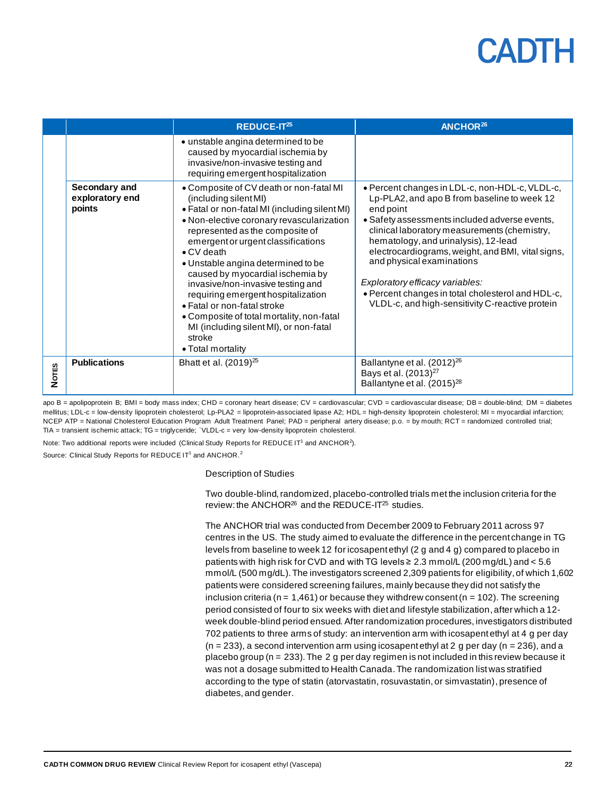|              |                                            | REDUCE-IT <sup>25</sup>                                                                                                                                                                                                                                                                                                                                                                                                                                                                                                                                                 | ANCHOR <sup>26</sup>                                                                                                                                                                                                                                                                                                                                                                                                                                                             |
|--------------|--------------------------------------------|-------------------------------------------------------------------------------------------------------------------------------------------------------------------------------------------------------------------------------------------------------------------------------------------------------------------------------------------------------------------------------------------------------------------------------------------------------------------------------------------------------------------------------------------------------------------------|----------------------------------------------------------------------------------------------------------------------------------------------------------------------------------------------------------------------------------------------------------------------------------------------------------------------------------------------------------------------------------------------------------------------------------------------------------------------------------|
|              |                                            | • unstable angina determined to be<br>caused by myocardial ischemia by<br>invasive/non-invasive testing and<br>requiring emergent hospitalization                                                                                                                                                                                                                                                                                                                                                                                                                       |                                                                                                                                                                                                                                                                                                                                                                                                                                                                                  |
|              | Secondary and<br>exploratory end<br>points | • Composite of CV death or non-fatal MI<br>(including silent MI)<br>• Fatal or non-fatal MI (including silent MI)<br>· Non-elective coronary revascularization<br>represented as the composite of<br>emergent or urgent classifications<br>$\bullet$ CV death<br>• Unstable angina determined to be<br>caused by myocardial ischemia by<br>invasive/non-invasive testing and<br>requiring emergent hospitalization<br>• Fatal or non-fatal stroke<br>• Composite of total mortality, non-fatal<br>MI (including silent MI), or non-fatal<br>stroke<br>• Total mortality | • Percent changes in LDL-c, non-HDL-c, VLDL-c,<br>Lp-PLA2, and apo B from baseline to week 12<br>end point<br>• Safety assessments included adverse events,<br>clinical laboratory measurements (chemistry,<br>hematology, and urinalysis), 12-lead<br>electrocardiograms, weight, and BMI, vital signs,<br>and physical examinations<br>Exploratory efficacy variables:<br>. Percent changes in total cholesterol and HDL-c,<br>VLDL-c, and high-sensitivity C-reactive protein |
| <b>Nores</b> | <b>Publications</b>                        | Bhatt et al. (2019) <sup>25</sup>                                                                                                                                                                                                                                                                                                                                                                                                                                                                                                                                       | Ballantyne et al. (2012) <sup>26</sup><br>Bays et al. (2013) <sup>27</sup><br>Ballantyne et al. (2015) <sup>28</sup>                                                                                                                                                                                                                                                                                                                                                             |

apo B = apolipoprotein B; BMI = body mass index; CHD = coronary heart disease; CV = cardiovascular; CVD = cardiovascular disease; DB = double-blind; DM = diabetes mellitus; LDL-c = low-density lipoprotein cholesterol; Lp-PLA2 = lipoprotein-associated lipase A2; HDL = high-density lipoprotein cholesterol; MI = myocardial infarction; NCEP ATP = National Cholesterol Education Program Adult Treatment Panel; PAD = peripheral artery disease; p.o. = by mouth; RCT = randomized controlled trial; TIA = transient ischemic attack; TG = triglyceride; `VLDL-c = very low-density lipoprotein cholesterol.

Note: Two additional reports were included (Clinical Study Reports for REDUCE IT<sup>1</sup> and ANCHOR<sup>2</sup>).

Source: Clinical Study Reports for REDUCE IT<sup>1</sup> and ANCHOR.<sup>2</sup>

Description of Studies

Two double-blind, randomized, placebo-controlled trials met the inclusion criteria for the review: the ANCHOR<sup>26</sup> and the REDUCE-IT<sup>25</sup> studies.

The ANCHOR trial was conducted from December 2009 to February 2011 across 97 centres in the US. The study aimed to evaluate the difference in the percent change in TG levels from baseline to week 12 for icosapent ethyl (2 g and 4 g) compared to placebo in patients with high risk for CVD and with TG levels  $\geq 2.3$  mmol/L (200 mg/dL) and  $< 5.6$ mmol/L (500 mg/dL). The investigators screened 2,309 patients for eligibility, of which 1,602 patients were considered screening failures, mainly because they did not satisfy the inclusion criteria ( $n = 1,461$ ) or because they withdrew consent ( $n = 102$ ). The screening period consisted of four to six weeks with diet and lifestyle stabilization, after which a 12week double-blind period ensued. After randomization procedures, investigators distributed 702 patients to three arms of study: an intervention arm with icosapent ethyl at 4 g per day  $(n = 233)$ , a second intervention arm using icosapent ethyl at 2 g per day  $(n = 236)$ , and a placebo group ( $n = 233$ ). The 2 g per day regimen is not included in this review because it was not a dosage submitted to Health Canada. The randomization list was stratified according to the type of statin (atorvastatin, rosuvastatin, or simvastatin), presence of diabetes, and gender.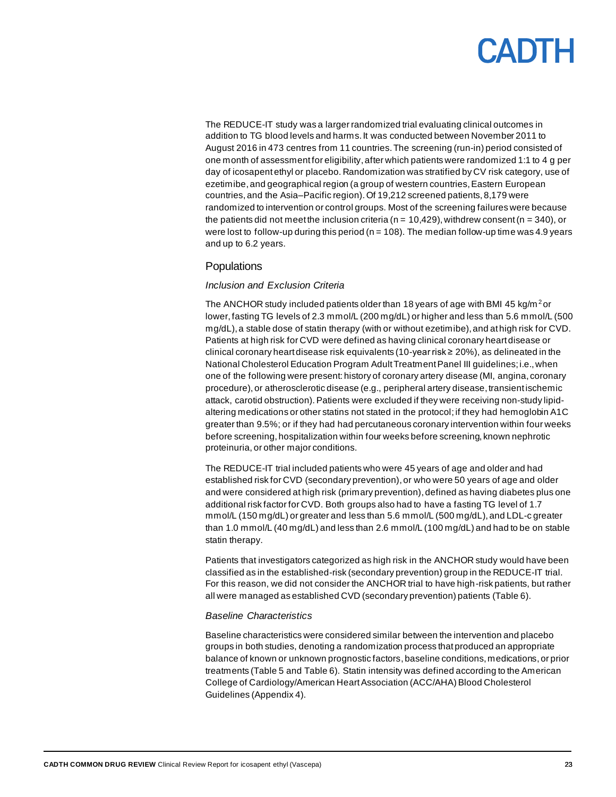## CANTH

The REDUCE-IT study was a larger randomized trial evaluating clinical outcomes in addition to TG blood levels and harms. It was conducted between November 2011 to August 2016 in 473 centres from 11 countries.The screening (run-in) period consisted of one month of assessment for eligibility, after which patients were randomized 1:1 to 4 g per day of icosapent ethyl or placebo. Randomization was stratified by CV risk category, use of ezetimibe,and geographical region (a group of western countries, Eastern European countries, and the Asia–Pacific region). Of 19,212 screened patients, 8,179 were randomized to intervention or control groups. Most of the screening failures were because the patients did not meet the inclusion criteria ( $n = 10,429$ ), withdrew consent ( $n = 340$ ), or were lost to follow-up during this period ( $n = 108$ ). The median follow-up time was 4.9 years and up to 6.2 years.

#### **Populations**

#### *Inclusion and Exclusion Criteria*

The ANCHOR study included patients older than 18 years of age with BMI 45 kg/m<sup>2</sup> or lower, fasting TG levels of 2.3 mmol/L (200 mg/dL) or higher and less than 5.6 mmol/L (500 mg/dL), a stable dose of statin therapy (with or without ezetimibe), and at high risk for CVD. Patients at high risk for CVD were defined as having clinical coronary heart disease or clinical coronary heart disease risk equivalents (10-year risk ≥ 20%), as delineated in the National Cholesterol Education Program Adult Treatment Panel III guidelines; i.e., when one of the following were present: history of coronary artery disease (MI, angina, coronary procedure), or atherosclerotic disease (e.g., peripheral artery disease, transient ischemic attack, carotid obstruction). Patients were excluded if they were receiving non-study lipidaltering medications or other statins not stated in the protocol; if they had hemoglobin A1C greater than 9.5%; or if they had had percutaneous coronary intervention within four weeks before screening, hospitalization within four weeks before screening, known nephrotic proteinuria, or other major conditions.

The REDUCE-IT trial included patients who were 45 years of age and older and had established risk for CVD (secondary prevention), or who were 50 years of age and older and were considered at high risk (primary prevention), defined as having diabetes plus one additional risk factor for CVD. Both groups also had to have a fasting TG level of 1.7 mmol/L (150 mg/dL) or greater and less than 5.6 mmol/L (500 mg/dL), and LDL-c greater than 1.0 mmol/L (40 mg/dL) and less than 2.6 mmol/L (100 mg/dL) and had to be on stable statin therapy.

Patients that investigators categorized as high risk in the ANCHOR study would have been classified as in the established-risk (secondary prevention) group in the REDUCE-IT trial. For this reason, we did not consider the ANCHOR trial to have high-risk patients, but rather all were managed as established CVD (secondary prevention) patients [\(Table 6\)](#page-24-0).

#### *Baseline Characteristics*

Baseline characteristics were considered similar between the intervention and placebo groups in both studies, denoting a randomization process that produced an appropriate balance of known or unknown prognostic factors, baseline conditions, medications, or prior treatments [\(Table 5](#page-23-0) an[d Table 6\)](#page-24-0). Statin intensity was defined according to the American College of Cardiology/American Heart Association (ACC/AHA) Blood Cholesterol Guidelines [\(Appendix 4\)](#page-52-0).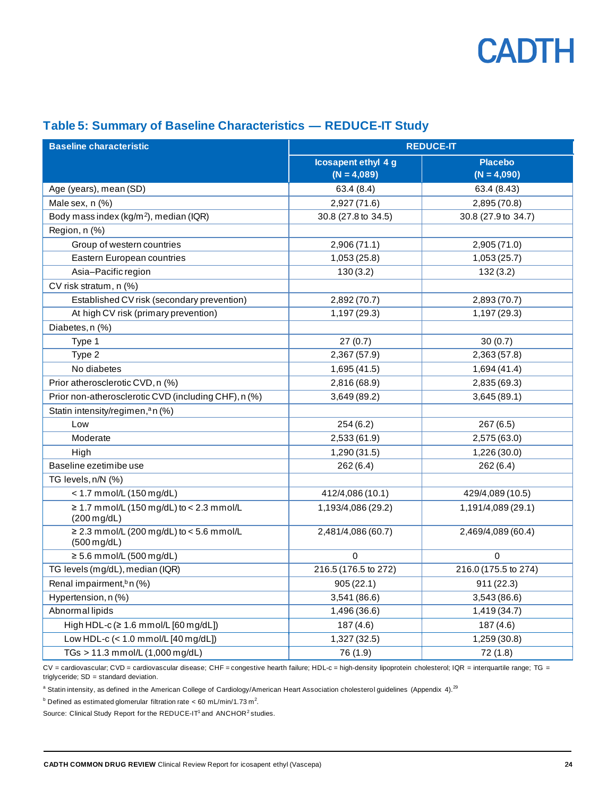

#### <span id="page-23-0"></span>**Table 5: Summary of Baseline Characteristics — REDUCE-IT Study**

| <b>Baseline characteristic</b>                                    | <b>REDUCE-IT</b>     |                      |  |  |
|-------------------------------------------------------------------|----------------------|----------------------|--|--|
|                                                                   | Icosapent ethyl 4 g  | <b>Placebo</b>       |  |  |
|                                                                   | $(N = 4,089)$        | $(N = 4,090)$        |  |  |
| Age (years), mean (SD)                                            | 63.4(8.4)            | 63.4 (8.43)          |  |  |
| Male sex, n (%)                                                   | 2,927 (71.6)         | 2,895 (70.8)         |  |  |
| Body mass index (kg/m <sup>2</sup> ), median (IQR)                | 30.8 (27.8 to 34.5)  | 30.8 (27.9 to 34.7)  |  |  |
| Region, n (%)                                                     |                      |                      |  |  |
| Group of western countries                                        | 2,906 (71.1)         | 2,905 (71.0)         |  |  |
| Eastern European countries                                        | 1,053(25.8)          | 1,053(25.7)          |  |  |
| Asia-Pacific region                                               | 130(3.2)             | 132(3.2)             |  |  |
| CV risk stratum, n (%)                                            |                      |                      |  |  |
| Established CV risk (secondary prevention)                        | 2,892 (70.7)         | 2,893 (70.7)         |  |  |
| At high CV risk (primary prevention)                              | 1,197 (29.3)         | 1,197 (29.3)         |  |  |
| Diabetes, n (%)                                                   |                      |                      |  |  |
| Type 1                                                            | 27(0.7)              | 30(0.7)              |  |  |
| Type 2                                                            | 2,367 (57.9)         | 2,363 (57.8)         |  |  |
| No diabetes                                                       | 1,695(41.5)          | 1,694 (41.4)         |  |  |
| Prior atherosclerotic CVD, n (%)                                  | 2,816 (68.9)         | 2,835 (69.3)         |  |  |
| Prior non-atherosclerotic CVD (including CHF), n (%)              | 3,649 (89.2)         | 3,645(89.1)          |  |  |
| Statin intensity/regimen, <sup>a</sup> n (%)                      |                      |                      |  |  |
| Low                                                               | 254(6.2)             | 267(6.5)             |  |  |
| Moderate                                                          | 2,533 (61.9)         | 2,575 (63.0)         |  |  |
| High                                                              | 1,290 (31.5)         | 1,226 (30.0)         |  |  |
| Baseline ezetimibe use                                            | 262(6.4)             | 262(6.4)             |  |  |
| TG levels, n/N (%)                                                |                      |                      |  |  |
| < 1.7 mmol/L (150 mg/dL)                                          | 412/4,086 (10.1)     | 429/4,089 (10.5)     |  |  |
| ≥ 1.7 mmol/L (150 mg/dL) to < 2.3 mmol/L<br>$(200 \text{ mg/dL})$ | 1,193/4,086 (29.2)   | 1,191/4,089 (29.1)   |  |  |
| ≥ 2.3 mmol/L (200 mg/dL) to < 5.6 mmol/L<br>$(500 \text{ mg/dL})$ | 2,481/4,086 (60.7)   | 2,469/4,089 (60.4)   |  |  |
| $\geq$ 5.6 mmol/L (500 mg/dL)                                     | $\Omega$             | $\Omega$             |  |  |
| TG levels (mg/dL), median (IQR)                                   | 216.5 (176.5 to 272) | 216.0 (175.5 to 274) |  |  |
| Renal impairment, <sup>b</sup> n (%)                              | 905(22.1)            | 911 (22.3)           |  |  |
| Hypertension, n (%)                                               | 3,541 (86.6)         | 3,543 (86.6)         |  |  |
| Abnormal lipids                                                   | 1,496 (36.6)         | 1,419(34.7)          |  |  |
| High HDL-c $( \ge 1.6$ mmol/L $[60$ mg/dL])                       | 187(4.6)             | 187(4.6)             |  |  |
| Low HDL-c (< 1.0 mmol/L [40 mg/dL])                               | 1,327 (32.5)         | 1,259 (30.8)         |  |  |
| TGs > 11.3 mmol/L (1,000 mg/dL)                                   | 76 (1.9)             | 72 (1.8)             |  |  |

CV = cardiovascular; CVD = cardiovascular disease; CHF = congestive hearth failure; HDL-c = high-density lipoprotein cholesterol; IQR = interquartile range; TG = triglyceride; SD = standard deviation.

<sup>a</sup> Statin intensity, as defined in the American College of Cardiology/American Heart Association cholesterol guidelines [\(Appendix 4\)](#page-52-0).<sup>29</sup>

 $^{\rm b}$  Defined as estimated glomerular filtration rate < 60 mL/min/1.73 m<sup>2</sup>.

Source: Clinical Study Report for the REDUCE-IT<sup>1</sup> and ANCHOR<sup>2</sup> studies.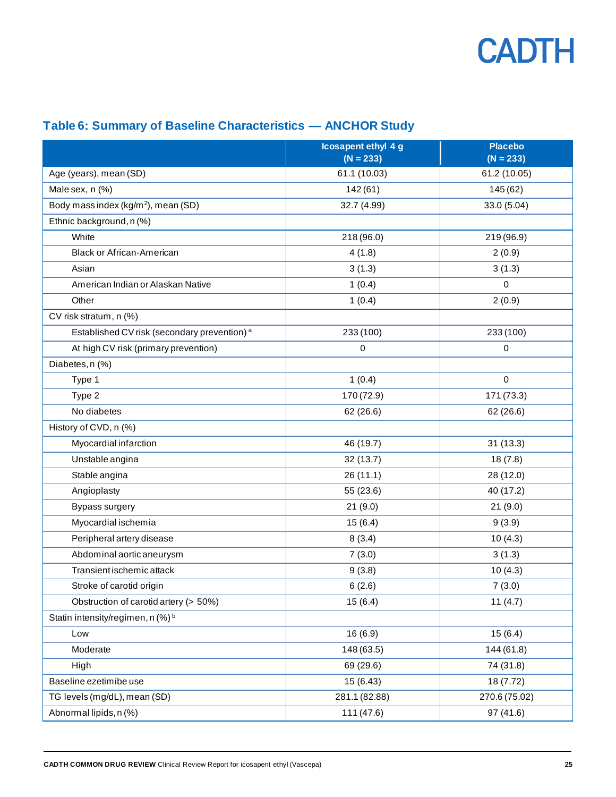

### <span id="page-24-0"></span>**Table 6: Summary of Baseline Characteristics — ANCHOR Study**

|                                                         | Icosapent ethyl 4 g<br>$(N = 233)$ | <b>Placebo</b><br>$(N = 233)$ |  |  |
|---------------------------------------------------------|------------------------------------|-------------------------------|--|--|
| Age (years), mean (SD)                                  | 61.1 (10.03)                       | 61.2 (10.05)                  |  |  |
| Male sex, n (%)                                         | 142(61)                            | 145 (62)                      |  |  |
| Body mass index (kg/m <sup>2</sup> ), mean (SD)         | 32.7 (4.99)                        | 33.0 (5.04)                   |  |  |
| Ethnic background, n (%)                                |                                    |                               |  |  |
| White                                                   | 218 (96.0)                         | 219 (96.9)                    |  |  |
| <b>Black or African-American</b>                        | 4(1.8)                             | 2(0.9)                        |  |  |
| Asian                                                   | 3(1.3)                             | 3(1.3)                        |  |  |
| American Indian or Alaskan Native                       | 1(0.4)                             | $\mathbf 0$                   |  |  |
| Other                                                   | 1(0.4)                             | 2(0.9)                        |  |  |
| CV risk stratum, n (%)                                  |                                    |                               |  |  |
| Established CV risk (secondary prevention) <sup>a</sup> | 233 (100)                          | 233 (100)                     |  |  |
| At high CV risk (primary prevention)                    | 0                                  | $\mathbf 0$                   |  |  |
| Diabetes, n (%)                                         |                                    |                               |  |  |
| Type 1                                                  | 1(0.4)                             | $\mathbf 0$                   |  |  |
| Type 2                                                  | 170 (72.9)                         | 171 (73.3)                    |  |  |
| No diabetes                                             | 62 (26.6)<br>62 (26.6)             |                               |  |  |
| History of CVD, n (%)                                   |                                    |                               |  |  |
| Myocardial infarction                                   | 46 (19.7)                          | 31(13.3)                      |  |  |
| Unstable angina                                         | 32 (13.7)                          | 18(7.8)                       |  |  |
| Stable angina                                           | 26(11.1)                           | 28 (12.0)                     |  |  |
| Angioplasty                                             | 55 (23.6)                          | 40 (17.2)                     |  |  |
| Bypass surgery                                          | 21(9.0)                            | 21(9.0)                       |  |  |
| Myocardial ischemia                                     | 15(6.4)                            | 9(3.9)                        |  |  |
| Peripheral artery disease                               | 8(3.4)                             | 10(4.3)                       |  |  |
| Abdominal aortic aneurysm                               | 7(3.0)                             | 3(1.3)                        |  |  |
| Transient ischemic attack                               | 9(3.8)                             | 10(4.3)                       |  |  |
| Stroke of carotid origin                                | 6(2.6)                             | 7(3.0)                        |  |  |
| Obstruction of carotid artery (> 50%)                   | 15(6.4)                            | 11 $(4.7)$                    |  |  |
| Statin intensity/regimen, n (%) <sup>b</sup>            |                                    |                               |  |  |
| Low                                                     | 16(6.9)                            | 15(6.4)                       |  |  |
| Moderate                                                | 148 (63.5)                         | 144 (61.8)                    |  |  |
| High                                                    | 69 (29.6)                          | 74 (31.8)                     |  |  |
| Baseline ezetimibe use                                  | 15(6.43)                           | 18 (7.72)                     |  |  |
| TG levels (mg/dL), mean (SD)                            | 281.1 (82.88)                      | 270.6 (75.02)                 |  |  |
| Abnormal lipids, n (%)                                  | 111 (47.6)<br>97 (41.6)            |                               |  |  |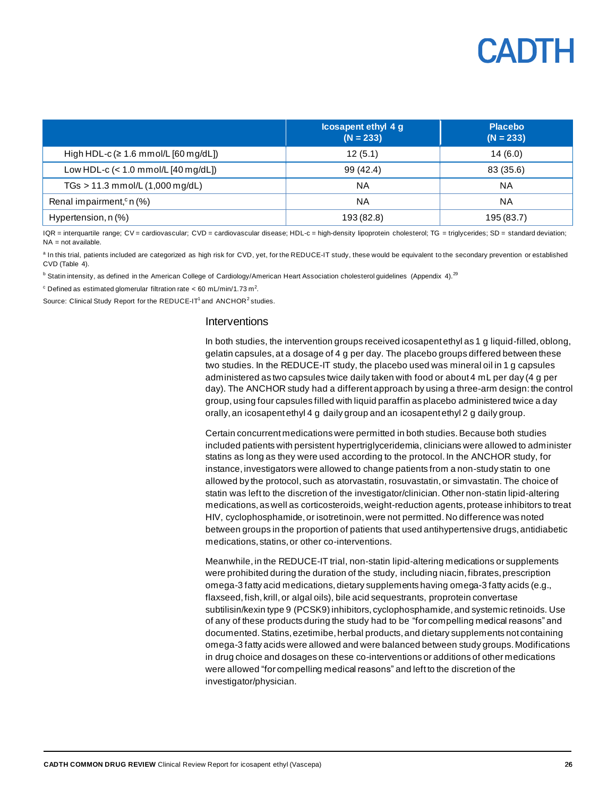## CANTH

|                                            | <b>Icosapent ethyl 4 g</b><br>$(N = 233)$ | <b>Placebo</b><br>$(N = 233)$ |
|--------------------------------------------|-------------------------------------------|-------------------------------|
| High HDL-c ( $\geq 1.6$ mmol/L [60 mg/dL]) | 12(5.1)                                   | 14(6.0)                       |
| Low HDL-c $(< 1.0$ mmol/L $[40$ mg/dL $])$ | 99 (42.4)                                 | 83 (35.6)                     |
| $TGs > 11.3$ mmol/L $(1,000$ mg/dL)        | NA                                        | <b>NA</b>                     |
| Renal impairment, <sup>c</sup> n $(\%)$    | ΝA                                        | NA.                           |
| Hypertension, n (%)                        | 193 (82.8)                                | 195 (83.7)                    |

IQR = interquartile range; CV = cardiovascular; CVD = cardiovascular disease; HDL-c = high-density lipoprotein cholesterol; TG = triglycerides; SD = standard deviation;  $NA = not available$ 

<sup>a</sup> In this trial, patients included are categorized as high risk for CVD, yet, for the REDUCE-IT study, these would be equivalent to the secondary prevention or established  $CVD$  (Table  $4$ ).

<sup>b</sup> Statin intensity, as defined in the American College of Cardiology/American Heart Association cholesterol guidelines [\(Appendix 4\)](#page-52-0).<sup>29</sup>

 $\textdegree$  Defined as estimated glomerular filtration rate < 60 mL/min/1.73 m<sup>2</sup>.

Source: Clinical Study Report for the REDUCE-IT<sup>1</sup> and ANCHOR<sup>2</sup> studies.

#### **Interventions**

In both studies, the intervention groups received icosapent ethyl as 1 g liquid-filled, oblong, gelatin capsules,at a dosage of 4 g per day. The placebo groups differed between these two studies. In the REDUCE-IT study, the placebo used was mineral oil in 1 g capsules administered as two capsules twice daily taken with food or about 4 mL per day (4 g per day). The ANCHOR study had a different approach by using a three-arm design: the control group, using four capsules filled with liquid paraffin as placebo administered twice a day orally, an icosapent ethyl 4 g daily group and an icosapent ethyl 2 g daily group.

Certain concurrent medications were permitted in both studies. Because both studies included patients with persistent hypertriglyceridemia, clinicians were allowed to administer statins as long as they were used according to the protocol. In the ANCHOR study, for instance, investigators were allowed to change patients from a non-study statin to one allowed by the protocol, such as atorvastatin, rosuvastatin, or simvastatin. The choice of statin was left to the discretion of the investigator/clinician. Other non-statin lipid-altering medications, as well as corticosteroids, weight-reduction agents, protease inhibitors to treat HIV, cyclophosphamide, or isotretinoin,were not permitted. No difference was noted between groups in the proportion of patients that used antihypertensive drugs, antidiabetic medications, statins, or other co-interventions.

Meanwhile,in the REDUCE-IT trial, non-statin lipid-altering medications or supplements were prohibited during the duration of the study, including niacin, fibrates, prescription omega-3 fatty acid medications, dietary supplements having omega-3 fatty acids (e.g., flaxseed, fish, krill, or algal oils), bile acid sequestrants, proprotein convertase subtilisin/kexin type 9 (PCSK9) inhibitors, cyclophosphamide, and systemic retinoids. Use of any of these products during the study had to be "for compelling medical reasons" and documented. Statins, ezetimibe, herbal products, and dietary supplements not containing omega-3 fatty acids were allowed and were balanced between study groups.Modifications in drug choice and dosages on these co-interventions or additions of other medications were allowed "for compelling medical reasons" and left to the discretion of the investigator/physician.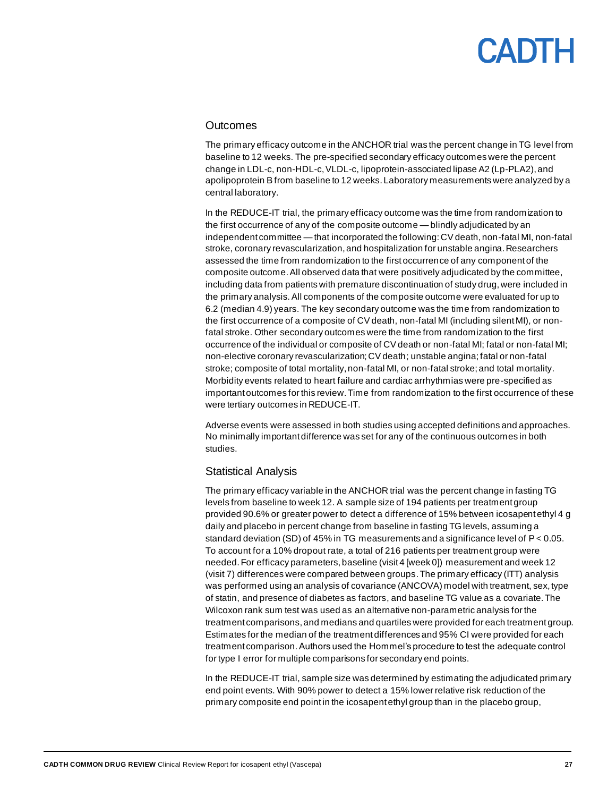#### **Outcomes**

The primary efficacy outcome in the ANCHOR trial was the percent change in TG level from baseline to 12 weeks. The pre-specified secondary efficacy outcomes were the percent change in LDL-c, non-HDL-c, VLDL-c, lipoprotein-associated lipase A2 (Lp-PLA2), and apolipoprotein Bfrom baseline to 12 weeks. Laboratory measurements were analyzed by a central laboratory.

In the REDUCE-IT trial, the primary efficacy outcome was the time from randomization to the first occurrence of any of the composite outcome — blindly adjudicated by an independent committee — that incorporated the following: CV death, non-fatal MI, non-fatal stroke, coronary revascularization, and hospitalization for unstable angina. Researchers assessed the time from randomization to the first occurrence of any component of the composite outcome. All observed data that were positively adjudicated by the committee, including data from patients with premature discontinuation of study drug, were included in the primary analysis. All components of the composite outcome were evaluated for up to 6.2 (median 4.9) years. The key secondary outcome was the time from randomization to the first occurrence of a composite of CV death, non-fatal MI (including silent MI), or nonfatal stroke. Other secondary outcomes were the time from randomization to the first occurrence of the individual or composite of CV death or non-fatal MI; fatal or non-fatal MI; non-elective coronary revascularization; CV death; unstable angina; fatal or non-fatal stroke; composite of total mortality, non-fatal MI, or non-fatal stroke; and total mortality. Morbidity events related to heart failure and cardiac arrhythmias were pre-specified as important outcomes for this review. Time from randomization to the first occurrence of these were tertiary outcomes in REDUCE-IT.

Adverse events were assessed in both studies using accepted definitions and approaches. No minimally important difference was set for any of the continuous outcomes in both studies.

#### Statistical Analysis

The primary efficacy variable in the ANCHOR trial was the percent change in fasting TG levels from baseline to week 12. A sample size of 194 patients per treatment group provided 90.6% or greater power to detect a difference of 15% between icosapent ethyl 4 g daily and placebo in percent change from baseline in fasting TG levels, assuming a standard deviation (SD) of 45% in TG measurements and a significance level of P < 0.05. To account for a 10% dropout rate, a total of 216 patients per treatment group were needed. For efficacy parameters, baseline (visit 4 [week 0]) measurement and week 12 (visit 7) differences were compared between groups. The primary efficacy (ITT) analysis was performed using an analysis of covariance (ANCOVA) model with treatment, sex, type of statin, and presence of diabetes as factors, and baseline TG value as a covariate. The Wilcoxon rank sum test was used as an alternative non-parametric analysis for the treatment comparisons, and medians and quartiles were provided for each treatment group. Estimates for the median of the treatment differences and 95% CI were provided for each treatment comparison.Authors used the Hommel's procedure to test the adequate control for type I error for multiple comparisons for secondary end points.

In the REDUCE-IT trial, sample size was determined by estimating the adjudicated primary end point events. With 90% power to detect a 15% lower relative risk reduction of the primary composite end point in the icosapent ethyl group than in the placebo group,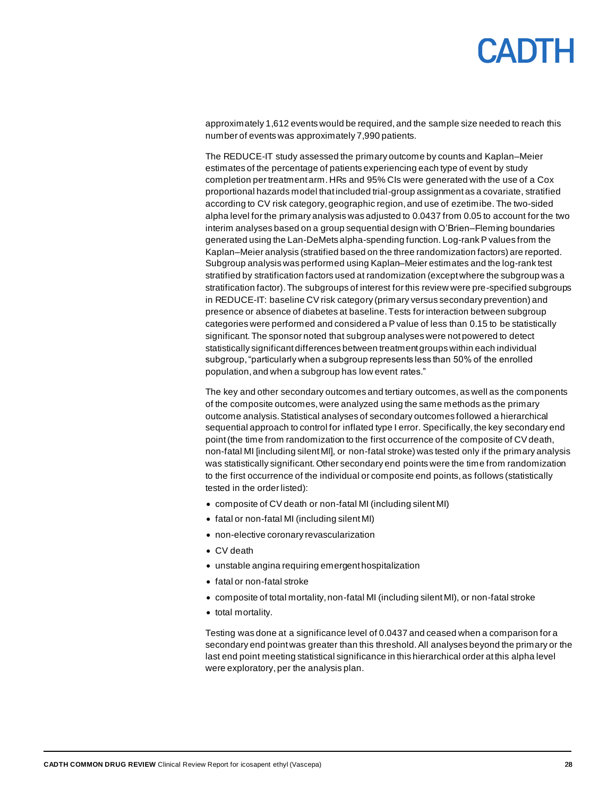## CANTH

approximately 1,612 events would be required, and the sample size needed to reach this number of events was approximately 7,990 patients.

The REDUCE-IT study assessed the primary outcome by counts and Kaplan–Meier estimates of the percentage of patients experiencing each type of event by study completion per treatment arm. HRs and 95% CIs were generated with the use of a Cox proportional hazards model that included trial-group assignment as a covariate, stratified according to CV risk category, geographic region, and use of ezetimibe. The two-sided alpha level for the primary analysis was adjusted to 0.0437 from 0.05 to account for the two interim analyses based on a group sequential design with O'Brien–Fleming boundaries generated using the Lan-DeMets alpha-spending function. Log-rank P values from the Kaplan–Meier analysis (stratified based on the three randomization factors) are reported. Subgroup analysis was performed using Kaplan–Meier estimates and the log-rank test stratified by stratification factors used at randomization (except where the subgroup was a stratification factor). The subgroups of interest for this review were pre-specified subgroups in REDUCE-IT: baseline CV risk category (primary versus secondary prevention) and presence or absence of diabetes at baseline. Tests for interaction between subgroup categories were performed and considered a Pvalue of less than 0.15 to be statistically significant. The sponsor noted that subgroup analyses were not powered to detect statistically significant differences between treatment groups within each individual subgroup, "particularly when a subgroup represents less than 50% of the enrolled population, and when a subgroup has low event rates."

The key and other secondary outcomes and tertiary outcomes, as well as the components of the composite outcomes, were analyzed using the same methods as the primary outcome analysis. Statistical analyses of secondary outcomes followed a hierarchical sequential approach to control for inflated type I error. Specifically, the key secondary end point(the time from randomization to the first occurrence of the composite of CV death, non-fatal MI [including silent MI], or non-fatal stroke) was tested only if the primary analysis was statistically significant. Other secondary end points were the time from randomization to the first occurrence of the individual or composite end points, as follows (statistically tested in the order listed):

- composite of CV death or non-fatal MI (including silent MI)
- fatal or non-fatal MI (including silent MI)
- non-elective coronary revascularization
- CV death
- unstable angina requiring emergent hospitalization
- fatal or non-fatal stroke
- composite of total mortality, non-fatal MI (including silent MI), or non-fatal stroke
- total mortality.

Testing was done at a significance level of 0.0437 and ceased when a comparison for a secondary end pointwas greater than this threshold. All analyses beyond the primary or the last end point meeting statistical significance in this hierarchical order at this alpha level were exploratory, per the analysis plan.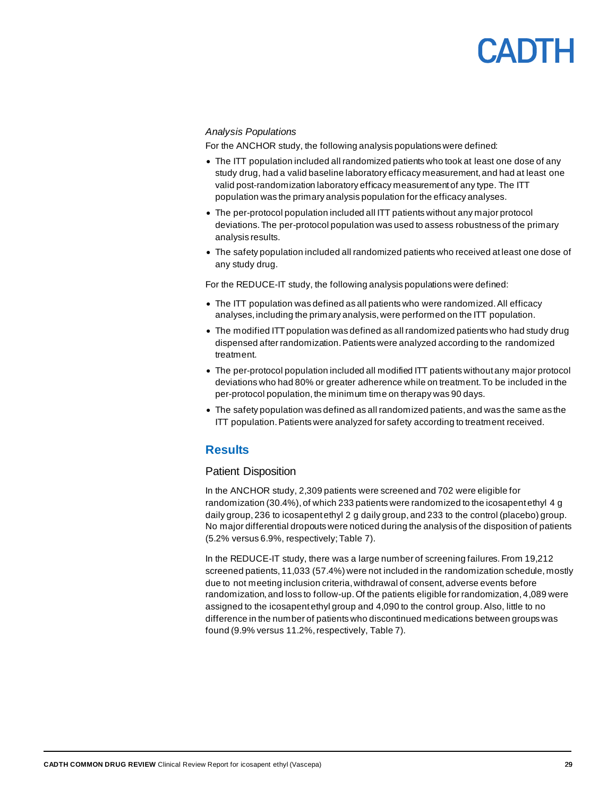## CANTH

#### *Analysis Populations*

For the ANCHOR study, the following analysis populations were defined:

- The ITT population included all randomized patients who took at least one dose of any study drug, had a valid baseline laboratory efficacy measurement, and had at least one valid post-randomization laboratory efficacy measurement of any type. The ITT population was the primary analysis population for the efficacy analyses.
- The per-protocol population included all ITT patients without any major protocol deviations. The per-protocol population was used to assess robustness of the primary analysis results.
- The safety population included all randomized patients who received at least one dose of any study drug.

For the REDUCE-IT study, the following analysis populations were defined:

- The ITT population was defined as all patients who were randomized. All efficacy analyses, including the primary analysis, were performed on the ITT population.
- The modified ITT population was defined as all randomized patients who had study drug dispensed after randomization. Patients were analyzed according to the randomized treatment.
- The per-protocol population included all modified ITT patients without any major protocol deviations who had 80% or greater adherence while on treatment. To be included in the per-protocol population, the minimum time on therapy was 90 days.
- The safety population was defined as all randomized patients, and was the same as the ITT population. Patients were analyzed for safety according to treatment received.

#### <span id="page-28-0"></span>**Results**

#### Patient Disposition

In the ANCHOR study, 2,309 patients were screened and 702 were eligible for randomization (30.4%), of which 233 patients were randomized to the icosapent ethyl 4 g daily group, 236 to icosapent ethyl 2 g daily group,and 233 to the control (placebo) group. No major differential dropouts were noticed during the analysis of the disposition of patients (5.2% versus 6.9%, respectively[;Table 7\)](#page-29-0).

In the REDUCE-IT study, there was a large number of screening failures. From 19,212 screened patients, 11,033 (57.4%) were not included in the randomization schedule, mostly due to not meeting inclusion criteria, withdrawal of consent, adverse events before randomization, and loss to follow-up.Of the patients eligible for randomization, 4,089 were assigned to the icosapent ethyl group and 4,090 to the control group. Also, little to no difference in the number of patients who discontinued medications between groups was found (9.9% versus 11.2%, respectively, [Table 7\)](#page-29-0).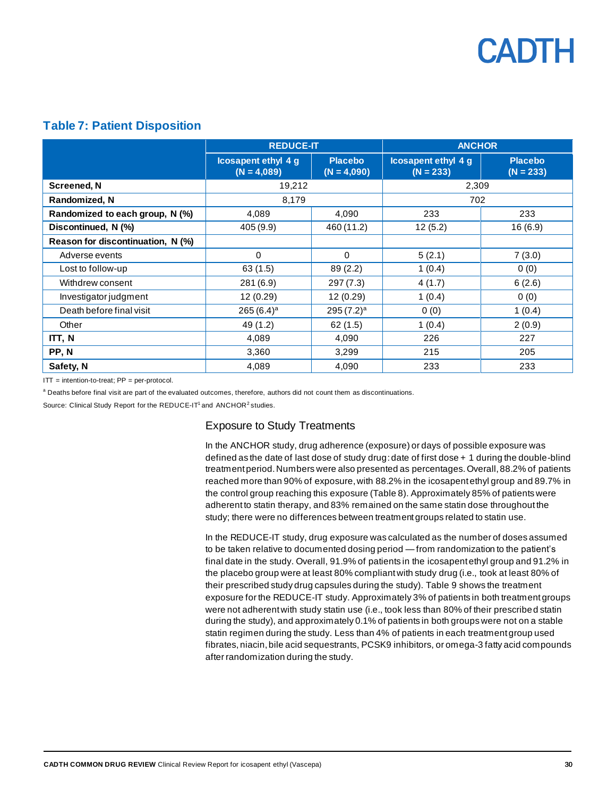

#### <span id="page-29-0"></span>**Table 7: Patient Disposition**

|                                   | <b>REDUCE-IT</b>                            |                                 | <b>ANCHOR</b>                             |                               |  |
|-----------------------------------|---------------------------------------------|---------------------------------|-------------------------------------------|-------------------------------|--|
|                                   | <b>Icosapent ethyl 4 g</b><br>$(N = 4,089)$ | <b>Placebo</b><br>$(N = 4,090)$ | <b>Icosapent ethyl 4 g</b><br>$(N = 233)$ | <b>Placebo</b><br>$(N = 233)$ |  |
| Screened, N                       | 19,212                                      |                                 | 2,309                                     |                               |  |
| Randomized, N                     | 8,179                                       |                                 | 702                                       |                               |  |
| Randomized to each group, N (%)   | 4,089                                       | 4,090                           | 233                                       | 233                           |  |
| Discontinued, N (%)               | 405 (9.9)                                   | 460 (11.2)                      | 12(5.2)                                   | 16(6.9)                       |  |
| Reason for discontinuation, N (%) |                                             |                                 |                                           |                               |  |
| Adverse events                    | $\Omega$                                    | $\Omega$                        | 5(2.1)                                    | 7(3.0)                        |  |
| Lost to follow-up                 | 63 (1.5)                                    | 89 (2.2)                        | 1(0.4)                                    | 0(0)                          |  |
| Withdrew consent                  | 281 (6.9)                                   | 297(7.3)                        | 4(1.7)                                    | 6(2.6)                        |  |
| Investigator judgment             | 12 (0.29)                                   | 12 (0.29)                       | 1(0.4)                                    | 0(0)                          |  |
| Death before final visit          | 265 $(6.4)^a$                               | $295(7.2)^a$                    | 0(0)                                      | 1(0.4)                        |  |
| Other                             | 49 (1.2)                                    | 62(1.5)                         | 1(0.4)                                    | 2(0.9)                        |  |
| ITT, N                            | 4,089                                       | 4,090                           | 226                                       | 227                           |  |
| PP, N                             | 3,360                                       | 3,299                           | 215                                       | 205                           |  |
| Safety, N                         | 4,089                                       | 4,090                           | 233                                       | 233                           |  |

ITT = intention-to-treat; PP = per-protocol.

a Deaths before final visit are part of the evaluated outcomes, therefore, authors did not count them as discontinuations.

Source: Clinical Study Report for the REDUCE-IT<sup>1</sup> and ANCHOR<sup>2</sup> studies.

#### Exposure to Study Treatments

In the ANCHOR study, drug adherence (exposure) or days of possible exposure was defined as the date of last dose of study drug: date of first dose + 1 during the double-blind treatment period. Numbers were also presented as percentages. Overall, 88.2% of patients reached more than 90% of exposure, with 88.2% in the icosapent ethyl group and 89.7% in the control group reaching this exposure [\(Table 8\)](#page-30-0). Approximately 85% of patients were adherent to statin therapy, and 83% remained on the same statin dose throughout the study; there were no differences between treatment groups related to statin use.

In the REDUCE-IT study, drug exposure was calculated as the number of doses assumed to be taken relative to documented dosing period — from randomization to the patient's final date in the study. Overall, 91.9% of patients in the icosapent ethyl group and 91.2% in the placebo group were at least 80% compliant with study drug (i.e., took at least 80% of their prescribed study drug capsules during the study). [Table 9](#page-30-1) shows the treatment exposure for the REDUCE-IT study. Approximately 3% of patients in both treatment groups were not adherent with study statin use (i.e., took less than 80% of their prescribed statin during the study), and approximately 0.1% of patients in both groups were not on a stable statin regimen during the study. Less than 4% of patients in each treatment group used fibrates, niacin, bile acid sequestrants, PCSK9 inhibitors, or omega-3 fatty acid compounds after randomization during the study.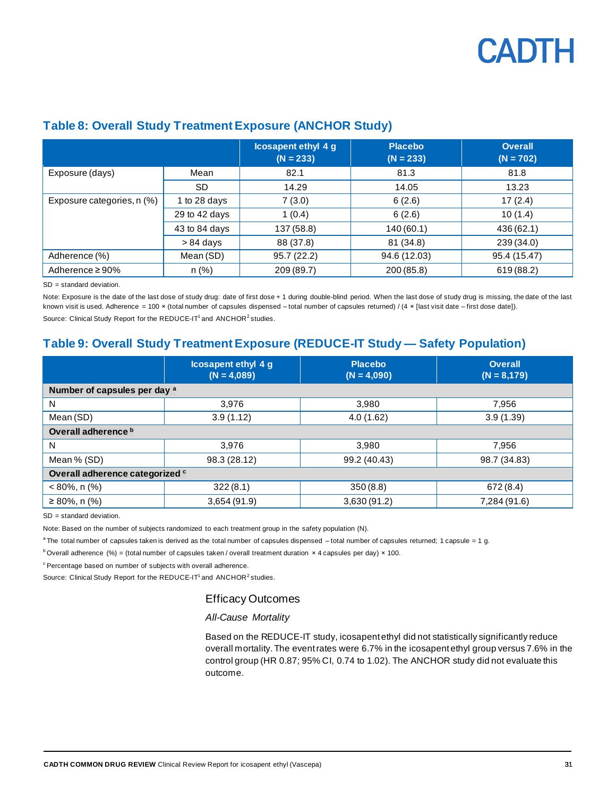|                            |               | Icosapent ethyl 4 g<br>$(N = 233)$ | <b>Placebo</b><br>$(N = 233)$ | <b>Overall</b><br>$(N = 702)$ |
|----------------------------|---------------|------------------------------------|-------------------------------|-------------------------------|
| Exposure (days)            | Mean          | 82.1                               | 81.3                          | 81.8                          |
|                            | SD.           | 14.29                              | 14.05                         | 13.23                         |
| Exposure categories, n (%) | 1 to 28 days  | 7(3.0)                             | 6(2.6)                        | 17(2.4)                       |
|                            | 29 to 42 days | 1(0.4)                             | 6(2.6)                        | 10(1.4)                       |
|                            | 43 to 84 days | 137 (58.8)                         | 140(60.1)                     | 436 (62.1)                    |
|                            | $> 84$ days   | 88 (37.8)                          | 81 (34.8)                     | 239 (34.0)                    |
| Adherence (%)              | Mean (SD)     | 95.7 (22.2)                        | 94.6 (12.03)                  | 95.4 (15.47)                  |
| Adherence $\geq 90\%$      | n(%)          | 209 (89.7)                         | 200 (85.8)                    | 619 (88.2)                    |

#### <span id="page-30-0"></span>**Table 8: Overall Study Treatment Exposure (ANCHOR Study)**

SD = standard deviation.

Note: Exposure is the date of the last dose of study drug: date of first dose + 1 during double-blind period. When the last dose of study drug is missing, the date of the last known visit is used. Adherence = 100 × (total number of capsules dispensed – total number of capsules returned) / (4 × [last visit date – first dose date]). Source: Clinical Study Report for the REDUCE-IT<sup>1</sup> and ANCHOR<sup>2</sup> studies.

#### <span id="page-30-1"></span>**Table 9: Overall Study Treatment Exposure (REDUCE-IT Study — Safety Population)**

|                                 | <b>Icosapent ethyl 4 g</b><br>$(N = 4,089)$ | <b>Placebo</b><br>$(N = 4,090)$ | <b>Overall</b><br>$(N = 8,179)$ |  |  |  |  |  |  |
|---------------------------------|---------------------------------------------|---------------------------------|---------------------------------|--|--|--|--|--|--|
| Number of capsules per day a    |                                             |                                 |                                 |  |  |  |  |  |  |
| N                               | 3,976                                       | 3,980                           | 7,956                           |  |  |  |  |  |  |
| Mean (SD)                       | 3.9(1.12)                                   | 4.0(1.62)                       | 3.9(1.39)                       |  |  |  |  |  |  |
| Overall adherence b             |                                             |                                 |                                 |  |  |  |  |  |  |
| N                               | 3.976                                       | 3.980                           | 7,956                           |  |  |  |  |  |  |
| Mean % (SD)                     | 98.3 (28.12)                                | 99.2 (40.43)                    | 98.7 (34.83)                    |  |  |  |  |  |  |
| Overall adherence categorized c |                                             |                                 |                                 |  |  |  |  |  |  |
| $< 80\%$ , n $(\%)$             | 322(8.1)                                    | 350(8.8)                        | 672(8.4)                        |  |  |  |  |  |  |
| $\geq$ 80%, n (%)               | 3,654 (91.9)                                | 3,630 (91.2)                    | 7,284 (91.6)                    |  |  |  |  |  |  |

SD = standard deviation.

Note: Based on the number of subjects randomized to each treatment group in the safety population (N).

<sup>a</sup>The total number of capsules taken is derived as the total number of capsules dispensed -total number of capsules returned; 1 capsule = 1 g.

 $b$  Overall adherence (%) = (total number of capsules taken / overall treatment duration  $\times$  4 capsules per day)  $\times$  100.

 $c$  Percentage based on number of subjects with overall adherence.

Source: Clinical Study Report for the REDUCE-IT<sup>1</sup> and ANCHOR<sup>2</sup> studies.

#### Efficacy Outcomes

#### *All-Cause Mortality*

Based on the REDUCE-IT study, icosapent ethyl did not statistically significantly reduce overall mortality.The event rates were 6.7% in the icosapent ethyl group versus 7.6% in the control group (HR 0.87; 95% CI, 0.74 to 1.02). The ANCHOR study did not evaluate this outcome.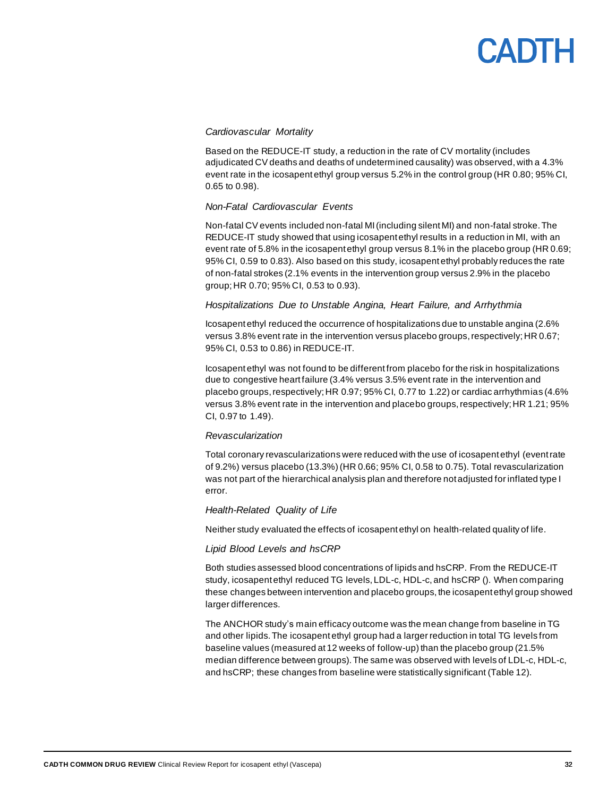#### *Cardiovascular Mortality*

Based on the REDUCE-IT study, a reduction in the rate of CV mortality (includes adjudicated CV deaths and deaths of undetermined causality) was observed, with a 4.3% event rate in the icosapent ethyl group versus 5.2% in the control group (HR 0.80; 95% CI, 0.65 to 0.98).

#### *Non-Fatal Cardiovascular Events*

Non-fatal CV events included non-fatal MI (including silent MI) and non-fatal stroke. The REDUCE-IT study showed that using icosapent ethyl results in a reduction in MI, with an event rate of 5.8% in the icosapent ethyl group versus 8.1% in the placebo group (HR 0.69; 95% CI, 0.59 to 0.83). Also based on this study, icosapent ethyl probably reduces the rate of non-fatal strokes (2.1% events in the intervention group versus 2.9% in the placebo group; HR 0.70; 95% CI, 0.53 to 0.93).

#### *Hospitalizations Due to Unstable Angina, Heart Failure, and Arrhythmia*

Icosapent ethyl reduced the occurrence of hospitalizations due to unstable angina (2.6% versus 3.8% event rate in the intervention versus placebo groups, respectively; HR 0.67; 95% CI, 0.53 to 0.86) in REDUCE-IT.

Icosapent ethyl was not found to be different from placebo for the risk in hospitalizations due to congestive heart failure (3.4% versus 3.5% event rate in the intervention and placebo groups,respectively; HR 0.97; 95% CI, 0.77 to 1.22) or cardiac arrhythmias (4.6% versus 3.8% event rate in the intervention and placebo groups,respectively; HR 1.21; 95% CI, 0.97 to 1.49).

#### *Revascularization*

Total coronary revascularizations were reduced with the use of icosapent ethyl (event rate of 9.2%) versus placebo (13.3%) (HR 0.66; 95% CI, 0.58 to 0.75). Total revascularization was not part of the hierarchical analysis plan and therefore not adjusted for inflated type I error.

#### *Health-Related Quality of Life*

Neither study evaluated the effects of icosapent ethyl on health-related quality of life.

#### *Lipid Blood Levels and hsCRP*

Both studies assessed blood concentrations of lipids and hsCRP. From the REDUCE-IT study, icosapent ethyl reduced TG levels, LDL-c, HDL-c, and hsCRP (). When comparing these changes between intervention and placebo groups, the icosapent ethyl group showed larger differences.

The ANCHOR study's main efficacy outcome was the mean change from baseline in TG and other lipids. The icosapent ethyl group had a larger reduction in total TG levels from baseline values (measured at 12 weeks of follow-up) than the placebo group (21.5% median difference between groups). The same was observed with levels of LDL-c, HDL-c, and hsCRP; these changes from baseline were statistically significant [\(Table 12](#page-36-0)).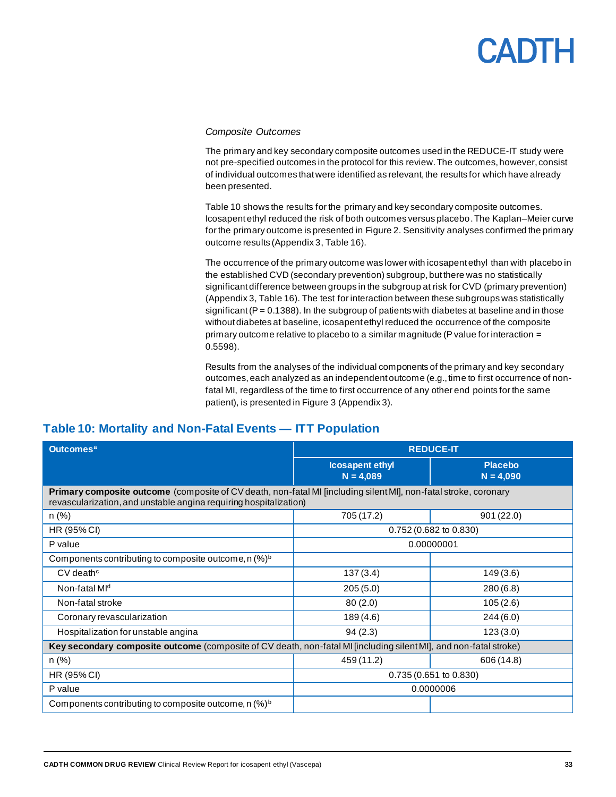#### *Composite Outcomes*

The primary and key secondary composite outcomes used in the REDUCE-IT study were not pre-specified outcomes in the protocol for this review. The outcomes, however, consist of individual outcomes that were identified as relevant, the results for which have already been presented.

[Table 10](#page-32-0) shows the results for the primary and key secondary composite outcomes. Icosapent ethyl reduced the risk of both outcomes versus placebo. The Kaplan–Meier curve for the primary outcome is presented i[n Figure](#page-37-0) 2. Sensitivity analyses confirmed the primary outcome results (Appendix 3, [Table 16\)](#page-50-0).

The occurrence of the primary outcome was lower with icosapent ethyl than with placebo in the established CVD (secondary prevention) subgroup, but there was no statistically significant difference between groups in the subgroup at risk for CVD (primary prevention) (Appendix 3, [Table 16\)](#page-50-0). The test for interaction between these subgroups was statistically significant ( $P = 0.1388$ ). In the subgroup of patients with diabetes at baseline and in those without diabetes at baseline, icosapent ethyl reduced the occurrence of the composite primary outcome relative to placebo to a similar magnitude (P value for interaction  $=$ 0.5598).

Results from the analyses of the individual components of the primary and key secondary outcomes, each analyzed as an independent outcome (e.g., time to first occurrence of nonfatal MI, regardless of the time to first occurrence of any other end points for the same patient), is presented i[n Figure 3](#page-51-0) (Appendix 3).

#### <span id="page-32-0"></span>**Table 10: Mortality and Non-Fatal Events — ITT Population**

| <b>Outcomes<sup>a</sup></b>                                                                                                                                                           | <b>REDUCE-IT</b>                      |                               |  |  |
|---------------------------------------------------------------------------------------------------------------------------------------------------------------------------------------|---------------------------------------|-------------------------------|--|--|
|                                                                                                                                                                                       | <b>Icosapent ethyl</b><br>$N = 4,089$ | <b>Placebo</b><br>$N = 4,090$ |  |  |
| Primary composite outcome (composite of CV death, non-fatal MI [including silent MI], non-fatal stroke, coronary<br>revascularization, and unstable angina requiring hospitalization) |                                       |                               |  |  |
| $n$ (%)                                                                                                                                                                               | 705 (17.2)                            | 901(22.0)                     |  |  |
| HR (95% CI)                                                                                                                                                                           |                                       | 0.752 (0.682 to 0.830)        |  |  |
| P value                                                                                                                                                                               | 0.00000001                            |                               |  |  |
| Components contributing to composite outcome, n (%) <sup>b</sup>                                                                                                                      |                                       |                               |  |  |
| $CV$ death <sup><math>c</math></sup>                                                                                                                                                  | 137(3.4)                              | 149(3.6)                      |  |  |
| Non-fatal MI <sup>d</sup>                                                                                                                                                             | 205(5.0)                              | 280(6.8)                      |  |  |
| Non-fatal stroke                                                                                                                                                                      | 80(2.0)                               | 105(2.6)                      |  |  |
| Coronary revascularization                                                                                                                                                            | 189 (4.6)                             | 244(6.0)                      |  |  |
| Hospitalization for unstable angina                                                                                                                                                   | 94(2.3)                               | 123(3.0)                      |  |  |
| Key secondary composite outcome (composite of CV death, non-fatal MI [including silent MI], and non-fatal stroke)                                                                     |                                       |                               |  |  |
| $n$ (%)                                                                                                                                                                               | 459 (11.2)<br>606 (14.8)              |                               |  |  |
| HR (95% CI)                                                                                                                                                                           | 0.735 (0.651 to 0.830)                |                               |  |  |
| P value                                                                                                                                                                               |                                       | 0.0000006                     |  |  |
| Components contributing to composite outcome, $n \, (\%)^b$                                                                                                                           |                                       |                               |  |  |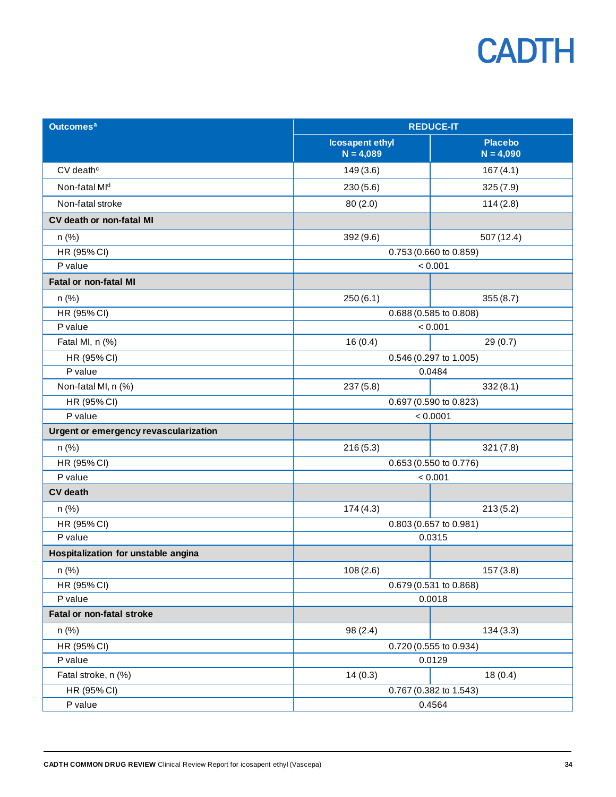| <b>Outcomes<sup>a</sup></b>           | <b>REDUCE-IT</b>                      |                               |  |  |  |
|---------------------------------------|---------------------------------------|-------------------------------|--|--|--|
|                                       | <b>Icosapent ethyl</b><br>$N = 4,089$ | <b>Placebo</b><br>$N = 4,090$ |  |  |  |
| $CV$ death $c$                        | 149(3.6)                              | 167(4.1)                      |  |  |  |
| Non-fatal MI <sup>d</sup>             | 230(5.6)                              | 325(7.9)                      |  |  |  |
| Non-fatal stroke                      | 80(2.0)                               | 114(2.8)                      |  |  |  |
| CV death or non-fatal MI              |                                       |                               |  |  |  |
| $n$ (%)                               | 392(9.6)                              | 507 (12.4)                    |  |  |  |
| HR (95% CI)                           |                                       | 0.753 (0.660 to 0.859)        |  |  |  |
| P value                               |                                       | < 0.001                       |  |  |  |
| <b>Fatal or non-fatal MI</b>          |                                       |                               |  |  |  |
| $n$ (%)                               | 250(6.1)                              | 355(8.7)                      |  |  |  |
| HR (95% CI)                           |                                       | 0.688 (0.585 to 0.808)        |  |  |  |
| P value                               | < 0.001                               |                               |  |  |  |
| Fatal MI, n (%)                       | 16(0.4)                               | 29(0.7)                       |  |  |  |
| HR (95% CI)                           | 0.546 (0.297 to 1.005)                |                               |  |  |  |
| P value                               |                                       | 0.0484                        |  |  |  |
| Non-fatal MI, n (%)                   | 237(5.8)                              | 332(8.1)                      |  |  |  |
| HR (95% CI)                           |                                       | 0.697 (0.590 to 0.823)        |  |  |  |
| P value                               | < 0.0001                              |                               |  |  |  |
| Urgent or emergency revascularization |                                       |                               |  |  |  |
| n(%)                                  | 216(5.3)                              | 321(7.8)                      |  |  |  |
| HR (95% CI)                           |                                       | 0.653 (0.550 to 0.776)        |  |  |  |
| P value                               |                                       | < 0.001                       |  |  |  |
| <b>CV</b> death                       |                                       |                               |  |  |  |
| $n$ (%)                               | 174(4.3)                              | 213(5.2)                      |  |  |  |
| HR (95% CI)                           |                                       | 0.803 (0.657 to 0.981)        |  |  |  |
| P value                               |                                       | 0.0315                        |  |  |  |
| Hospitalization for unstable angina   |                                       |                               |  |  |  |
| n (%)                                 | 108(2.6)                              | 157(3.8)                      |  |  |  |
| HR (95% CI)                           |                                       | 0.679 (0.531 to 0.868)        |  |  |  |
| P value                               |                                       | 0.0018                        |  |  |  |
| <b>Fatal or non-fatal stroke</b>      |                                       |                               |  |  |  |
| $n$ (%)                               | 98(2.4)                               | 134(3.3)                      |  |  |  |
| HR (95% CI)                           | 0.720 (0.555 to 0.934)                |                               |  |  |  |
| P value                               |                                       | 0.0129                        |  |  |  |
| Fatal stroke, n (%)                   | 14(0.3)                               | 18(0.4)                       |  |  |  |
| HR (95% CI)                           | 0.767 (0.382 to 1.543)                |                               |  |  |  |
| P value                               | 0.4564                                |                               |  |  |  |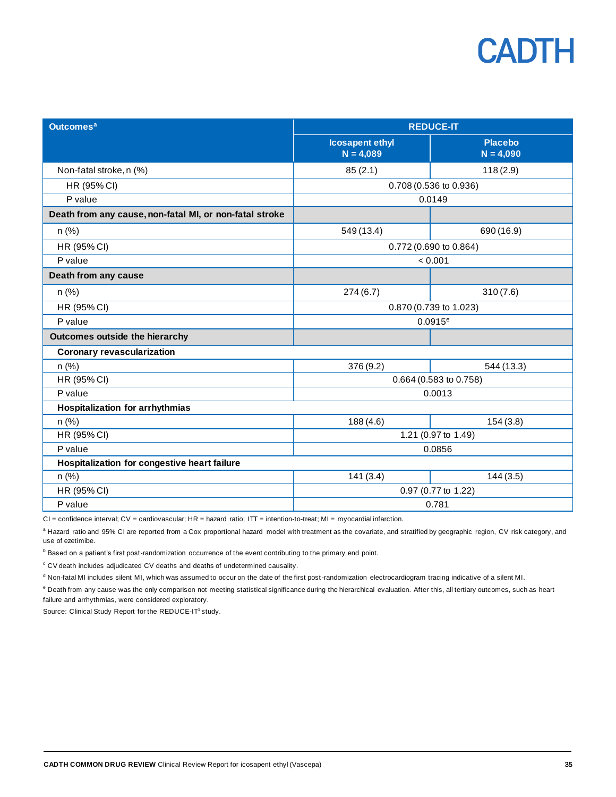| <b>Outcomes<sup>a</sup></b>                             | <b>REDUCE-IT</b>                      |                               |  |  |  |
|---------------------------------------------------------|---------------------------------------|-------------------------------|--|--|--|
|                                                         | <b>Icosapent ethyl</b><br>$N = 4,089$ | <b>Placebo</b><br>$N = 4,090$ |  |  |  |
| Non-fatal stroke, n (%)                                 | 85(2.1)                               | 118(2.9)                      |  |  |  |
| HR (95% CI)                                             |                                       | 0.708 (0.536 to 0.936)        |  |  |  |
| P value                                                 |                                       | 0.0149                        |  |  |  |
| Death from any cause, non-fatal MI, or non-fatal stroke |                                       |                               |  |  |  |
| $n$ (%)                                                 | 549 (13.4)                            | 690 (16.9)                    |  |  |  |
| HR (95% CI)                                             | 0.772 (0.690 to 0.864)                |                               |  |  |  |
| P value                                                 |                                       | < 0.001                       |  |  |  |
| Death from any cause                                    |                                       |                               |  |  |  |
| $n$ (%)                                                 | 274(6.7)                              | 310(7.6)                      |  |  |  |
| HR (95% CI)                                             | 0.870 (0.739 to 1.023)                |                               |  |  |  |
| P value                                                 |                                       | $0.0915^{\circ}$              |  |  |  |
| Outcomes outside the hierarchy                          |                                       |                               |  |  |  |
| <b>Coronary revascularization</b>                       |                                       |                               |  |  |  |
| $n$ (%)                                                 | 376 (9.2)                             | 544 (13.3)                    |  |  |  |
| HR (95% CI)                                             |                                       | 0.664 (0.583 to 0.758)        |  |  |  |
| P value                                                 |                                       | 0.0013                        |  |  |  |
| <b>Hospitalization for arrhythmias</b>                  |                                       |                               |  |  |  |
| $n$ (%)                                                 | 188 (4.6)                             | 154(3.8)                      |  |  |  |
| HR (95% CI)                                             |                                       | 1.21 (0.97 to 1.49)           |  |  |  |
| P value                                                 | 0.0856                                |                               |  |  |  |
| Hospitalization for congestive heart failure            |                                       |                               |  |  |  |
| n(%)                                                    | 141(3.4)<br>144(3.5)                  |                               |  |  |  |
| HR (95% CI)                                             |                                       | 0.97 (0.77 to 1.22)           |  |  |  |
| P value                                                 | 0.781                                 |                               |  |  |  |

CI = confidence interval; CV = cardiovascular; HR = hazard ratio; ITT = intention-to-treat; MI = myocardial infarction.

a Hazard ratio and 95% CI are reported from a Cox proportional hazard model with treatment as the covariate, and stratified by geographic region, CV risk category, and use of ezetimibe.

**b** Based on a patient's first post-randomization occurrence of the event contributing to the primary end point.

<sup>c</sup> CV death includes adjudicated CV deaths and deaths of undetermined causality.

<sup>d</sup> Non-fatal MI includes silent MI, which was assumed to occur on the date of the first post-randomization electrocardiogram tracing indicative of a silent MI.

<sup>e</sup> Death from any cause was the only comparison not meeting statistical significance during the hierarchical evaluation. After this, all tertiary outcomes, such as heart failure and arrhythmias, were considered exploratory.

Source: Clinical Study Report for the REDUCE-IT<sup>1</sup> study.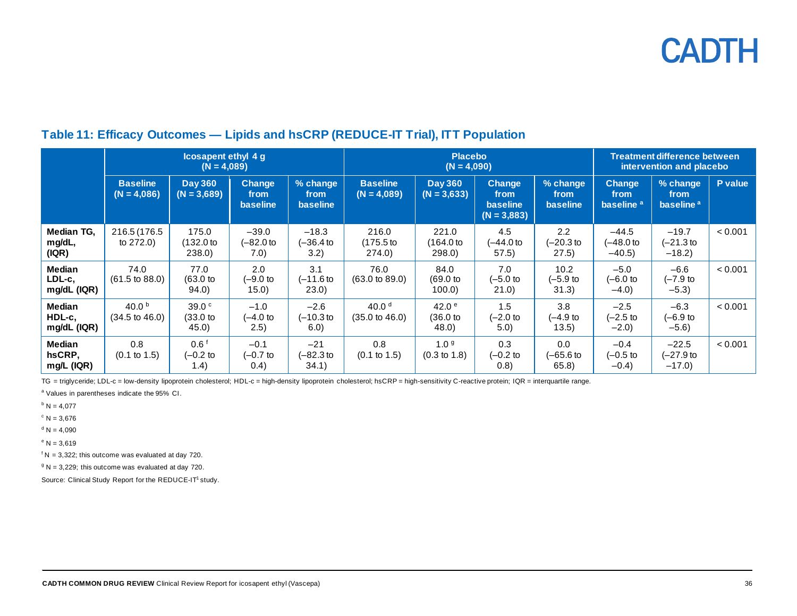### **Table 11: Efficacy Outcomes — Lipids and hsCRP (REDUCE-IT Trial), ITT Population**

|                                        | <b>Icosapent ethyl 4 g</b><br>$(N = 4,089)$  |                                           |                                   | <b>Placebo</b><br>$(N = 4,090)$     |                                       |                                             |                                                           | <b>Treatment difference between</b><br>intervention and placebo |                                                |                                           |         |
|----------------------------------------|----------------------------------------------|-------------------------------------------|-----------------------------------|-------------------------------------|---------------------------------------|---------------------------------------------|-----------------------------------------------------------|-----------------------------------------------------------------|------------------------------------------------|-------------------------------------------|---------|
|                                        | <b>Baseline</b><br>$(N = 4,086)$             | <b>Day 360</b><br>$(N = 3,689)$           | <b>Change</b><br>from<br>baseline | % change<br>from<br><b>baseline</b> | <b>Baseline</b><br>$(N = 4,089)$      | <b>Day 360</b><br>$(N = 3,633)$             | <b>Change</b><br>from<br><b>baseline</b><br>$(N = 3,883)$ | % change<br>from<br><b>baseline</b>                             | <b>Change</b><br>from<br>baseline <sup>a</sup> | % change<br>from<br>baseline <sup>a</sup> | P value |
| Median TG.<br>mg/dL,<br>( IQR)         | 216.5 (176.5<br>to $272.0$ )                 | 175.0<br>(132.0 to<br>238.0)              | $-39.0$<br>(–82.0 to<br>7.0)      | $-18.3$<br>(–36.4 to<br>3.2)        | 216.0<br>(175.5 to<br>274.0)          | 221.0<br>164.0 to<br>298.0)                 | 4.5<br>(–44.0 to<br>57.5)                                 | 2.2<br>$(-20.3)$<br>(27.5)                                      | $-44.5$<br>(-48.0 to<br>$-40.5$                | $-19.7$<br>$(-21.3)$ to<br>$-18.2$        | < 0.001 |
| <b>Median</b><br>LDL-c.<br>mg/dL (IQR) | 74.0<br>$(61.5 \text{ to } 88.0)$            | 77.0<br>$(63.0)$ to<br>94.0)              | 2.0<br>(-9.0 to<br>15.0)          | 3.1<br>(–11.6 to<br>(23.0)          | 76.0<br>$(63.0 \text{ to } 89.0)$     | 84.0<br>$(69.0)$ to<br>$100.0$ )            | 7.0<br>(-5.0 to<br>21.0)                                  | 10.2<br>(–5.9 to<br>31.3)                                       | $-5.0$<br>(-6.0 to<br>$-4.0$                   | $-6.6$<br>(–7.9 to<br>$-5.3)$             | < 0.001 |
| <b>Median</b><br>HDL-c.<br>mg/dL (IQR) | 40.0 $^{\rm b}$<br>$(34.5 \text{ to } 46.0)$ | 39.0 <sup>c</sup><br>$(33.0)$ to<br>45.0) | $-1.0$<br>$(-4.0$ to<br>(2.5)     | $-2.6$<br>(-10.3 to<br>6.0)         | 40.0 $d$<br>$(35.0 \text{ to } 46.0)$ | 42.0 <sup>e</sup><br>(36.0 to<br>(48.0)     | 1.5<br>$(-2.0)$ to<br>5.0)                                | 3.8<br>(–4.9 to<br>(13.5)                                       | $-2.5$<br>(-2.5 to<br>$-2.0$                   | $-6.3$<br>(–6.9 to<br>$-5.6$              | < 0.001 |
| <b>Median</b><br>hsCRP.<br>mg/L (IQR)  | 0.8<br>$(0.1 \text{ to } 1.5)$               | 0.6 <sup>†</sup><br>$(-0.2)$ to<br>1.4)   | $-0.1$<br>(-0.7 to<br>(0.4)       | $-21$<br>(–82.3 to<br>34.1)         | 0.8<br>$(0.1 \text{ to } 1.5)$        | 1.0 <sup>9</sup><br>$(0.3 \text{ to } 1.8)$ | 0.3<br>$(-0.2$ to<br>(0.8)                                | 0.0<br>(–65.6 to<br>65.8)                                       | $-0.4$<br>$(-0.5$ to<br>$-0.4)$                | $-22.5$<br>(–27.9 to<br>$-17.0$           | < 0.001 |

<span id="page-35-0"></span>TG = triglyceride; LDL-c = low-density lipoprotein cholesterol; HDL-c = high-density lipoprotein cholesterol; hsCRP = high-sensitivity C-reactive protein; IQR = interquartile range.

<sup>a</sup> Values in parentheses indicate the 95% CI.

 $b$  N = 4,077

 $c$  N = 3,676

 $d N = 4,090$ 

 $^{\circ}$  N = 3,619

 $f N = 3,322$ ; this outcome was evaluated at day 720.

 $9 N = 3,229$ ; this outcome was evaluated at day 720.

Source: Clinical Study Report for the REDUCE-IT<sup>1</sup> study.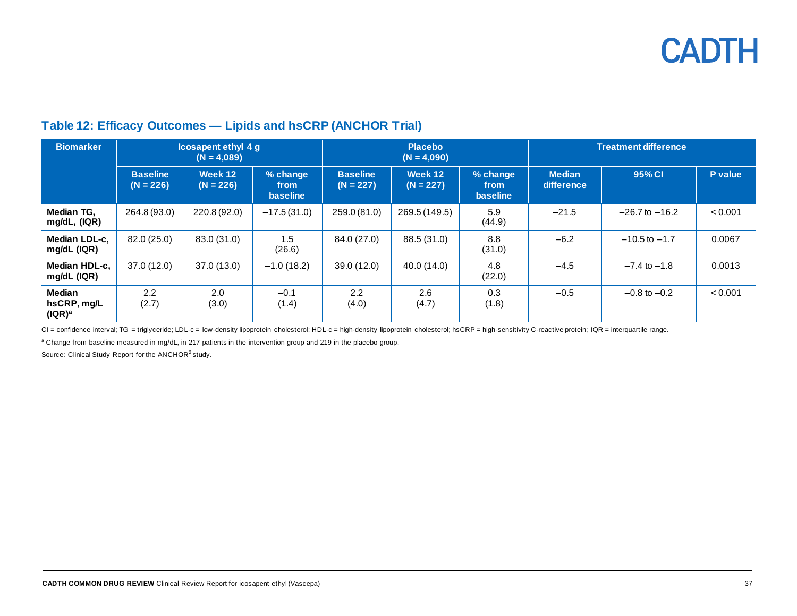### **Table 12: Efficacy Outcomes — Lipids and hsCRP (ANCHOR Trial)**

| <b>Biomarker</b>                            | <b>Icosapent ethyl 4 g</b><br>$(N = 4,089)$ |                        |                                     | <b>Placebo</b><br>$(N = 4,090)$ |                        |                                     | <b>Treatment difference</b> |                    |         |
|---------------------------------------------|---------------------------------------------|------------------------|-------------------------------------|---------------------------------|------------------------|-------------------------------------|-----------------------------|--------------------|---------|
|                                             | <b>Baseline</b><br>$(N = 226)$              | Week 12<br>$(N = 226)$ | % change<br>from<br><b>baseline</b> | <b>Baseline</b><br>$(N = 227)$  | Week 12<br>$(N = 227)$ | % change<br>from<br><b>baseline</b> | <b>Median</b><br>difference | 95% CI             | P value |
| Median TG,<br>mg/dL, (IQR)                  | 264.8 (93.0)                                | 220.8 (92.0)           | $-17.5(31.0)$                       | 259.0 (81.0)                    | 269.5 (149.5)          | 5.9<br>(44.9)                       | $-21.5$                     | $-26.7$ to $-16.2$ | < 0.001 |
| Median LDL-c.<br>mg/dL (IQR)                | 82.0 (25.0)                                 | 83.0 (31.0)            | 1.5<br>(26.6)                       | 84.0 (27.0)                     | 88.5 (31.0)            | 8.8<br>(31.0)                       | $-6.2$                      | $-10.5$ to $-1.7$  | 0.0067  |
| Median HDL-c.<br>mg/dL (IQR)                | 37.0 (12.0)                                 | 37.0 (13.0)            | $-1.0(18.2)$                        | 39.0 (12.0)                     | 40.0 (14.0)            | 4.8<br>(22.0)                       | $-4.5$                      | $-7.4$ to $-1.8$   | 0.0013  |
| Median<br>hsCRP, mg/L<br>(IQR) <sup>a</sup> | 2.2<br>(2.7)                                | 2.0<br>(3.0)           | $-0.1$<br>(1.4)                     | 2.2<br>(4.0)                    | 2.6<br>(4.7)           | 0.3<br>(1.8)                        | $-0.5$                      | $-0.8$ to $-0.2$   | < 0.001 |

<span id="page-36-0"></span>CI = confidence interval; TG = triglyceride; LDL-c = low-density lipoprotein cholesterol; HDL-c = high-density lipoprotein cholesterol; hsCRP = high-sensitivity C-reactive protein; IQR = interquartile range.

a Change from baseline measured in mg/dL, in 217 patients in the intervention group and 219 in the placebo group.

Source: Clinical Study Report for the ANCHOR<sup>2</sup> study.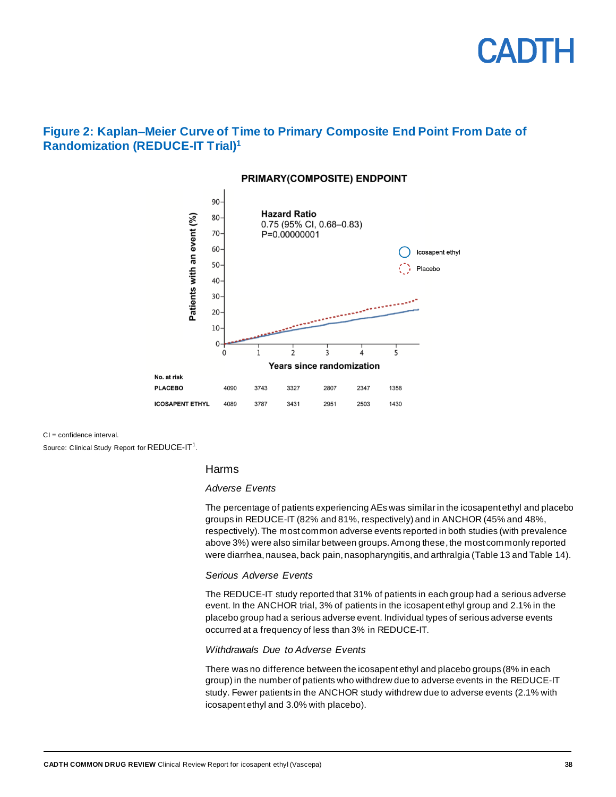

#### <span id="page-37-0"></span>**Figure 2: Kaplan–Meier Curve of Time to Primary Composite End Point From Date of Randomization (REDUCE-IT Trial) 1**



#### PRIMARY(COMPOSITE) ENDPOINT

CI = confidence interval.

Source: Clinical Study Report for  $\mathsf{REDUCE}\text{-}\mathsf{IT}^1$ .

#### Harms

#### *Adverse Events*

The percentage of patients experiencing AEs was similar in the icosapent ethyl and placebo groups in REDUCE-IT (82% and 81%, respectively) and in ANCHOR (45% and 48%, respectively).The most common adverse events reported in both studies (with prevalence above 3%) were also similar between groups. Among these, the most commonly reported were diarrhea, nausea, back pain, nasopharyngitis, and arthralgia [\(Table 13](#page-38-0) an[d Table 14\)](#page-39-0).

#### *Serious Adverse Events*

The REDUCE-IT study reported that 31% of patients in each group had a serious adverse event. In the ANCHOR trial, 3% of patients in the icosapent ethyl group and 2.1% in the placebo group had a serious adverse event. Individual types of serious adverse events occurred at a frequency of less than 3% in REDUCE-IT.

#### *Withdrawals Due to Adverse Events*

There was no difference between the icosapent ethyl and placebo groups (8% in each group) in the number of patients who withdrew due to adverse events in the REDUCE-IT study. Fewer patients in the ANCHOR study withdrew due to adverse events (2.1% with icosapent ethyl and 3.0% with placebo).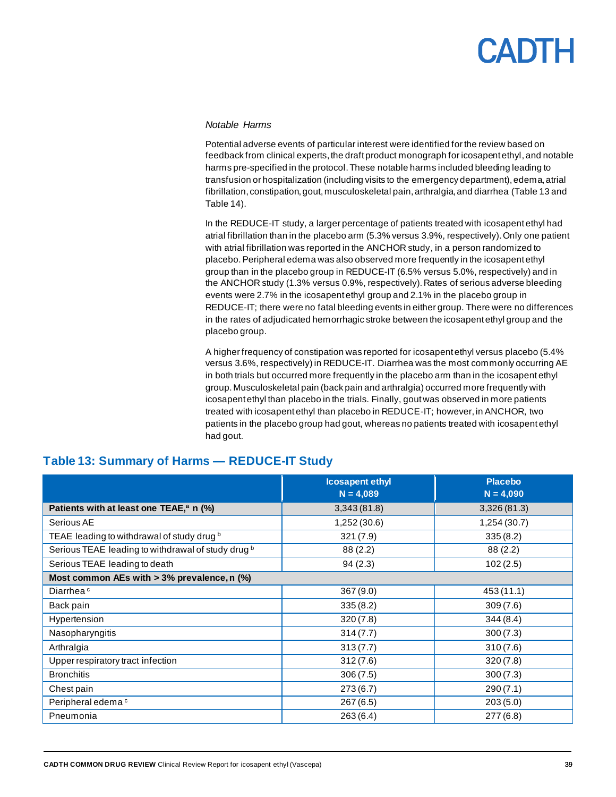#### *Notable Harms*

Potential adverse events of particular interest were identified for the review based on feedback from clinical experts, the draft product monograph for icosapent ethyl, and notable harms pre-specified in the protocol. These notable harms included bleeding leading to transfusion or hospitalization (including visits to the emergency department), edema, atrial fibrillation, constipation, gout, musculoskeletal pain, arthralgia, and diarrhea [\(Table 13](#page-38-0) and [Table 14\)](#page-39-0).

In the REDUCE-IT study, a larger percentage of patients treated with icosapent ethyl had atrial fibrillation than in the placebo arm (5.3% versus 3.9%, respectively).Only one patient with atrial fibrillation was reported in the ANCHOR study, in a person randomized to placebo. Peripheral edema was also observed more frequently in the icosapent ethyl group than in the placebo group in REDUCE-IT (6.5% versus 5.0%, respectively) and in the ANCHOR study (1.3% versus 0.9%, respectively).Rates of serious adverse bleeding events were 2.7% in the icosapent ethyl group and 2.1% in the placebo group in REDUCE-IT; there were no fatal bleeding events in either group. There were no differences in the rates of adjudicated hemorrhagic stroke between the icosapent ethyl group and the placebo group.

A higher frequency of constipation was reported for icosapent ethyl versus placebo (5.4% versus 3.6%, respectively) in REDUCE-IT. Diarrhea was the most commonly occurring AE in both trials but occurred more frequently in the placebo arm than in the icosapent ethyl group. Musculoskeletal pain (back pain and arthralgia) occurred more frequently with icosapent ethyl than placebo in the trials. Finally, gout was observed in more patients treated with icosapent ethyl than placebo in REDUCE-IT; however, in ANCHOR, two patients in the placebo group had gout, whereas no patients treated with icosapent ethyl had gout.

|                                                               | <b>Icosapent ethyl</b><br>$N = 4,089$ | <b>Placebo</b><br>$N = 4,090$ |
|---------------------------------------------------------------|---------------------------------------|-------------------------------|
| Patients with at least one TEAE, <sup>a</sup> n (%)           | 3,343(81.8)                           | 3,326(81.3)                   |
| Serious AE                                                    | 1,252 (30.6)                          | 1,254 (30.7)                  |
| TEAE leading to withdrawal of study drug b                    | 321(7.9)                              | 335(8.2)                      |
| Serious TEAE leading to withdrawal of study drug <sup>b</sup> | 88 (2.2)                              | 88 (2.2)                      |
| Serious TEAE leading to death                                 | 94(2.3)                               | 102(2.5)                      |
| Most common AEs with $> 3\%$ prevalence, n (%)                |                                       |                               |
| Diarrhea <sup>c</sup>                                         | 367(9.0)                              | 453 (11.1)                    |
| Back pain                                                     | 335(8.2)                              | 309(7.6)                      |
| Hypertension                                                  | 320(7.8)                              | 344(8.4)                      |
| Nasopharyngitis                                               | 314(7.7)                              | 300(7.3)                      |
| Arthralgia                                                    | 313(7.7)                              | 310(7.6)                      |
| Upper respiratory tract infection                             | 312(7.6)                              | 320(7.8)                      |
| <b>Bronchitis</b>                                             | 306(7.5)                              | 300(7.3)                      |
| Chest pain                                                    | 273(6.7)                              | 290(7.1)                      |
| Peripheral edema <sup>c</sup>                                 | 267(6.5)                              | 203(5.0)                      |
| Pneumonia                                                     | 263(6.4)                              | 277(6.8)                      |

#### <span id="page-38-0"></span>**Table 13: Summary of Harms — REDUCE-IT Study**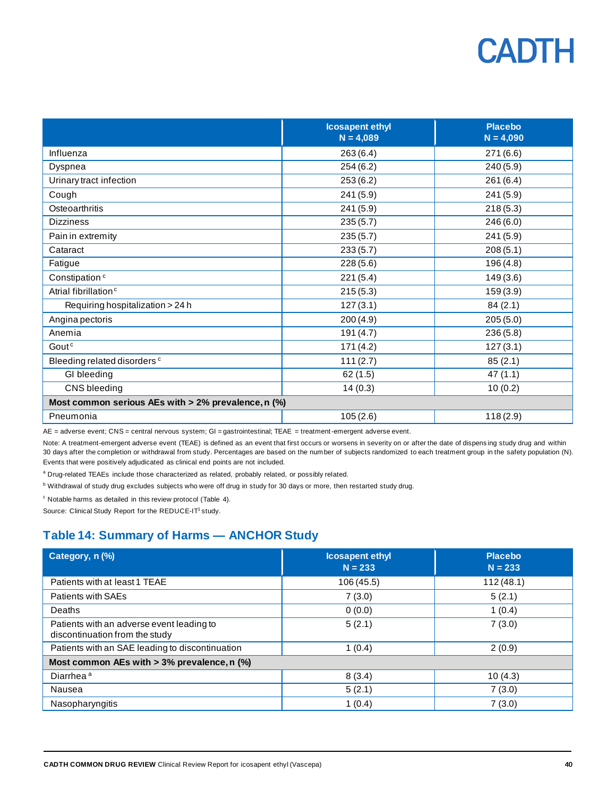|                                                     | <b>Icosapent ethyl</b><br>$N = 4,089$ | <b>Placebo</b><br>$N = 4,090$ |
|-----------------------------------------------------|---------------------------------------|-------------------------------|
| Influenza                                           | 263(6.4)                              | 271(6.6)                      |
| Dyspnea                                             | 254(6.2)                              | 240(5.9)                      |
| Urinary tract infection                             | 253(6.2)                              | 261(6.4)                      |
| Cough                                               | 241(5.9)                              | 241(5.9)                      |
| Osteoarthritis                                      | 241(5.9)                              | 218(5.3)                      |
| <b>Dizziness</b>                                    | 235(5.7)                              | 246(6.0)                      |
| Pain in extremity                                   | 235(5.7)                              | 241(5.9)                      |
| Cataract                                            | 233(5.7)                              | 208(5.1)                      |
| Fatigue                                             | 228(5.6)                              | 196 (4.8)                     |
| Constipation <sup>c</sup>                           | 221(5.4)                              | 149(3.6)                      |
| Atrial fibrillation <sup>c</sup>                    | 215(5.3)                              | 159(3.9)                      |
| Requiring hospitalization > 24 h                    | 127(3.1)                              | 84(2.1)                       |
| Angina pectoris                                     | 200(4.9)                              | 205(5.0)                      |
| Anemia                                              | 191 (4.7)                             | 236(5.8)                      |
| Goutc                                               | 171(4.2)                              | 127(3.1)                      |
| Bleeding related disorders <sup>c</sup>             | 111(2.7)                              | 85(2.1)                       |
| GI bleeding                                         | 62(1.5)                               | 47(1.1)                       |
| CNS bleeding                                        | 14(0.3)                               | 10(0.2)                       |
| Most common serious AEs with > 2% prevalence, n (%) |                                       |                               |
| Pneumonia                                           | 105(2.6)                              | 118(2.9)                      |

AE = adverse event; CNS = central nervous system; GI = gastrointestinal; TEAE = treatment-emergent adverse event.

Note: A treatment-emergent adverse event (TEAE) is defined as an event that first occurs or worsens in severity on or after the date of dispens ing study drug and within 30 days after the completion or withdrawal from study. Percentages are based on the num ber of subjects randomized to each treatment group in the safety population (N). Events that were positively adjudicated as clinical end points are not included.

a Drug-related TEAEs include those characterized as related, probably related, or possibly related.

<sup>b</sup> Withdrawal of study drug excludes subjects who were off drug in study for 30 days or more, then restarted study drug.

 $c$  Notable harms as detailed in this review protocol [\(Table 4\)](#page-20-0).

Source: Clinical Study Report for the REDUCE-IT<sup>1</sup> study.

#### <span id="page-39-0"></span>**Table 14: Summary of Harms — ANCHOR Study**

| Category, n (%)                                                             | <b>Icosapent ethyl</b><br>$N = 233$ | <b>Placebo</b><br>$N = 233$ |  |  |
|-----------------------------------------------------------------------------|-------------------------------------|-----------------------------|--|--|
| Patients with at least 1 TEAE                                               | 106(45.5)                           | 112(48.1)                   |  |  |
| <b>Patients with SAEs</b>                                                   | 7(3.0)                              | 5(2.1)                      |  |  |
| Deaths                                                                      | 0(0.0)                              | 1(0.4)                      |  |  |
| Patients with an adverse event leading to<br>discontinuation from the study | 5(2.1)                              | 7(3.0)                      |  |  |
| Patients with an SAE leading to discontinuation                             | 1(0.4)                              | 2(0.9)                      |  |  |
| Most common AEs with $>$ 3% prevalence, n (%)                               |                                     |                             |  |  |
| Diarrhea <sup>a</sup>                                                       | 8(3.4)                              | 10(4.3)                     |  |  |
| Nausea                                                                      | 5(2.1)                              | 7(3.0)                      |  |  |
| Nasopharyngitis                                                             | 1(0.4)                              | 7(3.0)                      |  |  |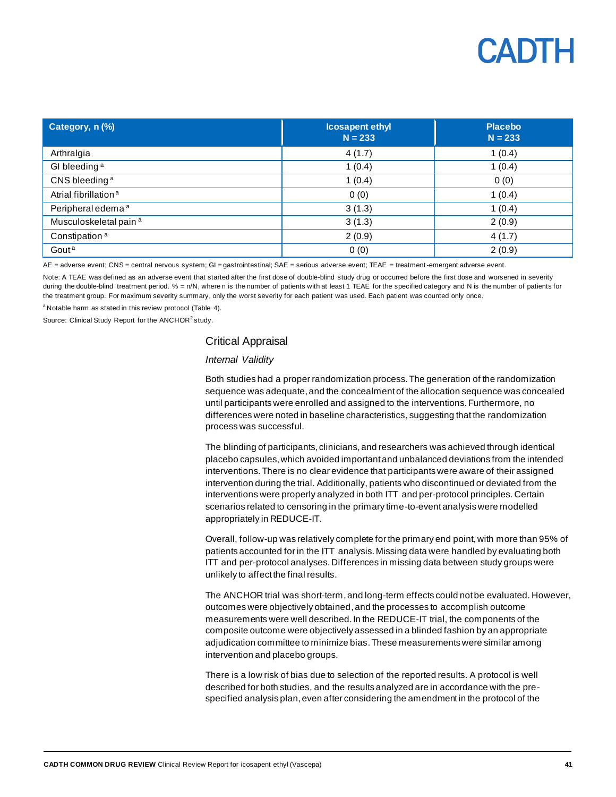| Category, n (%)                   | <b>Icosapent ethyl</b><br>$N = 233$ | <b>Placebo</b><br>$N = 233$ |
|-----------------------------------|-------------------------------------|-----------------------------|
| Arthralgia                        | 4(1.7)                              | 1(0.4)                      |
| GI bleeding <sup>a</sup>          | 1(0.4)                              | 1(0.4)                      |
| CNS bleeding <sup>a</sup>         | 1(0.4)                              | 0(0)                        |
| Atrial fibrillation <sup>a</sup>  | 0(0)                                | 1(0.4)                      |
| Peripheral edema <sup>a</sup>     | 3(1.3)                              | 1(0.4)                      |
| Musculoskeletal pain <sup>a</sup> | 3(1.3)                              | 2(0.9)                      |
| Constipation <sup>a</sup>         | 2(0.9)                              | 4(1.7)                      |
| Gout <sup>a</sup>                 | 0(0)                                | 2(0.9)                      |

AE = adverse event; CNS = central nervous system; GI = gastrointestinal; SAE = serious adverse event; TEAE = treatment -emergent adverse event.

Note: A TEAE was defined as an adverse event that started after the first dose of double-blind study drug or occurred before the first dose and worsened in severity during the double-blind treatment period.  $% = n/N$ , where n is the number of patients with at least 1 TEAE for the specified category and N is the number of patients for the treatment group. For maximum severity summary, only the worst severity for each patient was used. Each patient was counted only once.

<sup>a</sup> Notable harm as stated in this review protocol [\(Table 4\)](#page-20-0).

Source: Clinical Study Report for the ANCHOR<sup>2</sup> study.

#### Critical Appraisal

#### *Internal Validity*

Both studies had a proper randomization process. The generation of the randomization sequence was adequate, and the concealment of the allocation sequence was concealed until participants were enrolled and assigned to the interventions. Furthermore, no differences were noted in baseline characteristics, suggesting that the randomization process was successful.

The blinding of participants, clinicians, and researchers was achieved through identical placebo capsules, which avoided important and unbalanced deviations from the intended interventions. There is no clear evidence that participants were aware of their assigned intervention during the trial. Additionally, patients who discontinued or deviated from the interventions were properly analyzed in both ITT and per-protocol principles. Certain scenarios related to censoring in the primary time-to-event analysis were modelled appropriately in REDUCE-IT.

Overall, follow-up was relatively complete for the primary end point, with more than 95% of patients accounted for in the ITT analysis. Missing data were handled by evaluating both ITT and per-protocol analyses. Differences in missing data between study groups were unlikely to affect the final results.

The ANCHOR trial was short-term, and long-term effects could not be evaluated. However, outcomes were objectively obtained, and the processes to accomplish outcome measurements were well described. In the REDUCE-IT trial, the components of the composite outcome were objectively assessed in a blinded fashion by an appropriate adjudication committee to minimize bias. These measurements were similar among intervention and placebo groups.

There is a low risk of bias due to selection of the reported results. A protocol is well described for both studies, and the results analyzed are in accordance with the prespecified analysis plan, even after considering the amendment in the protocol of the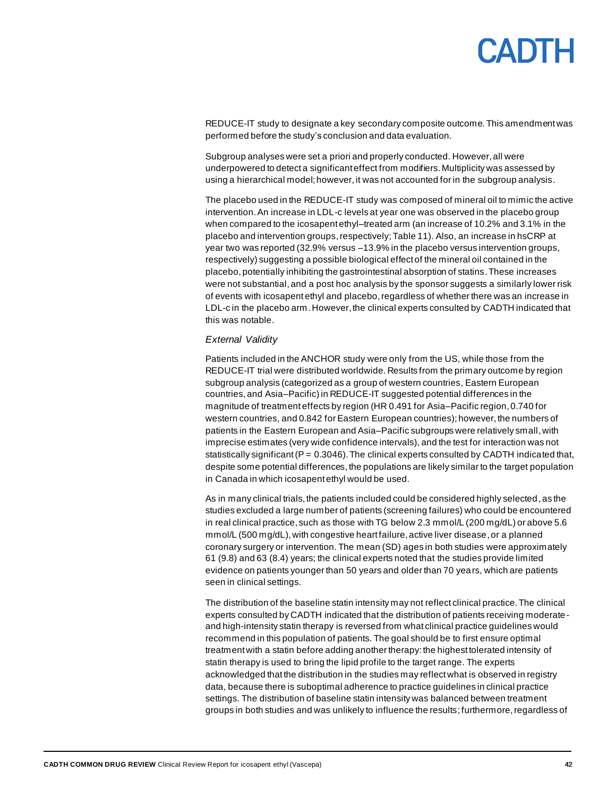REDUCE-IT study to designate a key secondary composite outcome. This amendment was performed before the study's conclusion and data evaluation.

Subgroup analyses were set a priori and properly conducted. However, all were underpowered to detect a significant effect from modifiers. Multiplicity was assessed by using a hierarchical model; however, it was not accounted for in the subgroup analysis.

The placebo used in the REDUCE-IT study was composed of mineral oil to mimic the active intervention. An increase in LDL-c levels at year one was observed in the placebo group when compared to the icosapent ethyl–treated arm (an increase of 10.2% and 3.1% in the placebo and intervention groups,respectively[;Table](#page-35-0) 11). Also, an increase in hsCRP at year two was reported (32.9% versus –13.9% in the placebo versus intervention groups, respectively) suggesting a possible biological effect of the mineral oil contained in the placebo, potentially inhibiting the gastrointestinal absorption of statins.These increases were not substantial,and a post hoc analysis by the sponsor suggests a similarly lower risk of events with icosapent ethyl and placebo,regardless of whether there was an increase in LDL-c in the placebo arm. However, the clinical experts consulted by CADTH indicated that this was notable.

#### *External Validity*

Patients included in the ANCHOR study were only from the US, while those from the REDUCE-IT trial were distributed worldwide. Results from the primary outcome by region subgroup analysis (categorized as a group of western countries, Eastern European countries, and Asia–Pacific) in REDUCE-IT suggested potential differences in the magnitude of treatment effects by region (HR 0.491 for Asia–Pacific region, 0.740 for western countries, and 0.842 for Eastern European countries); however, the numbers of patients in the Eastern European and Asia–Pacific subgroups were relatively small, with imprecise estimates (very wide confidence intervals), and the test for interaction was not statistically significant ( $P = 0.3046$ ). The clinical experts consulted by CADTH indicated that, despite some potential differences, the populations are likely similar to the target population in Canada in which icosapent ethyl would be used.

As in many clinical trials, the patients included could be considered highly selected, as the studies excluded a large number of patients (screening failures) who could be encountered in real clinical practice, such as those with TG below 2.3 mmol/L (200 mg/dL) or above 5.6 mmol/L (500 mg/dL), with congestive heart failure, active liver disease, or a planned coronary surgery or intervention. The mean (SD) ages in both studies were approximately 61 (9.8) and 63 (8.4) years; the clinical experts noted that the studies provide limited evidence on patients younger than 50 years and older than 70 years, which are patients seen in clinical settings.

The distribution of the baseline statin intensity may not reflect clinical practice. The clinical experts consulted by CADTH indicated that the distribution of patients receiving moderateand high-intensity statin therapy is reversed from what clinical practice guidelines would recommend in this population of patients. The goal should be to first ensure optimal treatment with a statin before adding another therapy: the highest tolerated intensity of statin therapy is used to bring the lipid profile to the target range. The experts acknowledged that the distribution in the studies may reflect what is observed in registry data, because there is suboptimal adherence to practice guidelines in clinical practice settings. The distribution of baseline statin intensity was balanced between treatment groups in both studies and was unlikely to influence the results; furthermore, regardless of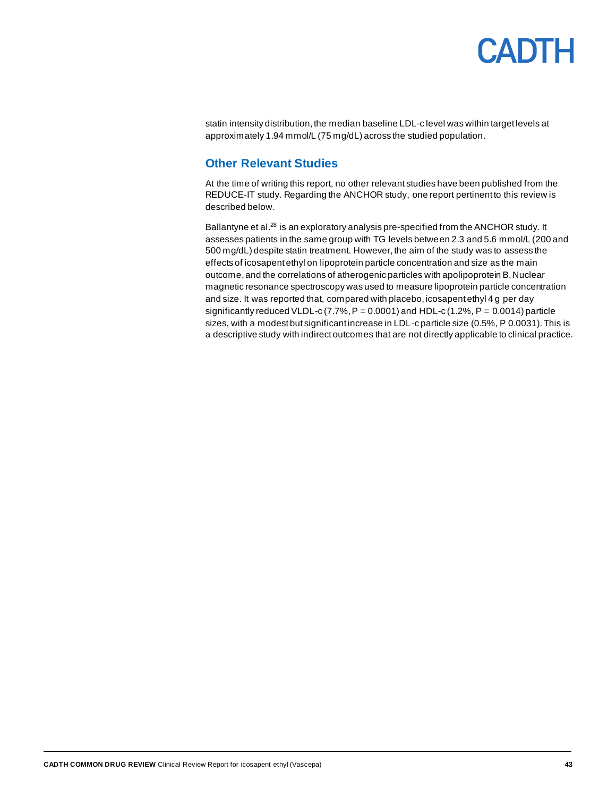statin intensity distribution, the median baseline LDL-c level was within target levels at approximately 1.94 mmol/L (75 mg/dL) across the studied population.

#### <span id="page-42-0"></span>**Other Relevant Studies**

At the time of writing this report, no other relevant studies have been published from the REDUCE-IT study. Regarding the ANCHOR study, one report pertinent to this review is described below.

Ballantyne et al.<sup>28</sup> is an exploratory analysis pre-specified from the ANCHOR study. It assesses patients in the same group with TG levels between 2.3 and 5.6 mmol/L (200 and 500 mg/dL) despite statin treatment. However, the aim of the study was to assess the effects of icosapent ethyl on lipoprotein particle concentration and size as the main outcome, and the correlations of atherogenic particles with apolipoprotein B. Nuclear magnetic resonance spectroscopy was used to measure lipoprotein particle concentration and size. It was reported that, compared with placebo, icosapent ethyl 4 g per day significantly reduced VLDL-c (7.7%,  $P = 0.0001$ ) and HDL-c (1.2%,  $P = 0.0014$ ) particle sizes, with a modest but significant increase in LDL-c particle size (0.5%, P 0.0031). This is a descriptive study with indirect outcomes that are not directly applicable to clinical practice.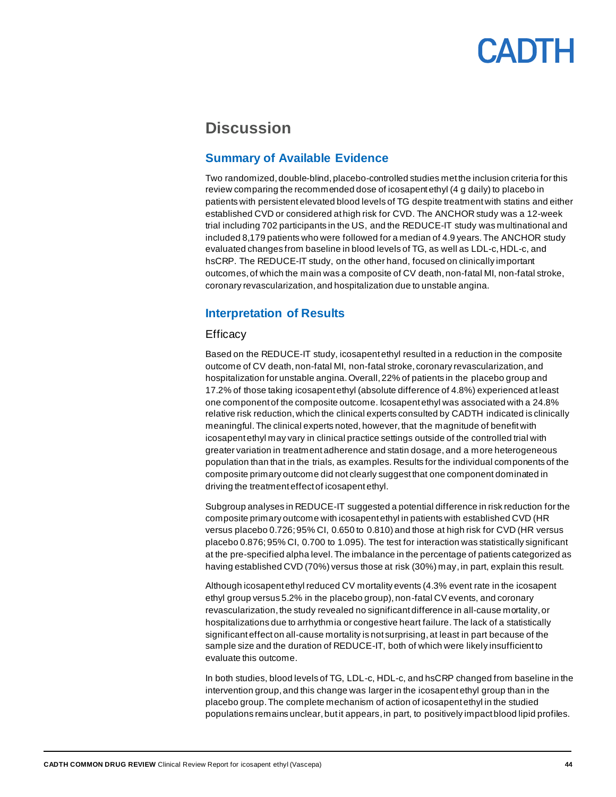### <span id="page-43-0"></span>**Discussion**

#### <span id="page-43-1"></span>**Summary of Available Evidence**

Two randomized, double-blind, placebo-controlled studies met the inclusion criteria for this review comparing the recommended dose of icosapent ethyl (4 g daily) to placebo in patients with persistent elevated blood levels of TG despite treatment with statins and either established CVD or considered at high risk for CVD. The ANCHOR study was a 12-week trial including 702 participants in the US, and the REDUCE-IT study was multinational and included 8,179 patients who were followed for a median of 4.9 years. The ANCHOR study evaluated changes from baseline in blood levels of TG, as well as LDL-c, HDL-c, and hsCRP. The REDUCE-IT study, on the other hand, focused on clinically important outcomes,of which the main was a composite of CV death, non-fatal MI, non-fatal stroke, coronary revascularization, and hospitalization due to unstable angina.

#### <span id="page-43-2"></span>**Interpretation of Results**

#### **Efficacy**

Based on the REDUCE-IT study, icosapent ethyl resulted in a reduction in the composite outcome of CV death, non-fatal MI, non-fatal stroke, coronary revascularization, and hospitalization for unstable angina. Overall, 22% of patients in the placebo group and 17.2% of those taking icosapent ethyl (absolute difference of 4.8%) experienced at least one component of the composite outcome. Icosapent ethyl was associated with a 24.8% relative risk reduction, which the clinical experts consulted by CADTH indicated is clinically meaningful. The clinical experts noted, however, that the magnitude of benefit with icosapent ethyl may vary in clinical practice settings outside of the controlled trial with greater variation in treatment adherence and statin dosage, and a more heterogeneous population than that in the trials, as examples. Results for the individual components of the composite primary outcome did not clearly suggest that one component dominated in driving the treatment effect of icosapent ethyl.

Subgroup analyses in REDUCE-IT suggested a potential difference in risk reduction for the composite primary outcome with icosapent ethyl in patients with established CVD (HR versus placebo 0.726; 95% CI, 0.650 to 0.810) and those at high risk for CVD (HR versus placebo 0.876; 95% CI, 0.700 to 1.095). The test for interaction was statistically significant at the pre-specified alpha level. The imbalance in the percentage of patients categorized as having established CVD (70%) versus those at risk (30%) may,in part, explain this result.

Although icosapent ethyl reduced CV mortality events (4.3% event rate in the icosapent ethyl group versus 5.2% in the placebo group), non-fatal CV events, and coronary revascularization, the study revealed no significant difference in all-cause mortality,or hospitalizations due to arrhythmia or congestive heart failure.The lack of a statistically significant effect on all-cause mortality is not surprising, at least in part because of the sample size and the duration of REDUCE-IT, both of which were likely insufficient to evaluate this outcome.

In both studies, blood levels of TG, LDL-c, HDL-c, and hsCRP changed from baseline in the intervention group, and this change was larger in the icosapent ethyl group than in the placebo group. The complete mechanism of action of icosapent ethyl in the studied populations remains unclear, but it appears,in part, to positively impact blood lipid profiles.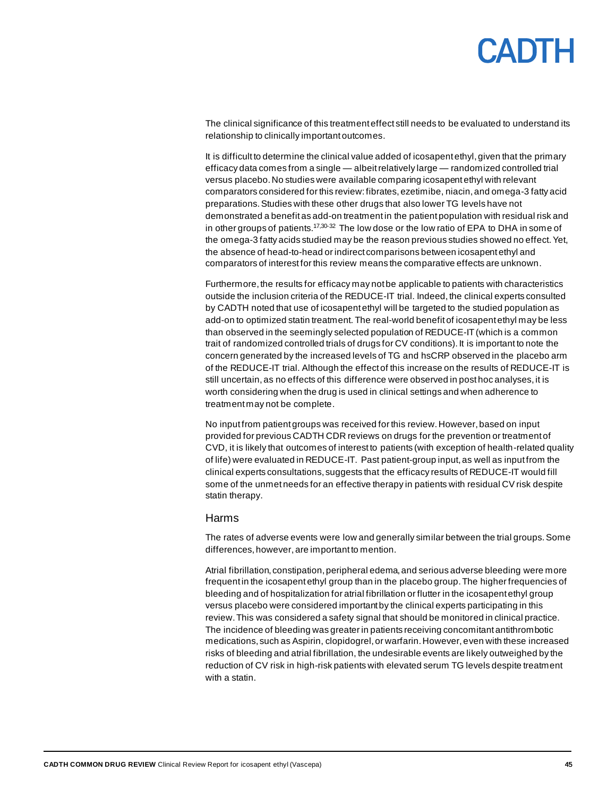# **ANTH**

The clinical significance of this treatment effect still needs to be evaluated to understand its relationship to clinically important outcomes.

It is difficult to determine the clinical value added of icosapent ethyl, given that the primary efficacy data comes from a single — albeit relatively large — randomized controlled trial versus placebo. No studies were available comparing icosapent ethyl with relevant comparators considered for this review: fibrates, ezetimibe, niacin, and omega-3 fatty acid preparations. Studies with these other drugs that also lower TG levels have not demonstrated a benefit as add-on treatment in the patient population with residual risk and in other groups of patients.<sup>17,30-32</sup> The low dose or the low ratio of EPA to DHA in some of the omega-3 fatty acids studied may be the reason previous studies showed no effect. Yet, the absence of head-to-head or indirect comparisons between icosapent ethyl and comparators of interest for this review means the comparative effects are unknown.

Furthermore, the results for efficacy may not be applicable to patients with characteristics outside the inclusion criteria of the REDUCE-IT trial. Indeed, the clinical experts consulted by CADTH noted that use of icosapent ethyl will be targeted to the studied population as add-on to optimized statin treatment. The real-world benefit of icosapent ethyl may be less than observed in the seemingly selected population of REDUCE-IT (which is a common trait of randomized controlled trials of drugs for CV conditions). It is important to note the concern generated by the increased levels of TG and hsCRP observed in the placebo arm of the REDUCE-IT trial. Although the effect of this increase on the results of REDUCE-IT is still uncertain, as no effects of this difference were observed in post hoc analyses, it is worth considering when the drug is used in clinical settings and when adherence to treatment may not be complete.

No input from patient groups was received for this review. However, based on input provided for previous CADTH CDR reviews on drugs for the prevention or treatment of CVD, it is likely that outcomes of interest to patients (with exception of health-related quality of life) were evaluated in REDUCE-IT. Past patient-group input, as well as input from the clinical experts consultations, suggests that the efficacy results of REDUCE-IT would fill some of the unmet needs for an effective therapy in patients with residual CV risk despite statin therapy.

#### Harms

The rates of adverse events were low and generally similar between the trial groups.Some differences, however, are important to mention.

Atrial fibrillation, constipation, peripheral edema, and serious adverse bleeding were more frequent in the icosapent ethyl group than in the placebo group. The higher frequencies of bleeding and of hospitalization for atrial fibrillation or flutter in the icosapent ethyl group versus placebo were considered important by the clinical experts participating in this review.This was considered a safety signal that should be monitored in clinical practice. The incidence of bleeding was greater in patients receiving concomitant antithrombotic medications, such as Aspirin, clopidogrel, or warfarin. However, even with these increased risks of bleeding and atrial fibrillation, the undesirable events are likely outweighed by the reduction of CV risk in high-risk patients with elevated serum TG levels despite treatment with a statin.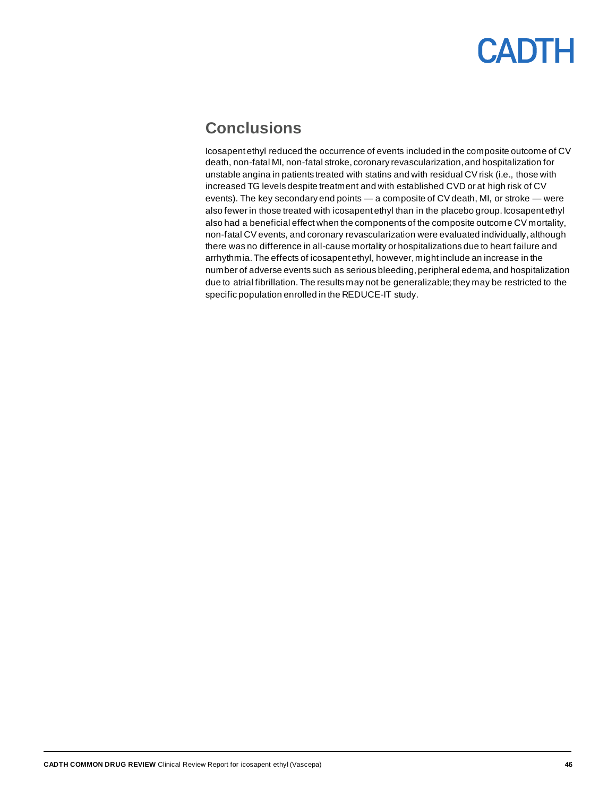### <span id="page-45-0"></span>**Conclusions**

Icosapent ethyl reduced the occurrence of events included in the composite outcome of CV death, non-fatal MI, non-fatal stroke, coronary revascularization, and hospitalization for unstable angina in patients treated with statins and with residual CV risk (i.e., those with increased TG levels despite treatment and with established CVD or at high risk of CV events). The key secondary end points — a composite of CV death, MI, or stroke — were also fewer in those treated with icosapent ethyl than in the placebo group. Icosapent ethyl also had a beneficial effect when the components of the composite outcome CV mortality, non-fatal CV events, and coronary revascularization were evaluated individually,although there was no difference in all-cause mortality or hospitalizations due to heart failure and arrhythmia.The effects of icosapent ethyl, however, might include an increase in the number of adverse events such as serious bleeding, peripheral edema, and hospitalization due to atrial fibrillation. The results may not be generalizable; they may be restricted to the specific population enrolled in the REDUCE-IT study.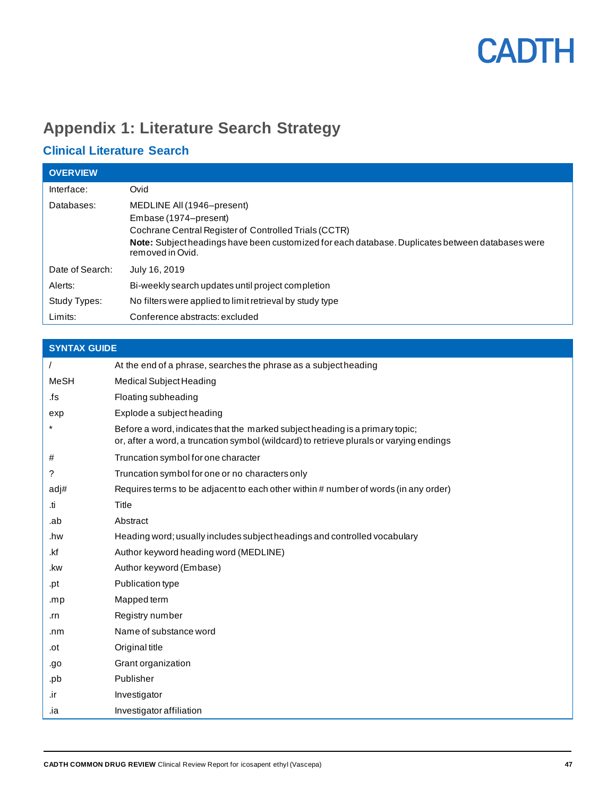### <span id="page-46-0"></span>**Appendix 1: Literature Search Strategy**

### **Clinical Literature Search**

| <b>OVERVIEW</b> |                                                                                                                                                                                                                                      |
|-----------------|--------------------------------------------------------------------------------------------------------------------------------------------------------------------------------------------------------------------------------------|
| Interface:      | Ovid                                                                                                                                                                                                                                 |
| Databases:      | MEDLINE All (1946–present)<br>Embase (1974–present)<br>Cochrane Central Register of Controlled Trials (CCTR)<br>Note: Subject headings have been customized for each database. Duplicates between databases were<br>removed in Ovid. |
| Date of Search: | July 16, 2019                                                                                                                                                                                                                        |
| Alerts:         | Bi-weekly search updates until project completion                                                                                                                                                                                    |
| Study Types:    | No filters were applied to limit retrieval by study type                                                                                                                                                                             |
| Limits:         | Conference abstracts: excluded                                                                                                                                                                                                       |

| <b>SYNTAX GUIDE</b> |                                                                                                                                                                         |
|---------------------|-------------------------------------------------------------------------------------------------------------------------------------------------------------------------|
|                     | At the end of a phrase, searches the phrase as a subject heading                                                                                                        |
| <b>MeSH</b>         | Medical Subject Heading                                                                                                                                                 |
| .fs                 | Floating subheading                                                                                                                                                     |
| exp                 | Explode a subject heading                                                                                                                                               |
|                     | Before a word, indicates that the marked subject heading is a primary topic;<br>or, after a word, a truncation symbol (wildcard) to retrieve plurals or varying endings |
| #                   | Truncation symbol for one character                                                                                                                                     |
| ?                   | Truncation symbol for one or no characters only                                                                                                                         |
| adj#                | Requires terms to be adjacent to each other within # number of words (in any order)                                                                                     |
| .ti                 | Title                                                                                                                                                                   |
| .ab                 | Abstract                                                                                                                                                                |
| .hw                 | Heading word; usually includes subject headings and controlled vocabulary                                                                                               |
| .kf                 | Author keyword heading word (MEDLINE)                                                                                                                                   |
| .kw                 | Author keyword (Embase)                                                                                                                                                 |
| .pt                 | Publication type                                                                                                                                                        |
| .mp                 | Mapped term                                                                                                                                                             |
| .rn                 | Registry number                                                                                                                                                         |
| .nm                 | Name of substance word                                                                                                                                                  |
| .ot                 | Original title                                                                                                                                                          |
| .go                 | Grant organization                                                                                                                                                      |
| .pb                 | Publisher                                                                                                                                                               |
| .ir                 | Investigator                                                                                                                                                            |
| .ia                 | Investigator affiliation                                                                                                                                                |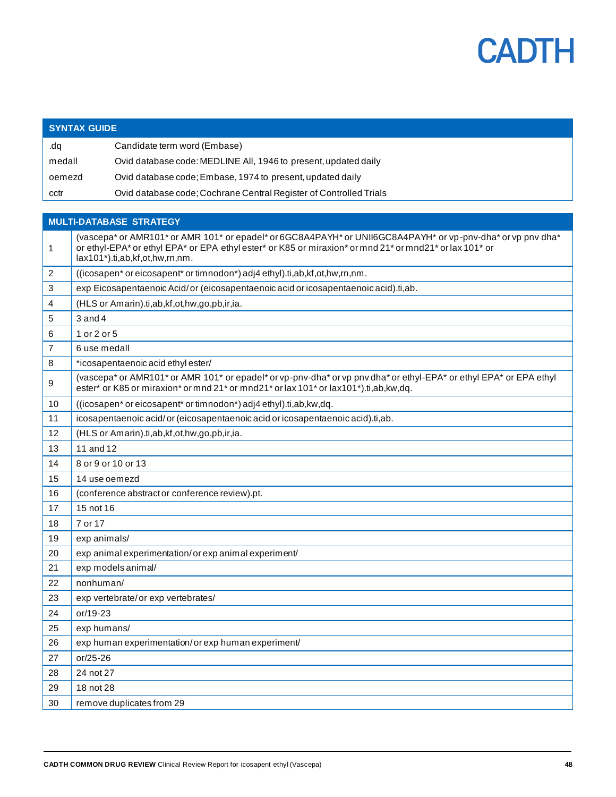

|        | <b>SYNTAX GUIDE</b>                                                                                                                                                                                                                                      |  |
|--------|----------------------------------------------------------------------------------------------------------------------------------------------------------------------------------------------------------------------------------------------------------|--|
| dq.    | Candidate term word (Embase)                                                                                                                                                                                                                             |  |
| medall | Ovid database code: MEDLINE All, 1946 to present, updated daily                                                                                                                                                                                          |  |
| oemezd | Ovid database code; Embase, 1974 to present, updated daily                                                                                                                                                                                               |  |
| cctr   | Ovid database code; Cochrane Central Register of Controlled Trials                                                                                                                                                                                       |  |
|        |                                                                                                                                                                                                                                                          |  |
|        | <b>MULTI-DATABASE STRATEGY</b>                                                                                                                                                                                                                           |  |
| 1      | (vascepa* or AMR101* or AMR 101* or epadel* or 6GC8A4PAYH* or UNII6GC8A4PAYH* or vp-pnv-dha* or vp pnv dha*<br>or ethyl-EPA* or ethyl EPA* or EPA ethyl ester* or K85 or miraxion* or mnd 21* or mnd21* or lax 101* or<br>lax101*).ti,ab,kf,ot,hw,rn,nm. |  |
| 2      | ((icosapen* or eicosapent* or timnodon*) adj4 ethyl).ti,ab,kf,ot,hw,rn,nm.                                                                                                                                                                               |  |
| 3      | exp Eicosapentaenoic Acid/or (eicosapentaenoic acid or icosapentaenoic acid).ti,ab.                                                                                                                                                                      |  |
| 4      | (HLS or Amarin).ti,ab,kf,ot,hw,go,pb,ir,ia.                                                                                                                                                                                                              |  |
| 5      | $3$ and $4$                                                                                                                                                                                                                                              |  |
| 6      | 1 or 2 or 5                                                                                                                                                                                                                                              |  |
| 7      | 6 use medall                                                                                                                                                                                                                                             |  |
| 8      | *icosapentaenoic acid ethyl ester/                                                                                                                                                                                                                       |  |
| 9      | (vascepa* or AMR101* or AMR 101* or epadel* or vp-pnv-dha* or vp pnv dha* or ethyl-EPA* or ethyl EPA* or EPA ethyl<br>ester* or K85 or miraxion* or mnd 21* or mnd21* or lax 101* or lax101*).ti,ab,kw,dq.                                               |  |
| 10     | ((icosapen* or eicosapent* or timnodon*) adj4 ethyl).ti,ab,kw,dq.                                                                                                                                                                                        |  |
| 11     | icosapentaenoic acid/or (eicosapentaenoic acid or icosapentaenoic acid).ti,ab.                                                                                                                                                                           |  |
| 12     | (HLS or Amarin).ti,ab,kf,ot,hw,go,pb,ir,ia.                                                                                                                                                                                                              |  |
| 13     | 11 and 12                                                                                                                                                                                                                                                |  |
| 14     | 8 or 9 or 10 or 13                                                                                                                                                                                                                                       |  |
| 15     | 14 use oemezd                                                                                                                                                                                                                                            |  |
| 16     | (conference abstract or conference review).pt.                                                                                                                                                                                                           |  |
| 17     | 15 not 16                                                                                                                                                                                                                                                |  |
| 18     | 7 or 17                                                                                                                                                                                                                                                  |  |
| 19     | exp animals/                                                                                                                                                                                                                                             |  |
| 20     | exp animal experimentation/or exp animal experiment/                                                                                                                                                                                                     |  |
| 21     | exp models animal/                                                                                                                                                                                                                                       |  |
| 22     | nonhuman/                                                                                                                                                                                                                                                |  |
| 23     | exp vertebrate/or exp vertebrates/                                                                                                                                                                                                                       |  |
| 24     | or/19-23                                                                                                                                                                                                                                                 |  |
| 25     | exp humans/                                                                                                                                                                                                                                              |  |
| 26     | exp human experimentation/or exp human experiment/                                                                                                                                                                                                       |  |
| 27     | or/25-26                                                                                                                                                                                                                                                 |  |
| 28     | 24 not 27                                                                                                                                                                                                                                                |  |
| 29     | 18 not 28                                                                                                                                                                                                                                                |  |
| 30     | remove duplicates from 29                                                                                                                                                                                                                                |  |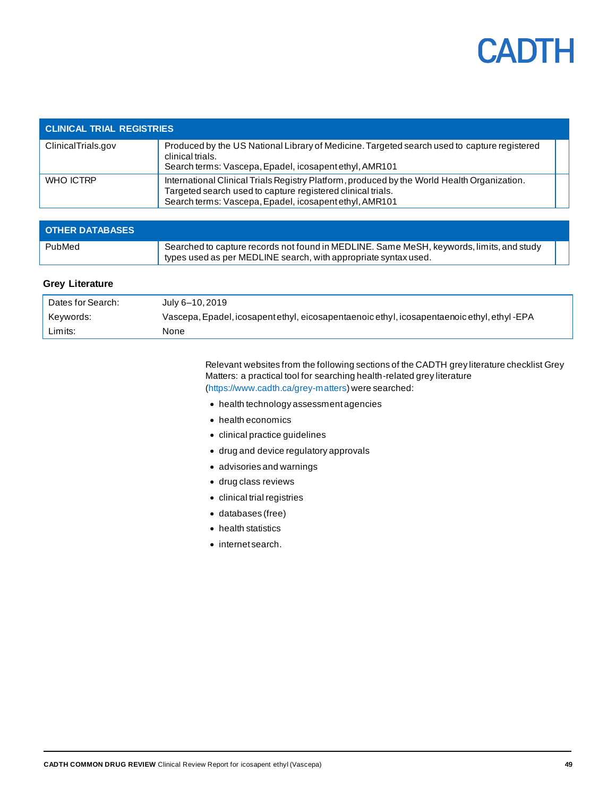

| <b>CLINICAL TRIAL REGISTRIES</b> |                                                                                                                                                                                                                      |  |  |
|----------------------------------|----------------------------------------------------------------------------------------------------------------------------------------------------------------------------------------------------------------------|--|--|
| ClinicalTrials.gov               | Produced by the US National Library of Medicine. Targeted search used to capture registered<br>clinical trials.<br>Search terms: Vascepa, Epadel, icosapent ethyl, AMR101                                            |  |  |
| WHO ICTRP                        | International Clinical Trials Registry Platform, produced by the World Health Organization.<br>Targeted search used to capture registered clinical trials.<br>Search terms: Vascepa, Epadel, icosapent ethyl, AMR101 |  |  |

| <b>OTHER DATABASES</b> |                                                                                                                                                             |  |
|------------------------|-------------------------------------------------------------------------------------------------------------------------------------------------------------|--|
| PubMed                 | Searched to capture records not found in MEDLINE. Same MeSH, keywords, limits, and study<br>types used as per MEDLINE search, with appropriate syntax used. |  |

#### **Grey Literature**

| Dates for Search: | July 6–10.2019                                                                              |
|-------------------|---------------------------------------------------------------------------------------------|
| Kevwords:         | Vascepa, Epadel, icosapent ethyl, eicosapentaenoic ethyl, icosapentaenoic ethyl, ethyl -EPA |
| Limits:           | None                                                                                        |

Relevant websites from the following sections of the CADTH grey literature checklist Grey Matters: a practical tool for searching health-related grey literature [\(https://www.cadth.ca/grey-matters\)](https://www.cadth.ca/grey-matters) were searched:

- health technology assessment agencies
- health economics
- clinical practice guidelines
- drug and device regulatory approvals
- advisories and warnings
- drug class reviews
- clinical trial registries
- databases (free)
- health statistics
- internet search.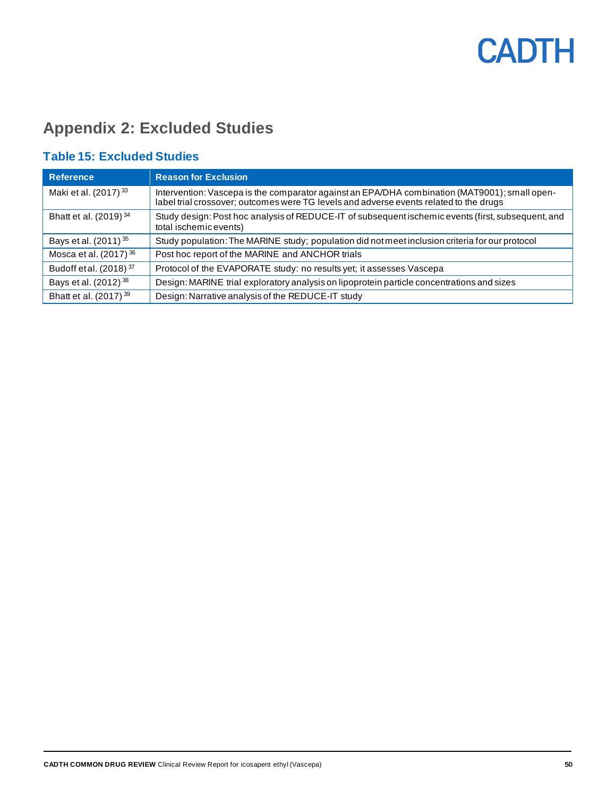### <span id="page-49-0"></span>**Appendix 2: Excluded Studies**

### <span id="page-49-1"></span>**Table 15: Excluded Studies**

| <b>Reference</b>                   | <b>Reason for Exclusion</b>                                                                                                                                                             |
|------------------------------------|-----------------------------------------------------------------------------------------------------------------------------------------------------------------------------------------|
| Maki et al. (2017) <sup>33</sup>   | Intervention: Vascepa is the comparator against an EPA/DHA combination (MAT9001); small open-<br>label trial crossover; outcomes were TG levels and adverse events related to the drugs |
| Bhatt et al. $(2019)^{34}$         | Study design: Post hoc analysis of REDUCE-IT of subsequent ischemic events (first, subsequent, and<br>total ischemic events)                                                            |
| Bays et al. (2011) 35              | Study population: The MARINE study; population did not meet inclusion criteria for our protocol                                                                                         |
| Mosca et al. $(2017)^{36}$         | Post hoc report of the MARINE and ANCHOR trials                                                                                                                                         |
| Budoff et al. (2018) <sup>37</sup> | Protocol of the EVAPORATE study: no results yet; it assesses Vascepa                                                                                                                    |
| Bays et al. (2012) <sup>38</sup>   | Design: MARINE trial exploratory analysis on lipoprotein particle concentrations and sizes                                                                                              |
| Bhatt et al. (2017) <sup>39</sup>  | Design: Narrative analysis of the REDUCE-IT study                                                                                                                                       |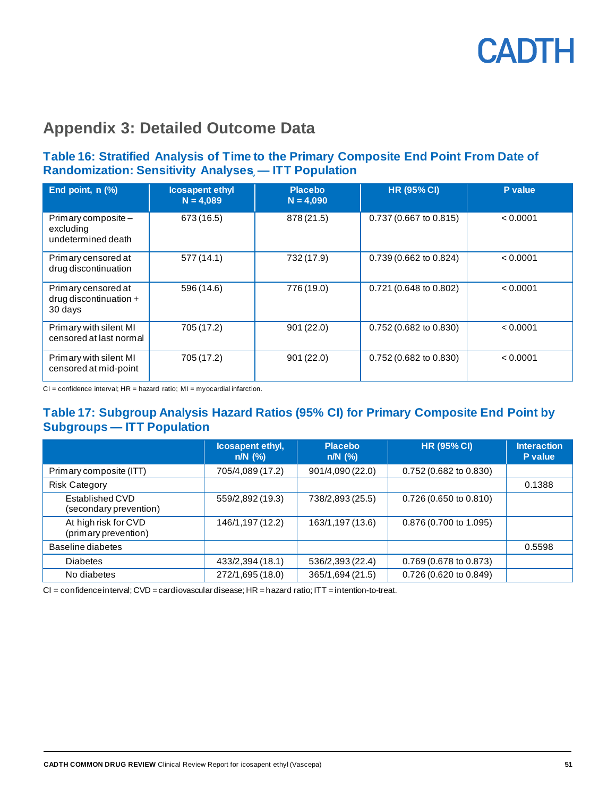### **Appendix 3: Detailed Outcome Data**

#### <span id="page-50-0"></span>**Table 16: Stratified Analysis of Time to the Primary Composite End Point From Date of Randomization: Sensitivity Analyses֪— ITT Population**

| End point, n (%)                                         | <b>Icosapent ethyl</b><br>$N = 4,089$ | <b>Placebo</b><br>$N = 4,090$ | <b>HR (95% CI)</b>               | P value  |
|----------------------------------------------------------|---------------------------------------|-------------------------------|----------------------------------|----------|
| Primary composite -<br>excluding<br>undetermined death   | 673 (16.5)                            | 878 (21.5)                    | 0.737 (0.667 to 0.815)           | < 0.0001 |
| Primary censored at<br>drug discontinuation              | 577(14.1)                             | 732 (17.9)                    | 0.739 (0.662 to 0.824)           | < 0.0001 |
| Primary censored at<br>drug discontinuation +<br>30 days | 596 (14.6)                            | 776 (19.0)                    | 0.721 (0.648 to 0.802)           | < 0.0001 |
| Primary with silent MI<br>censored at last normal        | 705 (17.2)                            | 901(22.0)                     | 0.752 (0.682 to 0.830)           | < 0.0001 |
| Primary with silent MI<br>censored at mid-point          | 705 (17.2)                            | 901(22.0)                     | $0.752(0.682 \text{ to } 0.830)$ | < 0.0001 |

 $CI =$  confidence interval;  $HR =$  hazard ratio;  $MI =$  myocardial infarction.

#### <span id="page-50-1"></span>**Table 17: Subgroup Analysis Hazard Ratios (95% CI) for Primary Composite End Point by Subgroups — ITT Population**

|                                              | Icosapent ethyl,<br>$n/N$ $(\%)$ | <b>Placebo</b><br>$n/N$ (%) | <b>HR (95% CI)</b>               | <b>Interaction</b><br>P value |
|----------------------------------------------|----------------------------------|-----------------------------|----------------------------------|-------------------------------|
| Primary composite (ITT)                      | 705/4,089 (17.2)                 | 901/4,090 (22.0)            | $0.752(0.682 \text{ to } 0.830)$ |                               |
| <b>Risk Category</b>                         |                                  |                             |                                  | 0.1388                        |
| Established CVD<br>(secondary prevention)    | 559/2,892 (19.3)                 | 738/2,893 (25.5)            | $0.726(0.650)$ to $0.810($       |                               |
| At high risk for CVD<br>(primary prevention) | 146/1,197 (12.2)                 | 163/1,197 (13.6)            | 0.876 (0.700 to 1.095)           |                               |
| Baseline diabetes                            |                                  |                             |                                  | 0.5598                        |
| <b>Diabetes</b>                              | 433/2,394 (18.1)                 | 536/2,393 (22.4)            | 0.769 (0.678 to 0.873)           |                               |
| No diabetes                                  | 272/1,695 (18.0)                 | 365/1,694 (21.5)            | 0.726 (0.620 to 0.849)           |                               |

CI = confidence interval; CVD = cardiovascular disease; HR = hazard ratio; ITT = intention-to-treat.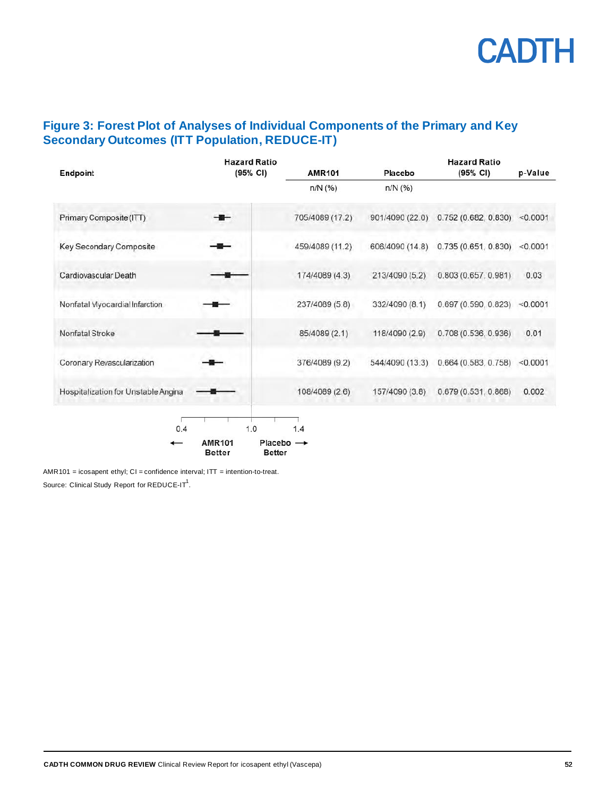#### <span id="page-51-0"></span>**Figure 3: Forest Plot of Analyses of Individual Components of the Primary and Key Secondary Outcomes (ITT Population, REDUCE-IT)**

| Endpoint                            | <b>Hazard Ratio</b><br>$(95% \text{ CI})$                                       | <b>AMR101</b>   | Placebo         | <b>Hazard Ratio</b><br>$(95% \text{ CI})$ | p-Value  |
|-------------------------------------|---------------------------------------------------------------------------------|-----------------|-----------------|-------------------------------------------|----------|
|                                     |                                                                                 | $n/N$ (%)       | $n/N$ (%)       |                                           |          |
| Primary Composite (ITT)             |                                                                                 | 705/4089 (17.2) | 901/4090 (22.0) | $0.752(0.682, 0.830)$ <0.0001             |          |
| Key Secondary Composite             |                                                                                 | 459/4089 (11.2) | 606/4090 (14.8) | 0.735 (0.651, 0.830)                      | < 0.0001 |
| Cardiovascular Death                |                                                                                 | 174/4089 (4.3)  | 213/4090 (5.2)  | 0.803 (0.657, 0.981)                      | 0.03     |
| Nonfatal Myocardial Infarction      |                                                                                 | 237/4089 (5.8)  | 332/4090 (8.1)  | 0.697 (0.590, 0.823)                      | < 0.0001 |
| Nonfatal Stroke                     |                                                                                 | 85/4089 (2.1)   | 118/4090 (2.9)  | 0.708 (0.536, 0.936)                      | 0.01     |
| Coronary Revascularization          |                                                                                 | 376/4089 (9.2)  | 544/4090 (13.3) | 0.664(0.583, 0.758)                       | < 0.0001 |
| Hospitalization for Unstable Angina |                                                                                 | 108/4089 (2.6)  | 157/4090 (3.8)  | 0.679(0.531, 0.868)                       | 0.002    |
| 0.4                                 | 1.0<br><b>AMR101</b><br>Placebo $\rightarrow$<br><b>Better</b><br><b>Better</b> | 1.4             |                 |                                           |          |

AMR101 = icosapent ethyl;  $CI =$  confidence interval;  $IT =$  intention-to-treat. Source: Clinical Study Report for REDUCE-IT $^1$ .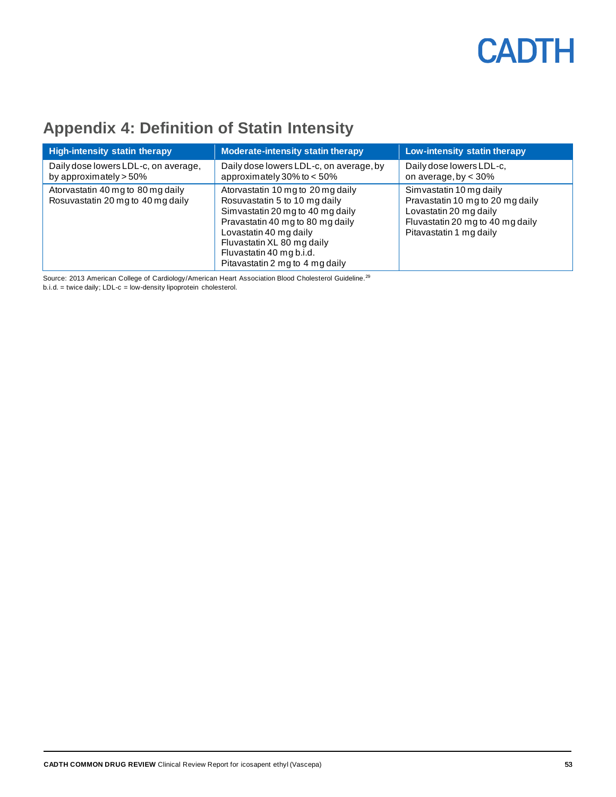### <span id="page-52-0"></span>**Appendix 4: Definition of Statin Intensity**

| <b>High-intensity statin therapy</b>                                   | <b>Moderate-intensity statin therapy</b>                                                                                                                                                                                                                          | Low-intensity statin therapy                                                                                                                         |
|------------------------------------------------------------------------|-------------------------------------------------------------------------------------------------------------------------------------------------------------------------------------------------------------------------------------------------------------------|------------------------------------------------------------------------------------------------------------------------------------------------------|
| Daily dose lowers LDL-c, on average,<br>by approximately $> 50\%$      | Daily dose lowers LDL-c, on average, by<br>approximately 30% to $< 50\%$                                                                                                                                                                                          | Daily dose lowers LDL-c,<br>on average, by $<$ 30%                                                                                                   |
| Atorvastatin 40 mg to 80 mg daily<br>Rosuvastatin 20 mg to 40 mg daily | Atorvastatin 10 mg to 20 mg daily<br>Rosuvastatin 5 to 10 mg daily<br>Simvastatin 20 mg to 40 mg daily<br>Pravastatin 40 mg to 80 mg daily<br>Lovastatin 40 mg daily<br>Fluvastatin XL 80 mg daily<br>Fluvastatin 40 mg b.i.d.<br>Pitavastatin 2 mg to 4 mg daily | Simvastatin 10 mg daily<br>Pravastatin 10 mg to 20 mg daily<br>Lovastatin 20 mg daily<br>Fluvastatin 20 mg to 40 mg daily<br>Pitavastatin 1 mg daily |

Source: 2013 American College of Cardiology/American Heart Association Blood Cholesterol Guideline.<sup>29</sup>

b.i.d. = twice daily; LDL-c = low-density lipoprotein cholesterol.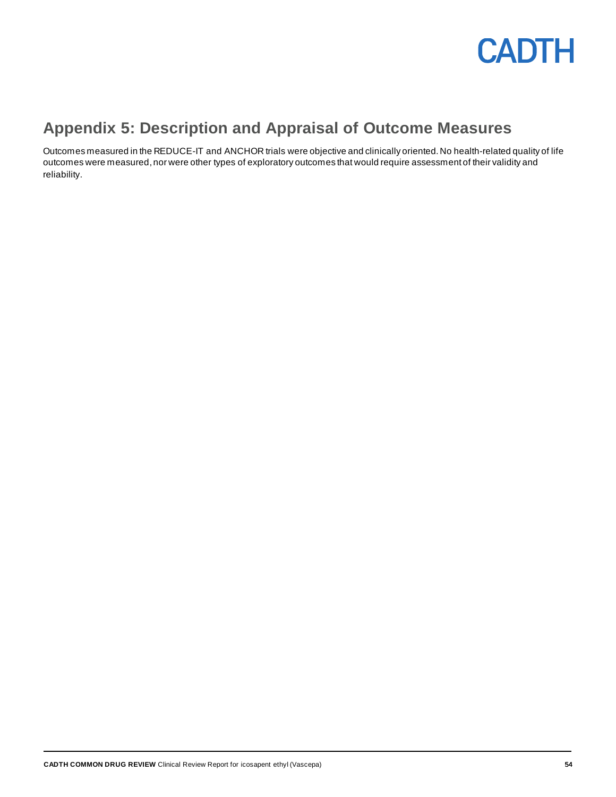

### <span id="page-53-0"></span>**Appendix 5: Description and Appraisal of Outcome Measures**

Outcomes measured in the REDUCE-IT and ANCHOR trials were objective and clinically oriented. No health-related quality of life outcomes were measured, nor were other types of exploratory outcomes that would require assessment of their validity and reliability.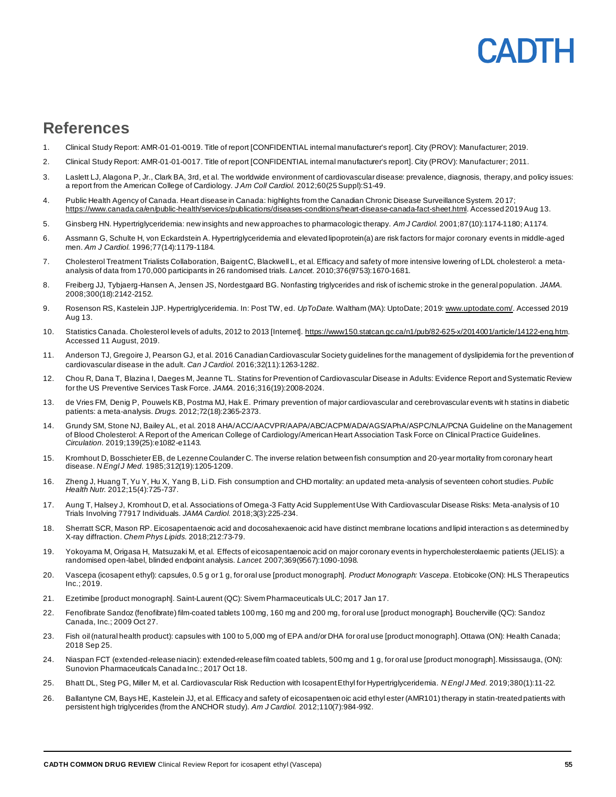### <span id="page-54-0"></span>**References**

- 1. Clinical Study Report: AMR-01-01-0019. Title of report [CONFIDENTIAL internal manufacturer's report]. City (PROV): Manufacturer; 2019.
- 2. Clinical Study Report: AMR-01-01-0017. Title of report [CONFIDENTIAL internal manufacturer's report]. City (PROV): Manufacturer; 2011.
- 3. Laslett LJ, Alagona P, Jr., Clark BA, 3rd, et al. The worldwide environment of cardiovascular disease: prevalence, diagnosis, therapy, and policy issues: a report from the American College of Cardiology. *J Am Coll Cardiol.* 2012;60(25 Suppl):S1-49.
- 4. Public Health Agency of Canada. Heart disease in Canada: highlights from the Canadian Chronic Disease Surveillance System. 20 17; <https://www.canada.ca/en/public-health/services/publications/diseases-conditions/heart-disease-canada-fact-sheet.html>. Accessed 2019 Aug 13.
- 5. Ginsberg HN. Hypertriglyceridemia: new insights and new approaches to pharmacologic therapy. *Am J Cardiol.* 2001;87(10):1174-1180; A1174.
- 6. Assmann G, Schulte H, von Eckardstein A. Hypertriglyceridemia and elevated lipoprotein(a) are risk factors for major coronary events in middle-aged men. *Am J Cardiol.* 1996;77(14):1179-1184.
- 7. Cholesterol Treatment Trialists Collaboration, Baigent C, Blackwell L, et al. Efficacy and safety of more intensive lowering of LDL cholesterol: a metaanalysis of data from 170,000 participants in 26 randomised trials. *Lancet.* 2010;376(9753):1670-1681.
- 8. Freiberg JJ, Tybjaerg-Hansen A, Jensen JS, Nordestgaard BG. Nonfasting triglycerides and risk of ischemic stroke in the general population. *JAMA.*  2008;300(18):2142-2152.
- 9. Rosenson RS, Kastelein JJP. Hypertriglyceridemia. In: Post TW, ed. *UpToDate*. Waltham (MA): UptoDate; 201[9: www.uptodate.com/](file://///cadth-shares/Proj-Ctrl_Intake/Formulary/Active/SR0619%20Vascepa/Publishing/04_Validation%20&%20Ref%20Check/QC/www.uptodate.com/). Accessed 2019 Aug 13.
- 10. Statistics Canada. Cholesterol levels of adults, 2012 to 2013 [Internet[\]. https://www150.statcan.gc.ca/n1/pub/82-625-x/2014001/article/14122-eng.htm](https://www150.statcan.gc.ca/n1/pub/82-625-x/2014001/article/14122-eng.htm). Accessed 11 August, 2019.
- 11. Anderson TJ, Gregoire J, Pearson GJ, et al. 2016 Canadian Cardiovascular Society guidelines for the management of dyslipidemia for the prevention of cardiovascular disease in the adult. *Can J Cardiol.* 2016;32(11):1263-1282.
- 12. Chou R, Dana T, Blazina I, Daeges M, Jeanne TL. Statins for Prevention of Cardiovascular Disease in Adults: Evidence Report and Systematic Review for the US Preventive Services Task Force. *JAMA.* 2016;316(19):2008-2024.
- 13. de Vries FM, Denig P, Pouwels KB, Postma MJ, Hak E. Primary prevention of major cardiovascular and cerebrovascular events wit h statins in diabetic patients: a meta-analysis. *Drugs.* 2012;72(18):2365-2373.
- 14. Grundy SM, Stone NJ, Bailey AL, et al. 2018 AHA/ACC/AACVPR/AAPA/ABC/ACPM/ADA/AGS/APhA/ASPC/NLA/PCNA Guideline on the Management of Blood Cholesterol: A Report of the American College of Cardiology/American Heart Association Task Force on Clinical Practice Guidelines. *Circulation.* 2019;139(25):e1082-e1143.
- 15. Kromhout D, Bosschieter EB, de Lezenne Coulander C. The inverse relation between fish consumption and 20-year mortality from coronary heart disease. *N Engl J Med.* 1985;312(19):1205-1209.
- 16. Zheng J, Huang T, Yu Y, Hu X, Yang B, Li D. Fish consumption and CHD mortality: an updated meta-analysis of seventeen cohort studies. *Public Health Nutr.* 2012;15(4):725-737.
- 17. Aung T, Halsey J, Kromhout D, et al. Associations of Omega-3 Fatty Acid Supplement Use With Cardiovascular Disease Risks: Meta-analysis of 10 Trials Involving 77917 Individuals. *JAMA Cardiol.* 2018;3(3):225-234.
- 18. Sherratt SCR, Mason RP. Eicosapentaenoic acid and docosahexaenoic acid have distinct membrane locations and lipid interaction s as determined by X-ray diffraction. *Chem Phys Lipids.* 2018;212:73-79.
- 19. Yokoyama M, Origasa H, Matsuzaki M, et al. Effects of eicosapentaenoic acid on major coronary events in hypercholesterolaemic patients (JELIS): a randomised open-label, blinded endpoint analysis. *Lancet.* 2007;369(9567):1090-1098.
- 20. Vascepa (icosapent ethyl): capsules, 0.5 g or 1 g, for oral use [product monograph]. *Product Monograph: Vascepa*. Etobicoke (ON): HLS Therapeutics Inc.; 2019.
- 21. Ezetimibe [product monograph]. Saint-Laurent (QC): Sivem Pharmaceuticals ULC; 2017 Jan 17.
- 22. Fenofibrate Sandoz (fenofibrate) film-coated tablets 100 mg, 160 mg and 200 mg, for oral use [product monograph]. Boucherville (QC): Sandoz Canada, Inc.; 2009 Oct 27.
- 23. Fish oil (natural health product): capsules with 100 to 5,000 mg of EPA and/or DHA for oral use [product monograph]. Ottawa (ON): Health Canada; 2018 Sep 25.
- 24. Niaspan FCT (extended-release niacin): extended-release film coated tablets, 500 mg and 1 g, for oral use [product monograph]. Mississauga, (ON): Sunovion Pharmaceuticals Canada Inc.; 2017 Oct 18.
- 25. Bhatt DL, Steg PG, Miller M, et al. Cardiovascular Risk Reduction with Icosapent Ethyl for Hypertriglyceridemia. *N Engl J Med.* 2019;380(1):11-22.
- 26. Ballantyne CM, Bays HE, Kastelein JJ, et al. Efficacy and safety of eicosapentaenoic acid ethyl ester (AMR101) therapy in statin-treated patients with persistent high triglycerides (from the ANCHOR study). *Am J Cardiol.* 2012;110(7):984-992.